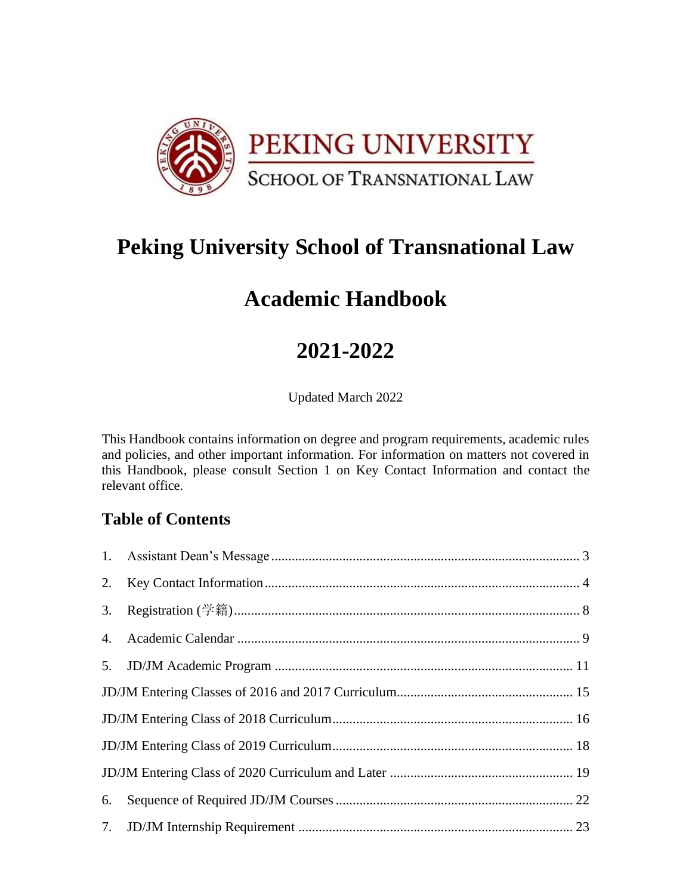

# **Peking University School of Transnational Law**

# **Academic Handbook**

# **2021-2022**

Updated March 2022

This Handbook contains information on degree and program requirements, academic rules and policies, and other important information. For information on matters not covered in this Handbook, please consult Section 1 on Key Contact Information and contact the relevant office.

# **Table of Contents**

| 3. |  |  |
|----|--|--|
|    |  |  |
|    |  |  |
|    |  |  |
|    |  |  |
|    |  |  |
|    |  |  |
| 6. |  |  |
|    |  |  |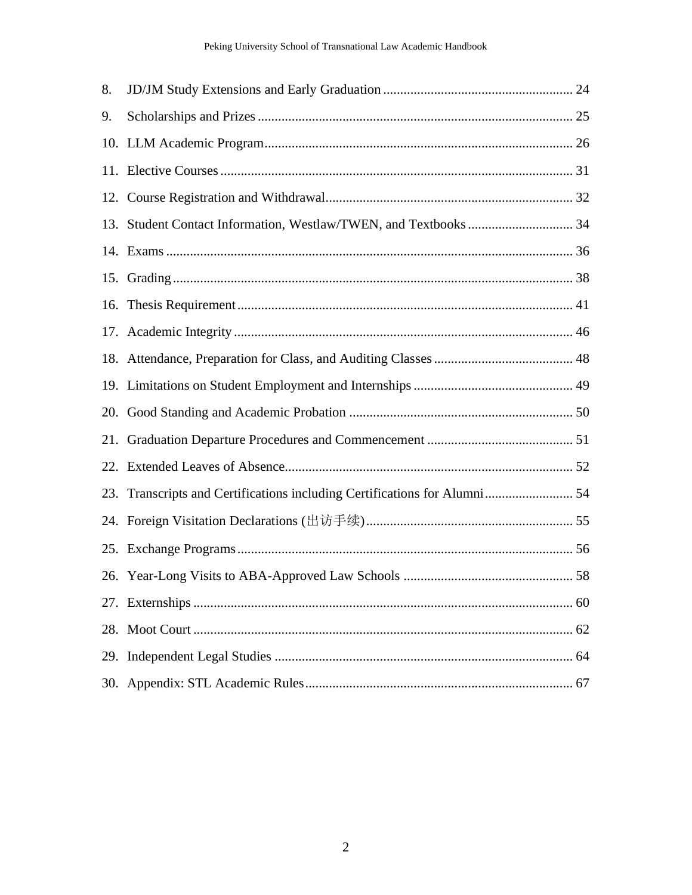| 8.  |                                                                           |  |
|-----|---------------------------------------------------------------------------|--|
| 9.  |                                                                           |  |
|     |                                                                           |  |
|     |                                                                           |  |
|     |                                                                           |  |
| 13. |                                                                           |  |
|     |                                                                           |  |
|     |                                                                           |  |
|     |                                                                           |  |
|     |                                                                           |  |
|     |                                                                           |  |
|     |                                                                           |  |
| 20. |                                                                           |  |
| 21. |                                                                           |  |
|     |                                                                           |  |
|     | 23. Transcripts and Certifications including Certifications for Alumni 54 |  |
|     |                                                                           |  |
|     |                                                                           |  |
|     |                                                                           |  |
|     |                                                                           |  |
|     |                                                                           |  |
|     |                                                                           |  |
|     |                                                                           |  |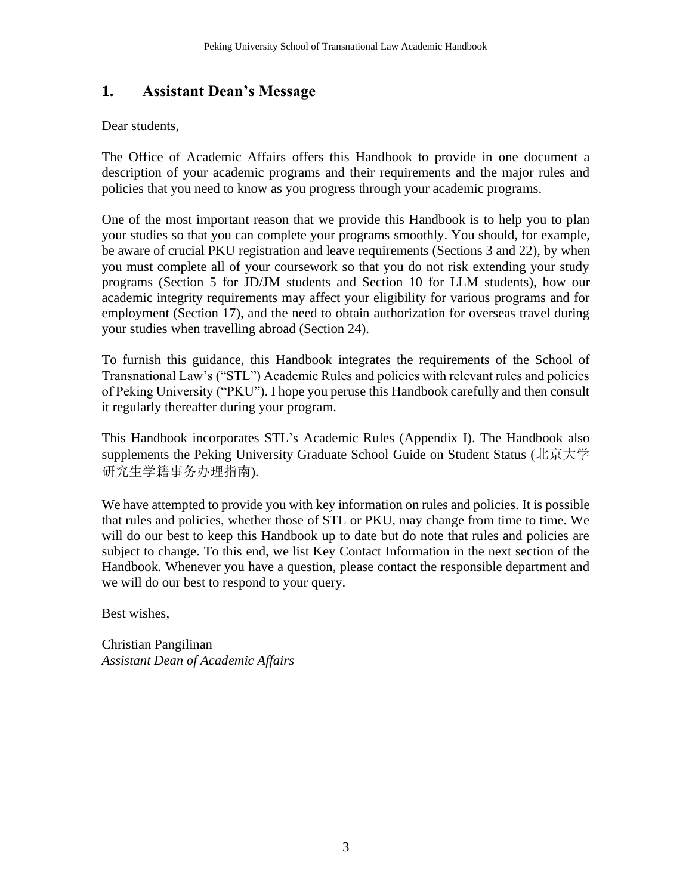# <span id="page-2-0"></span>**1. Assistant Dean's Message**

Dear students,

The Office of Academic Affairs offers this Handbook to provide in one document a description of your academic programs and their requirements and the major rules and policies that you need to know as you progress through your academic programs.

One of the most important reason that we provide this Handbook is to help you to plan your studies so that you can complete your programs smoothly. You should, for example, be aware of crucial PKU registration and leave requirements (Sections 3 and 22), by when you must complete all of your coursework so that you do not risk extending your study programs (Section 5 for JD/JM students and Section 10 for LLM students), how our academic integrity requirements may affect your eligibility for various programs and for employment (Section 17), and the need to obtain authorization for overseas travel during your studies when travelling abroad (Section 24).

To furnish this guidance, this Handbook integrates the requirements of the School of Transnational Law's ("STL") Academic Rules and policies with relevant rules and policies of Peking University ("PKU"). I hope you peruse this Handbook carefully and then consult it regularly thereafter during your program.

This Handbook incorporates STL's Academic Rules (Appendix I). The Handbook also supplements the Peking University Graduate School Guide on Student Status (北京大学 研究生学籍事务办理指南).

We have attempted to provide you with key information on rules and policies. It is possible that rules and policies, whether those of STL or PKU, may change from time to time. We will do our best to keep this Handbook up to date but do note that rules and policies are subject to change. To this end, we list Key Contact Information in the next section of the Handbook. Whenever you have a question, please contact the responsible department and we will do our best to respond to your query.

Best wishes,

Christian Pangilinan *Assistant Dean of Academic Affairs*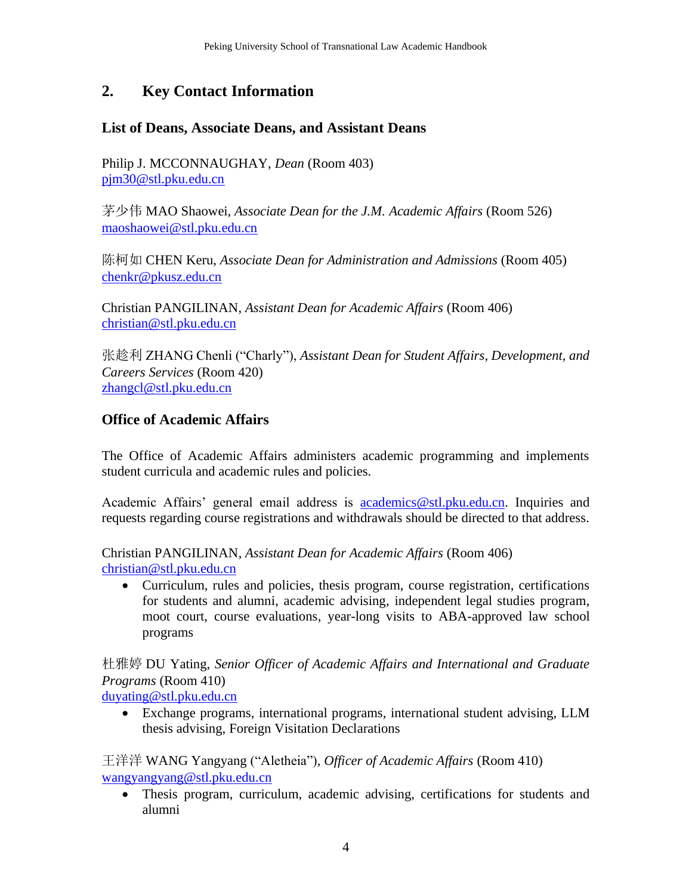# <span id="page-3-0"></span>**2. Key Contact Information**

### **List of Deans, Associate Deans, and Assistant Deans**

Philip J. MCCONNAUGHAY, *Dean* (Room 403) [pjm30@stl.pku.edu.cn](mailto:pjm30@stl.pku.edu.cn)

茅少伟 MAO Shaowei, *Associate Dean for the J.M. Academic Affairs* (Room 526) [maoshaowei@stl.pku.edu.cn](mailto:maoshaowei@stl.pku.edu.cn)

陈柯如 CHEN Keru, *Associate Dean for Administration and Admissions* (Room 405) [chenkr@pkusz.edu.cn](mailto:chenkr@pkusz.edu.cn)

Christian PANGILINAN, *Assistant Dean for Academic Affairs* (Room 406) [christian@stl.pku.edu.cn](mailto:christian@stl.pku.edu.cn)

张趁利 ZHANG Chenli ("Charly"), *Assistant Dean for Student Affairs, Development, and Careers Services* (Room 420) [zhangcl@stl.pku.edu.cn](mailto:zhangcl@stl.pku.edu.cn)

# **Office of Academic Affairs**

The Office of Academic Affairs administers academic programming and implements student curricula and academic rules and policies.

Academic Affairs' general email address is **[academics@stl.pku.edu.cn.](mailto:academics@stl.pku.edu.cn)** Inquiries and requests regarding course registrations and withdrawals should be directed to that address.

Christian PANGILINAN, *Assistant Dean for Academic Affairs* (Room 406) [christian@stl.pku.edu.cn](mailto:christian@stl.pku.edu.cn)

• Curriculum, rules and policies, thesis program, course registration, certifications for students and alumni, academic advising, independent legal studies program, moot court, course evaluations, year-long visits to ABA-approved law school programs

杜雅婷 DU Yating, *Senior Officer of Academic Affairs and International and Graduate Programs* (Room 410)

[duyating@stl.pku.edu.cn](mailto:daizheng@stl.pku.edu.cn)

• Exchange programs, international programs, international student advising, LLM thesis advising, Foreign Visitation Declarations

王洋洋 WANG Yangyang ("Aletheia"), *Officer of Academic Affairs* (Room 410) [wangyangyang@stl.pku.edu.cn](mailto:wangyangyang@stl.pku.edu.cn)

• Thesis program, curriculum, academic advising, certifications for students and alumni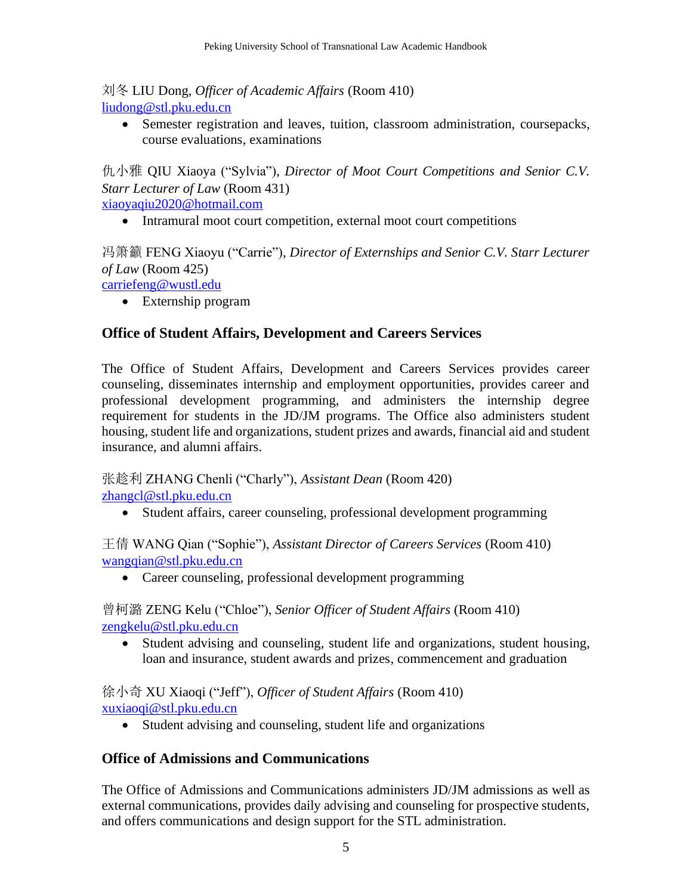### 刘冬 LIU Dong, *Officer of Academic Affairs* (Room 410) [liudong@stl.pku.edu.cn](mailto:liudong@stl.pku.edu.cn)

• Semester registration and leaves, tuition, classroom administration, coursepacks, course evaluations, examinations

仇小雅 QIU Xiaoya ("Sylvia"), *Director of Moot Court Competitions and Senior C.V. Starr Lecturer of Law* (Room 431)

[xiaoyaqiu2020@hotmail.com](mailto:xiaoyaqiu2020@hotmail.com)

• Intramural moot court competition, external moot court competitions

冯箫籲 FENG Xiaoyu ("Carrie"), *Director of Externships and Senior C.V. Starr Lecturer of Law* (Room 425) [carriefeng@wustl.edu](mailto:carriefeng@wustl.edu)

• Externship program

### **Office of Student Affairs, Development and Careers Services**

The Office of Student Affairs, Development and Careers Services provides career counseling, disseminates internship and employment opportunities, provides career and professional development programming, and administers the internship degree requirement for students in the JD/JM programs. The Office also administers student housing, student life and organizations, student prizes and awards, financial aid and student insurance, and alumni affairs.

张趁利 ZHANG Chenli ("Charly"), *Assistant Dean* (Room 420) [zhangcl@stl.pku.edu.cn](mailto:zhangcl@stl.pku.edu.cn)

• Student affairs, career counseling, professional development programming

王倩 WANG Qian ("Sophie"), *Assistant Director of Careers Services* (Room 410) [wangqian@stl.pku.edu.cn](mailto:wangqian@stl.pku.edu.cn)

• Career counseling, professional development programming

曾柯潞 ZENG Kelu ("Chloe"), *Senior Officer of Student Affairs* (Room 410) [zengkelu@stl.pku.edu.cn](mailto:zengkelu@stl.pku.edu.cn)

• Student advising and counseling, student life and organizations, student housing, loan and insurance, student awards and prizes, commencement and graduation

徐小奇 XU Xiaoqi ("Jeff"), *Officer of Student Affairs* (Room 410) [xuxiaoqi@stl.pku.edu.cn](mailto:xuxiaoqi@stl.pku.edu.cn)

• Student advising and counseling, student life and organizations

### **Office of Admissions and Communications**

The Office of Admissions and Communications administers JD/JM admissions as well as external communications, provides daily advising and counseling for prospective students, and offers communications and design support for the STL administration.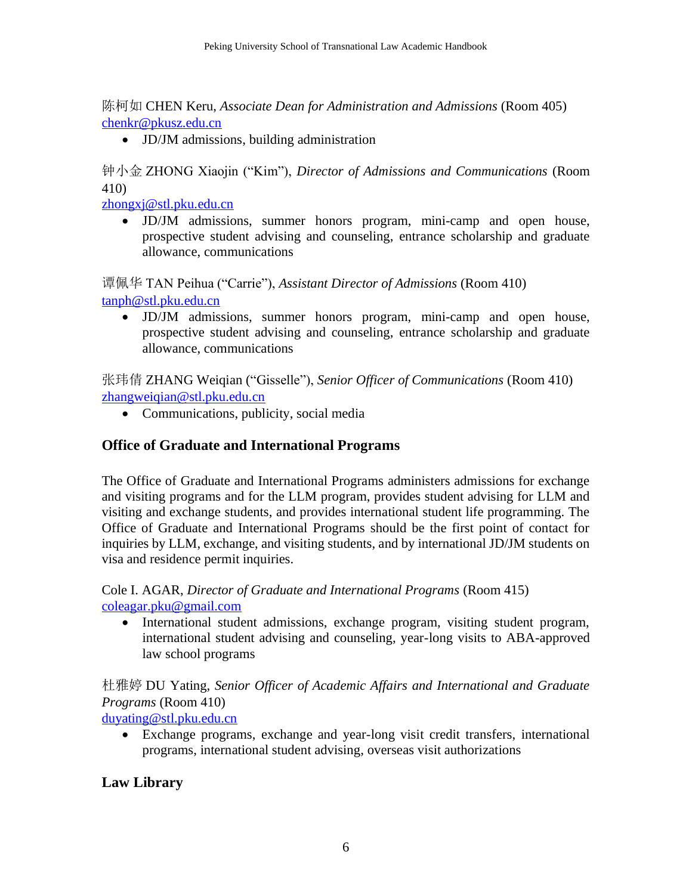陈柯如 CHEN Keru, *Associate Dean for Administration and Admissions* (Room 405) [chenkr@pkusz.edu.cn](mailto:chenkr@pkusz.edu.cn)

• JD/JM admissions, building administration

钟小金 ZHONG Xiaojin ("Kim"), *Director of Admissions and Communications* (Room 410)

[zhongxj@stl.pku.edu.cn](mailto:zhongxj@stl.pku.edu.cn)

• JD/JM admissions, summer honors program, mini-camp and open house, prospective student advising and counseling, entrance scholarship and graduate allowance, communications

谭佩华 TAN Peihua ("Carrie"), *Assistant Director of Admissions* (Room 410) [tanph@stl.pku.edu.cn](mailto:tanph@stl.pku.edu.cn)

• JD/JM admissions, summer honors program, mini-camp and open house, prospective student advising and counseling, entrance scholarship and graduate allowance, communications

张玮倩 ZHANG Weiqian ("Gisselle"), *Senior Officer of Communications* (Room 410) [zhangweiqian@stl.pku.edu.cn](mailto:zhangweiqian@stl.pku.edu.cn)

• Communications, publicity, social media

### **Office of Graduate and International Programs**

The Office of Graduate and International Programs administers admissions for exchange and visiting programs and for the LLM program, provides student advising for LLM and visiting and exchange students, and provides international student life programming. The Office of Graduate and International Programs should be the first point of contact for inquiries by LLM, exchange, and visiting students, and by international JD/JM students on visa and residence permit inquiries.

Cole I. AGAR, *Director of Graduate and International Programs* (Room 415) [coleagar.pku@gmail.com](mailto:coleagar.pku@gmail.com)

• International student admissions, exchange program, visiting student program, international student advising and counseling, year-long visits to ABA-approved law school programs

杜雅婷 DU Yating, *Senior Officer of Academic Affairs and International and Graduate Programs* (Room 410)

[duyating@stl.pku.edu.cn](mailto:duyating@stl.pku.edu.cn)

• Exchange programs, exchange and year-long visit credit transfers, international programs, international student advising, overseas visit authorizations

# **Law Library**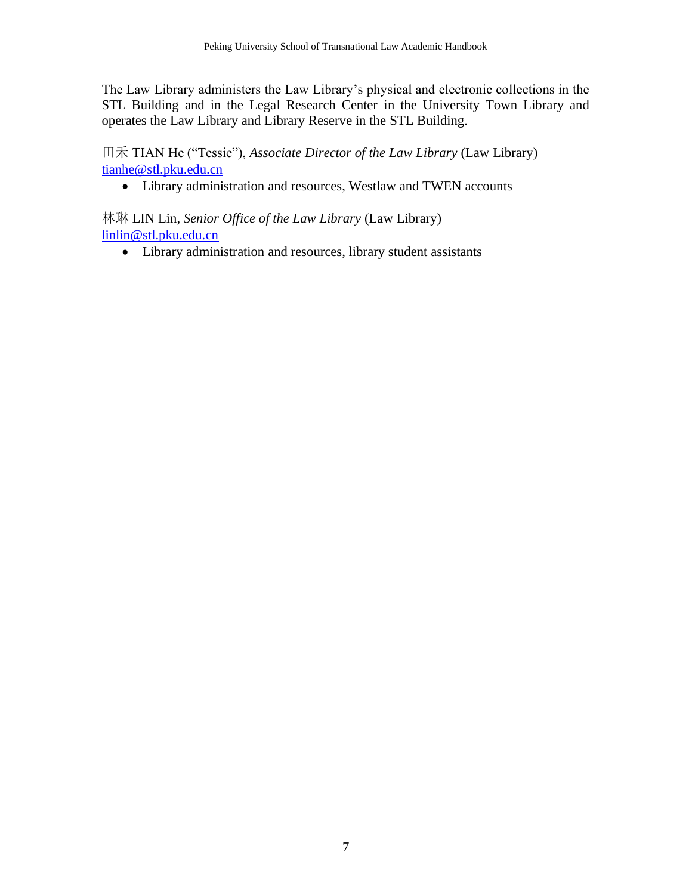The Law Library administers the Law Library's physical and electronic collections in the STL Building and in the Legal Research Center in the University Town Library and operates the Law Library and Library Reserve in the STL Building.

田禾 TIAN He ("Tessie"), *Associate Director of the Law Library* (Law Library) [tianhe@stl.pku.edu.cn](mailto:tianhe@stl.pku.edu.cn)

• Library administration and resources, Westlaw and TWEN accounts

林琳 LIN Lin, *Senior Office of the Law Library* (Law Library) [linlin@stl.pku.edu.cn](mailto:linlin@stl.pku.edu.cn)

• Library administration and resources, library student assistants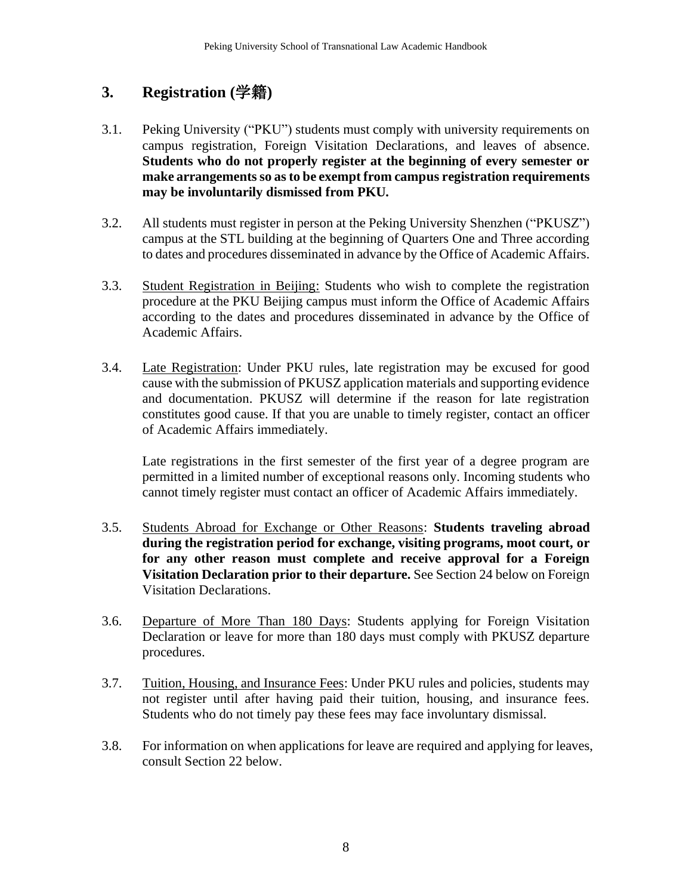# <span id="page-7-0"></span>**3. Registration (**学籍**)**

- 3.1. Peking University ("PKU") students must comply with university requirements on campus registration, Foreign Visitation Declarations, and leaves of absence. **Students who do not properly register at the beginning of every semester or make arrangements so as to be exempt from campus registration requirements may be involuntarily dismissed from PKU***.*
- 3.2. All students must register in person at the Peking University Shenzhen ("PKUSZ") campus at the STL building at the beginning of Quarters One and Three according to dates and procedures disseminated in advance by the Office of Academic Affairs.
- 3.3. Student Registration in Beijing: Students who wish to complete the registration procedure at the PKU Beijing campus must inform the Office of Academic Affairs according to the dates and procedures disseminated in advance by the Office of Academic Affairs.
- 3.4. Late Registration: Under PKU rules, late registration may be excused for good cause with the submission of PKUSZ application materials and supporting evidence and documentation. PKUSZ will determine if the reason for late registration constitutes good cause. If that you are unable to timely register, contact an officer of Academic Affairs immediately.

Late registrations in the first semester of the first year of a degree program are permitted in a limited number of exceptional reasons only. Incoming students who cannot timely register must contact an officer of Academic Affairs immediately.

- 3.5. Students Abroad for Exchange or Other Reasons: **Students traveling abroad during the registration period for exchange, visiting programs, moot court, or for any other reason must complete and receive approval for a Foreign Visitation Declaration prior to their departure.** See Section 24 below on Foreign Visitation Declarations.
- 3.6. Departure of More Than 180 Days: Students applying for Foreign Visitation Declaration or leave for more than 180 days must comply with PKUSZ departure procedures.
- 3.7. Tuition, Housing, and Insurance Fees: Under PKU rules and policies, students may not register until after having paid their tuition, housing, and insurance fees. Students who do not timely pay these fees may face involuntary dismissal.
- 3.8. For information on when applications for leave are required and applying for leaves, consult Section 22 below.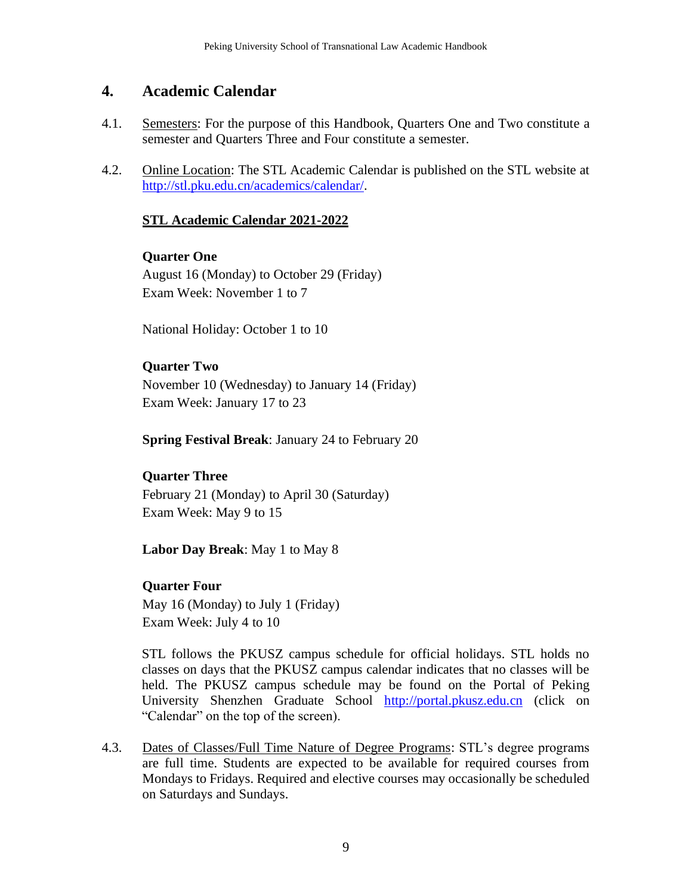### <span id="page-8-0"></span>**4. Academic Calendar**

- 4.1. Semesters: For the purpose of this Handbook, Quarters One and Two constitute a semester and Quarters Three and Four constitute a semester.
- 4.2. Online Location: The STL Academic Calendar is published on the STL website at [http://stl.pku.edu.cn/academics/calendar/.](http://stl.pku.edu.cn/academics/calendar/)

#### **STL Academic Calendar 2021-2022**

**Quarter One**

August 16 (Monday) to October 29 (Friday) Exam Week: November 1 to 7

National Holiday: October 1 to 10

#### **Quarter Two**

November 10 (Wednesday) to January 14 (Friday) Exam Week: January 17 to 23

**Spring Festival Break**: January 24 to February 20

### **Quarter Three**

February 21 (Monday) to April 30 (Saturday) Exam Week: May 9 to 15

**Labor Day Break**: May 1 to May 8

#### **Quarter Four**

May 16 (Monday) to July 1 (Friday) Exam Week: July 4 to 10

STL follows the PKUSZ campus schedule for official holidays. STL holds no classes on days that the PKUSZ campus calendar indicates that no classes will be held. The PKUSZ campus schedule may be found on the Portal of Peking University Shenzhen Graduate School [http://portal.pkusz.edu.cn](http://portal.pkusz.edu.cn/) (click on "Calendar" on the top of the screen).

4.3. Dates of Classes/Full Time Nature of Degree Programs: STL's degree programs are full time. Students are expected to be available for required courses from Mondays to Fridays. Required and elective courses may occasionally be scheduled on Saturdays and Sundays.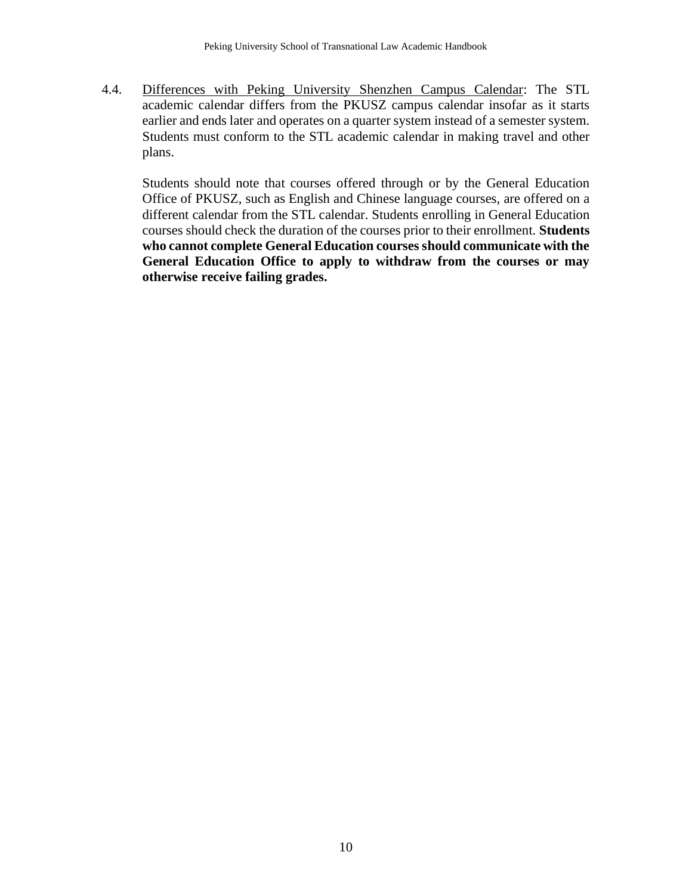4.4. Differences with Peking University Shenzhen Campus Calendar: The STL academic calendar differs from the PKUSZ campus calendar insofar as it starts earlier and ends later and operates on a quarter system instead of a semester system. Students must conform to the STL academic calendar in making travel and other plans.

Students should note that courses offered through or by the General Education Office of PKUSZ, such as English and Chinese language courses, are offered on a different calendar from the STL calendar. Students enrolling in General Education courses should check the duration of the courses prior to their enrollment. **Students who cannot complete General Education courses should communicate with the General Education Office to apply to withdraw from the courses or may otherwise receive failing grades.**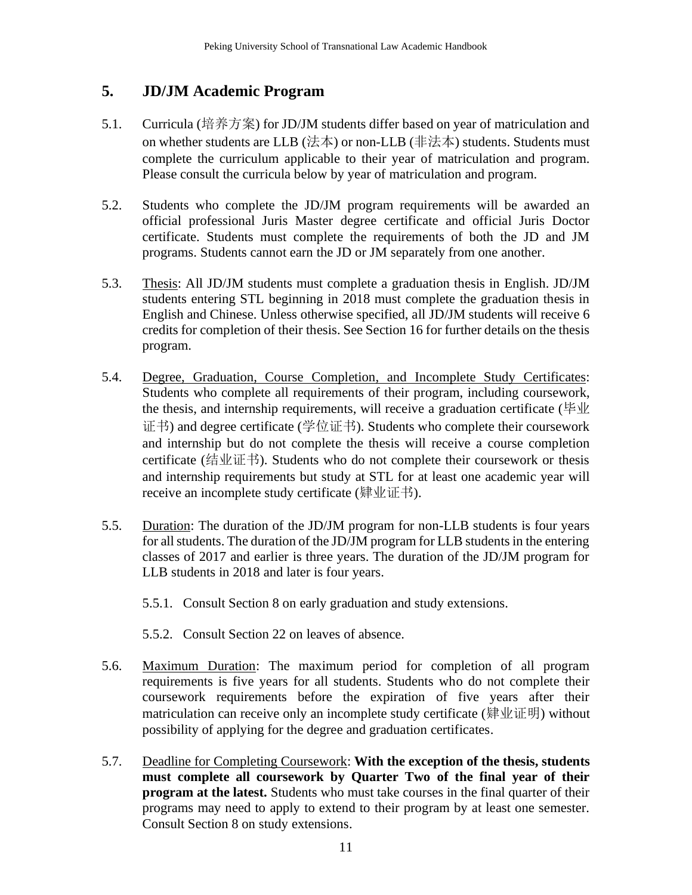# <span id="page-10-0"></span>**5. JD/JM Academic Program**

- 5.1. Curricula (培养方案) for JD/JM students differ based on year of matriculation and on whether students are LLB (法本) or non-LLB (非法本) students. Students must complete the curriculum applicable to their year of matriculation and program. Please consult the curricula below by year of matriculation and program.
- 5.2. Students who complete the JD/JM program requirements will be awarded an official professional Juris Master degree certificate and official Juris Doctor certificate. Students must complete the requirements of both the JD and JM programs. Students cannot earn the JD or JM separately from one another.
- 5.3. Thesis: All JD/JM students must complete a graduation thesis in English. JD/JM students entering STL beginning in 2018 must complete the graduation thesis in English and Chinese. Unless otherwise specified, all JD/JM students will receive 6 credits for completion of their thesis. See Section 16 for further details on the thesis program.
- 5.4. Degree, Graduation, Course Completion, and Incomplete Study Certificates: Students who complete all requirements of their program, including coursework, the thesis, and internship requirements, will receive a graduation certificate (毕业 证书) and degree certificate (学位证书). Students who complete their coursework and internship but do not complete the thesis will receive a course completion certificate (结业证书). Students who do not complete their coursework or thesis and internship requirements but study at STL for at least one academic year will receive an incomplete study certificate (肄业证书).
- 5.5. Duration: The duration of the JD/JM program for non-LLB students is four years for all students. The duration of the JD/JM program for LLB students in the entering classes of 2017 and earlier is three years. The duration of the JD/JM program for LLB students in 2018 and later is four years.
	- 5.5.1. Consult Section 8 on early graduation and study extensions.
	- 5.5.2. Consult Section 22 on leaves of absence.
- 5.6. Maximum Duration: The maximum period for completion of all program requirements is five years for all students. Students who do not complete their coursework requirements before the expiration of five years after their matriculation can receive only an incomplete study certificate (肄业证明) without possibility of applying for the degree and graduation certificates.
- 5.7. Deadline for Completing Coursework: **With the exception of the thesis, students**  must complete all coursework by Quarter Two of the final year of their **program at the latest.** Students who must take courses in the final quarter of their programs may need to apply to extend to their program by at least one semester. Consult Section 8 on study extensions.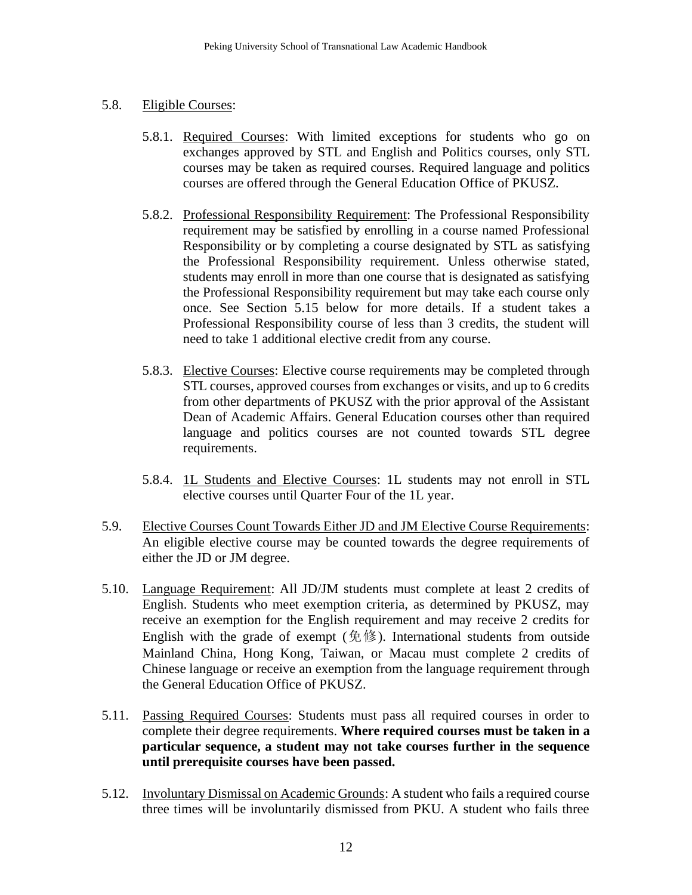#### 5.8. Eligible Courses:

- 5.8.1. Required Courses: With limited exceptions for students who go on exchanges approved by STL and English and Politics courses, only STL courses may be taken as required courses. Required language and politics courses are offered through the General Education Office of PKUSZ.
- 5.8.2. Professional Responsibility Requirement: The Professional Responsibility requirement may be satisfied by enrolling in a course named Professional Responsibility or by completing a course designated by STL as satisfying the Professional Responsibility requirement. Unless otherwise stated, students may enroll in more than one course that is designated as satisfying the Professional Responsibility requirement but may take each course only once. See Section 5.15 below for more details. If a student takes a Professional Responsibility course of less than 3 credits, the student will need to take 1 additional elective credit from any course.
- 5.8.3. Elective Courses: Elective course requirements may be completed through STL courses, approved courses from exchanges or visits, and up to 6 credits from other departments of PKUSZ with the prior approval of the Assistant Dean of Academic Affairs. General Education courses other than required language and politics courses are not counted towards STL degree requirements.
- 5.8.4. 1L Students and Elective Courses: 1L students may not enroll in STL elective courses until Quarter Four of the 1L year.
- 5.9. Elective Courses Count Towards Either JD and JM Elective Course Requirements: An eligible elective course may be counted towards the degree requirements of either the JD or JM degree.
- 5.10. Language Requirement: All JD/JM students must complete at least 2 credits of English. Students who meet exemption criteria, as determined by PKUSZ, may receive an exemption for the English requirement and may receive 2 credits for English with the grade of exempt (免修). International students from outside Mainland China, Hong Kong, Taiwan, or Macau must complete 2 credits of Chinese language or receive an exemption from the language requirement through the General Education Office of PKUSZ.
- 5.11. Passing Required Courses: Students must pass all required courses in order to complete their degree requirements. **Where required courses must be taken in a particular sequence, a student may not take courses further in the sequence until prerequisite courses have been passed.**
- 5.12. Involuntary Dismissal on Academic Grounds: A student who fails a required course three times will be involuntarily dismissed from PKU. A student who fails three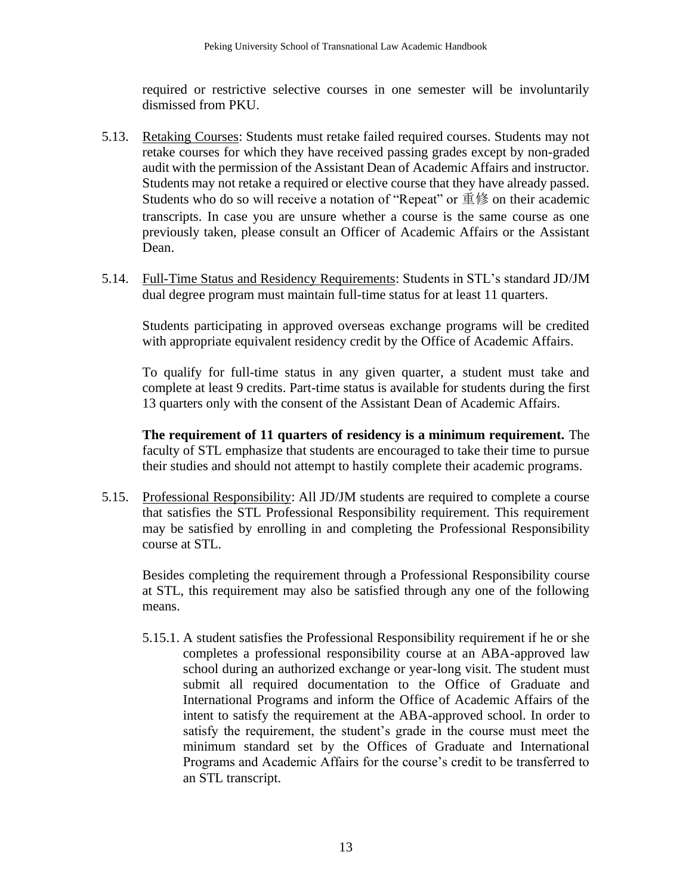required or restrictive selective courses in one semester will be involuntarily dismissed from PKU.

- 5.13. Retaking Courses: Students must retake failed required courses. Students may not retake courses for which they have received passing grades except by non-graded audit with the permission of the Assistant Dean of Academic Affairs and instructor. Students may not retake a required or elective course that they have already passed. Students who do so will receive a notation of "Repeat" or 重修 on their academic transcripts. In case you are unsure whether a course is the same course as one previously taken, please consult an Officer of Academic Affairs or the Assistant Dean.
- 5.14. Full-Time Status and Residency Requirements: Students in STL's standard JD/JM dual degree program must maintain full-time status for at least 11 quarters.

Students participating in approved overseas exchange programs will be credited with appropriate equivalent residency credit by the Office of Academic Affairs.

To qualify for full-time status in any given quarter, a student must take and complete at least 9 credits. Part-time status is available for students during the first 13 quarters only with the consent of the Assistant Dean of Academic Affairs.

**The requirement of 11 quarters of residency is a minimum requirement.** The faculty of STL emphasize that students are encouraged to take their time to pursue their studies and should not attempt to hastily complete their academic programs.

5.15. Professional Responsibility: All JD/JM students are required to complete a course that satisfies the STL Professional Responsibility requirement. This requirement may be satisfied by enrolling in and completing the Professional Responsibility course at STL.

Besides completing the requirement through a Professional Responsibility course at STL, this requirement may also be satisfied through any one of the following means.

5.15.1. A student satisfies the Professional Responsibility requirement if he or she completes a professional responsibility course at an ABA-approved law school during an authorized exchange or year-long visit. The student must submit all required documentation to the Office of Graduate and International Programs and inform the Office of Academic Affairs of the intent to satisfy the requirement at the ABA-approved school. In order to satisfy the requirement, the student's grade in the course must meet the minimum standard set by the Offices of Graduate and International Programs and Academic Affairs for the course's credit to be transferred to an STL transcript.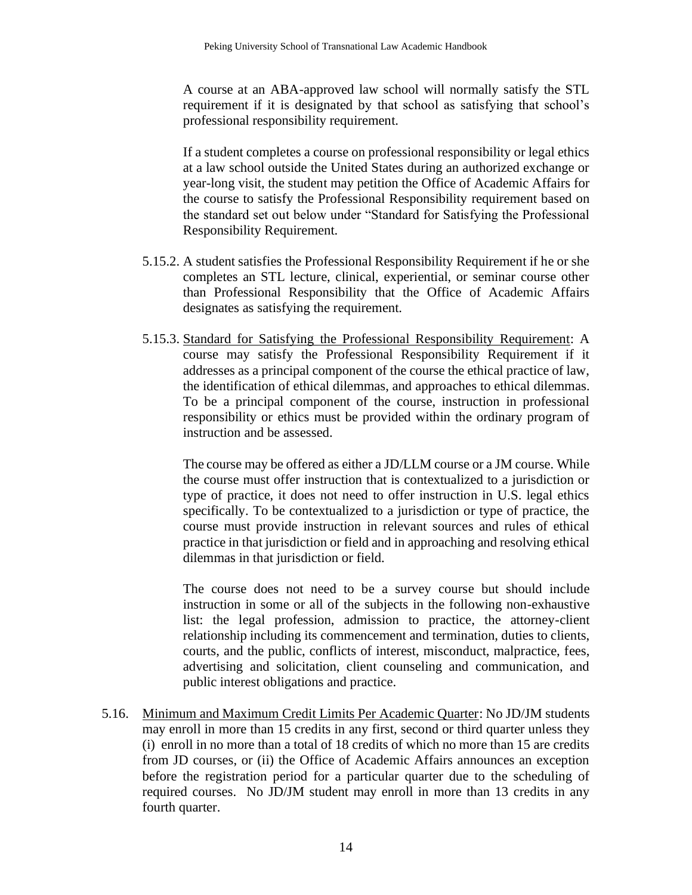A course at an ABA-approved law school will normally satisfy the STL requirement if it is designated by that school as satisfying that school's professional responsibility requirement.

If a student completes a course on professional responsibility or legal ethics at a law school outside the United States during an authorized exchange or year-long visit, the student may petition the Office of Academic Affairs for the course to satisfy the Professional Responsibility requirement based on the standard set out below under "Standard for Satisfying the Professional Responsibility Requirement.

- 5.15.2. A student satisfies the Professional Responsibility Requirement if he or she completes an STL lecture, clinical, experiential, or seminar course other than Professional Responsibility that the Office of Academic Affairs designates as satisfying the requirement.
- 5.15.3. Standard for Satisfying the Professional Responsibility Requirement: A course may satisfy the Professional Responsibility Requirement if it addresses as a principal component of the course the ethical practice of law, the identification of ethical dilemmas, and approaches to ethical dilemmas. To be a principal component of the course, instruction in professional responsibility or ethics must be provided within the ordinary program of instruction and be assessed.

The course may be offered as either a JD/LLM course or a JM course. While the course must offer instruction that is contextualized to a jurisdiction or type of practice, it does not need to offer instruction in U.S. legal ethics specifically. To be contextualized to a jurisdiction or type of practice, the course must provide instruction in relevant sources and rules of ethical practice in that jurisdiction or field and in approaching and resolving ethical dilemmas in that jurisdiction or field.

The course does not need to be a survey course but should include instruction in some or all of the subjects in the following non-exhaustive list: the legal profession, admission to practice, the attorney-client relationship including its commencement and termination, duties to clients, courts, and the public, conflicts of interest, misconduct, malpractice, fees, advertising and solicitation, client counseling and communication, and public interest obligations and practice.

5.16. Minimum and Maximum Credit Limits Per Academic Quarter: No JD/JM students may enroll in more than 15 credits in any first, second or third quarter unless they (i) enroll in no more than a total of 18 credits of which no more than 15 are credits from JD courses, or (ii) the Office of Academic Affairs announces an exception before the registration period for a particular quarter due to the scheduling of required courses. No JD/JM student may enroll in more than 13 credits in any fourth quarter.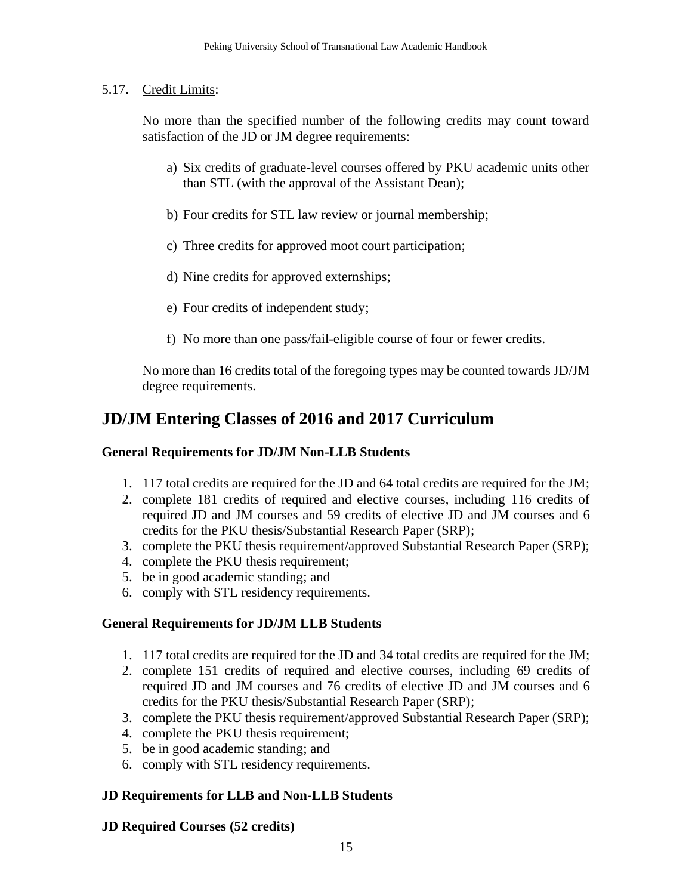### 5.17. Credit Limits:

No more than the specified number of the following credits may count toward satisfaction of the JD or JM degree requirements:

- a) Six credits of graduate-level courses offered by PKU academic units other than STL (with the approval of the Assistant Dean);
- b) Four credits for STL law review or journal membership;
- c) Three credits for approved moot court participation;
- d) Nine credits for approved externships;
- e) Four credits of independent study;
- f) No more than one pass/fail-eligible course of four or fewer credits.

No more than 16 credits total of the foregoing types may be counted towards JD/JM degree requirements.

# <span id="page-14-0"></span>**JD/JM Entering Classes of 2016 and 2017 Curriculum**

### **General Requirements for JD/JM Non-LLB Students**

- 1. 117 total credits are required for the JD and 64 total credits are required for the JM;
- 2. complete 181 credits of required and elective courses, including 116 credits of required JD and JM courses and 59 credits of elective JD and JM courses and 6 credits for the PKU thesis/Substantial Research Paper (SRP);
- 3. complete the PKU thesis requirement/approved Substantial Research Paper (SRP);
- 4. complete the PKU thesis requirement;
- 5. be in good academic standing; and
- 6. comply with STL residency requirements.

### **General Requirements for JD/JM LLB Students**

- 1. 117 total credits are required for the JD and 34 total credits are required for the JM;
- 2. complete 151 credits of required and elective courses, including 69 credits of required JD and JM courses and 76 credits of elective JD and JM courses and 6 credits for the PKU thesis/Substantial Research Paper (SRP);
- 3. complete the PKU thesis requirement/approved Substantial Research Paper (SRP);
- 4. complete the PKU thesis requirement;
- 5. be in good academic standing; and
- 6. comply with STL residency requirements.

### **JD Requirements for LLB and Non-LLB Students**

### **JD Required Courses (52 credits)**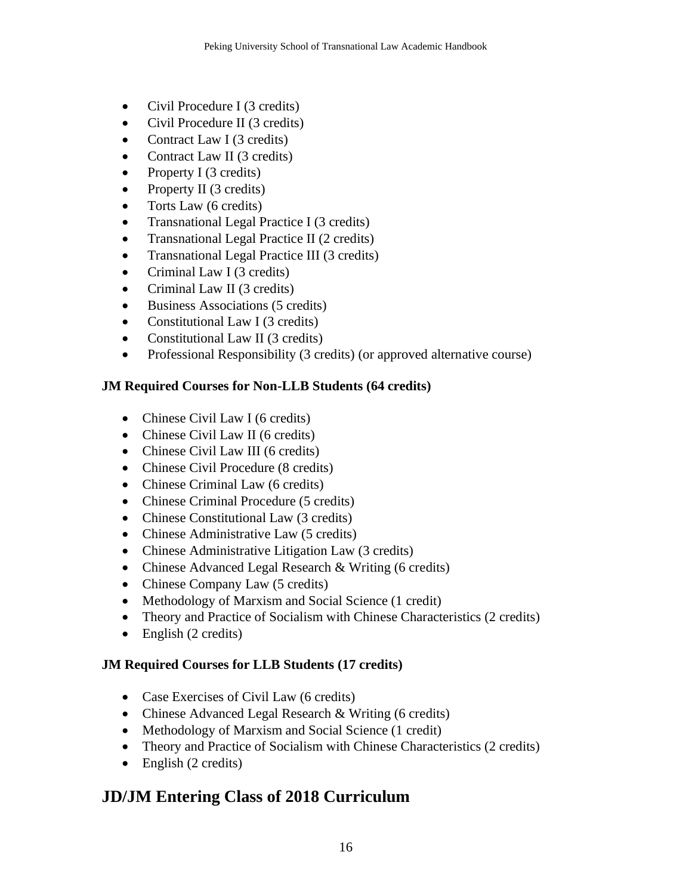- Civil Procedure I (3 credits)
- Civil Procedure II (3 credits)
- Contract Law I (3 credits)
- Contract Law II (3 credits)
- Property I (3 credits)
- Property II (3 credits)
- Torts Law (6 credits)
- Transnational Legal Practice I (3 credits)
- Transnational Legal Practice II (2 credits)
- Transnational Legal Practice III (3 credits)
- Criminal Law I (3 credits)
- Criminal Law II (3 credits)
- Business Associations (5 credits)
- Constitutional Law I (3 credits)
- Constitutional Law II (3 credits)
- Professional Responsibility (3 credits) (or approved alternative course)

### **JM Required Courses for Non-LLB Students (64 credits)**

- Chinese Civil Law I (6 credits)
- Chinese Civil Law II (6 credits)
- Chinese Civil Law III (6 credits)
- Chinese Civil Procedure (8 credits)
- Chinese Criminal Law (6 credits)
- Chinese Criminal Procedure (5 credits)
- Chinese Constitutional Law (3 credits)
- Chinese Administrative Law (5 credits)
- Chinese Administrative Litigation Law (3 credits)
- Chinese Advanced Legal Research & Writing (6 credits)
- Chinese Company Law (5 credits)
- Methodology of Marxism and Social Science (1 credit)
- Theory and Practice of Socialism with Chinese Characteristics (2 credits)
- English (2 credits)

### **JM Required Courses for LLB Students (17 credits)**

- Case Exercises of Civil Law (6 credits)
- Chinese Advanced Legal Research & Writing (6 credits)
- Methodology of Marxism and Social Science (1 credit)
- Theory and Practice of Socialism with Chinese Characteristics (2 credits)
- English (2 credits)

# <span id="page-15-0"></span>**JD/JM Entering Class of 2018 Curriculum**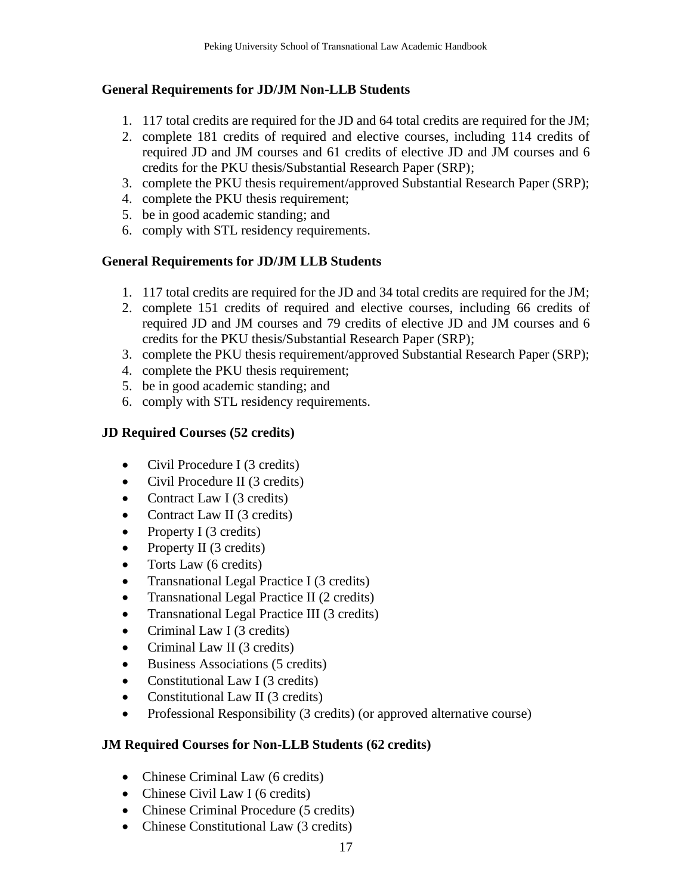### **General Requirements for JD/JM Non-LLB Students**

- 1. 117 total credits are required for the JD and 64 total credits are required for the JM;
- 2. complete 181 credits of required and elective courses, including 114 credits of required JD and JM courses and 61 credits of elective JD and JM courses and 6 credits for the PKU thesis/Substantial Research Paper (SRP);
- 3. complete the PKU thesis requirement/approved Substantial Research Paper (SRP);
- 4. complete the PKU thesis requirement;
- 5. be in good academic standing; and
- 6. comply with STL residency requirements.

### **General Requirements for JD/JM LLB Students**

- 1. 117 total credits are required for the JD and 34 total credits are required for the JM;
- 2. complete 151 credits of required and elective courses, including 66 credits of required JD and JM courses and 79 credits of elective JD and JM courses and 6 credits for the PKU thesis/Substantial Research Paper (SRP);
- 3. complete the PKU thesis requirement/approved Substantial Research Paper (SRP);
- 4. complete the PKU thesis requirement;
- 5. be in good academic standing; and
- 6. comply with STL residency requirements.

### **JD Required Courses (52 credits)**

- Civil Procedure I (3 credits)
- Civil Procedure II (3 credits)
- Contract Law I (3 credits)
- Contract Law II (3 credits)
- Property I (3 credits)
- Property II (3 credits)
- Torts Law (6 credits)
- Transnational Legal Practice I (3 credits)
- Transnational Legal Practice II (2 credits)
- Transnational Legal Practice III (3 credits)
- Criminal Law I (3 credits)
- Criminal Law II (3 credits)
- Business Associations (5 credits)
- Constitutional Law I (3 credits)
- Constitutional Law II (3 credits)
- Professional Responsibility (3 credits) (or approved alternative course)

### **JM Required Courses for Non-LLB Students (62 credits)**

- Chinese Criminal Law (6 credits)
- Chinese Civil Law I (6 credits)
- Chinese Criminal Procedure (5 credits)
- Chinese Constitutional Law (3 credits)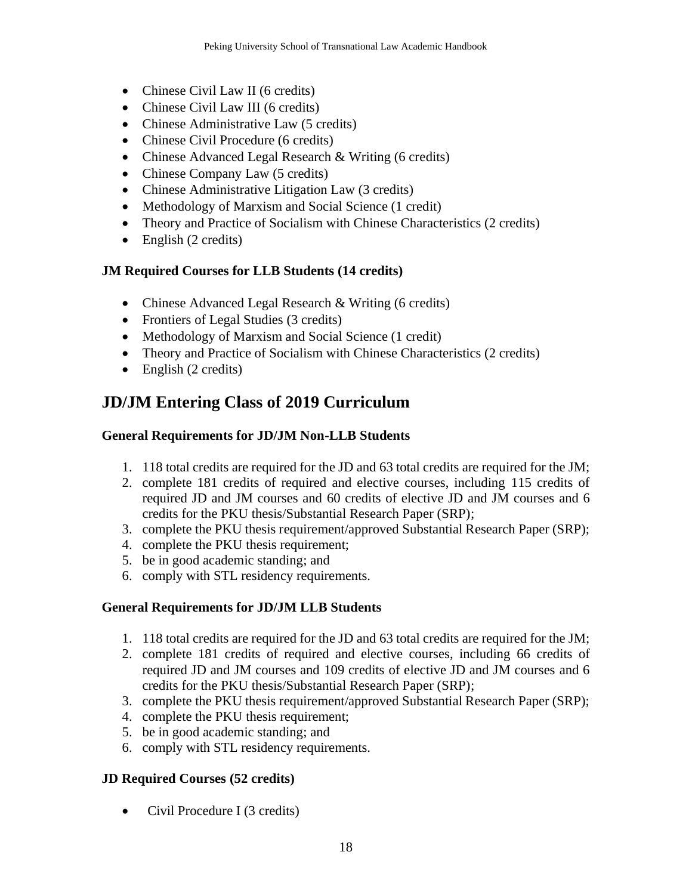- Chinese Civil Law II (6 credits)
- Chinese Civil Law III (6 credits)
- Chinese Administrative Law (5 credits)
- Chinese Civil Procedure (6 credits)
- Chinese Advanced Legal Research & Writing (6 credits)
- Chinese Company Law (5 credits)
- Chinese Administrative Litigation Law (3 credits)
- Methodology of Marxism and Social Science (1 credit)
- Theory and Practice of Socialism with Chinese Characteristics (2 credits)
- English (2 credits)

### **JM Required Courses for LLB Students (14 credits)**

- Chinese Advanced Legal Research & Writing (6 credits)
- Frontiers of Legal Studies (3 credits)
- Methodology of Marxism and Social Science (1 credit)
- Theory and Practice of Socialism with Chinese Characteristics (2 credits)
- English (2 credits)

# <span id="page-17-0"></span>**JD/JM Entering Class of 2019 Curriculum**

### **General Requirements for JD/JM Non-LLB Students**

- 1. 118 total credits are required for the JD and 63 total credits are required for the JM;
- 2. complete 181 credits of required and elective courses, including 115 credits of required JD and JM courses and 60 credits of elective JD and JM courses and 6 credits for the PKU thesis/Substantial Research Paper (SRP);
- 3. complete the PKU thesis requirement/approved Substantial Research Paper (SRP);
- 4. complete the PKU thesis requirement;
- 5. be in good academic standing; and
- 6. comply with STL residency requirements.

### **General Requirements for JD/JM LLB Students**

- 1. 118 total credits are required for the JD and 63 total credits are required for the JM;
- 2. complete 181 credits of required and elective courses, including 66 credits of required JD and JM courses and 109 credits of elective JD and JM courses and 6 credits for the PKU thesis/Substantial Research Paper (SRP);
- 3. complete the PKU thesis requirement/approved Substantial Research Paper (SRP);
- 4. complete the PKU thesis requirement;
- 5. be in good academic standing; and
- 6. comply with STL residency requirements.

### **JD Required Courses (52 credits)**

• Civil Procedure I (3 credits)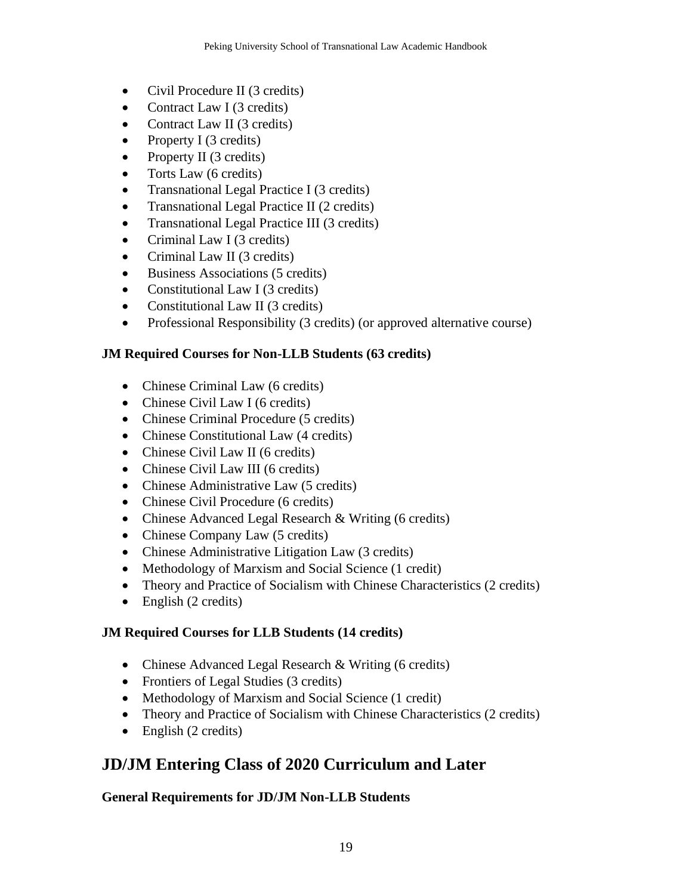- Civil Procedure II (3 credits)
- Contract Law I (3 credits)
- Contract Law II (3 credits)
- Property I (3 credits)
- Property II (3 credits)
- Torts Law (6 credits)
- Transnational Legal Practice I (3 credits)
- Transnational Legal Practice II (2 credits)
- Transnational Legal Practice III (3 credits)
- Criminal Law I (3 credits)
- Criminal Law II (3 credits)
- Business Associations (5 credits)
- Constitutional Law I (3 credits)
- Constitutional Law II (3 credits)
- Professional Responsibility (3 credits) (or approved alternative course)

### **JM Required Courses for Non-LLB Students (63 credits)**

- Chinese Criminal Law (6 credits)
- Chinese Civil Law I (6 credits)
- Chinese Criminal Procedure (5 credits)
- Chinese Constitutional Law (4 credits)
- Chinese Civil Law II (6 credits)
- Chinese Civil Law III (6 credits)
- Chinese Administrative Law (5 credits)
- Chinese Civil Procedure (6 credits)
- Chinese Advanced Legal Research & Writing (6 credits)
- Chinese Company Law (5 credits)
- Chinese Administrative Litigation Law (3 credits)
- Methodology of Marxism and Social Science (1 credit)
- Theory and Practice of Socialism with Chinese Characteristics (2 credits)
- English (2 credits)

# **JM Required Courses for LLB Students (14 credits)**

- Chinese Advanced Legal Research & Writing (6 credits)
- Frontiers of Legal Studies (3 credits)
- Methodology of Marxism and Social Science (1 credit)
- Theory and Practice of Socialism with Chinese Characteristics (2 credits)
- English (2 credits)

# <span id="page-18-0"></span>**JD/JM Entering Class of 2020 Curriculum and Later**

# **General Requirements for JD/JM Non-LLB Students**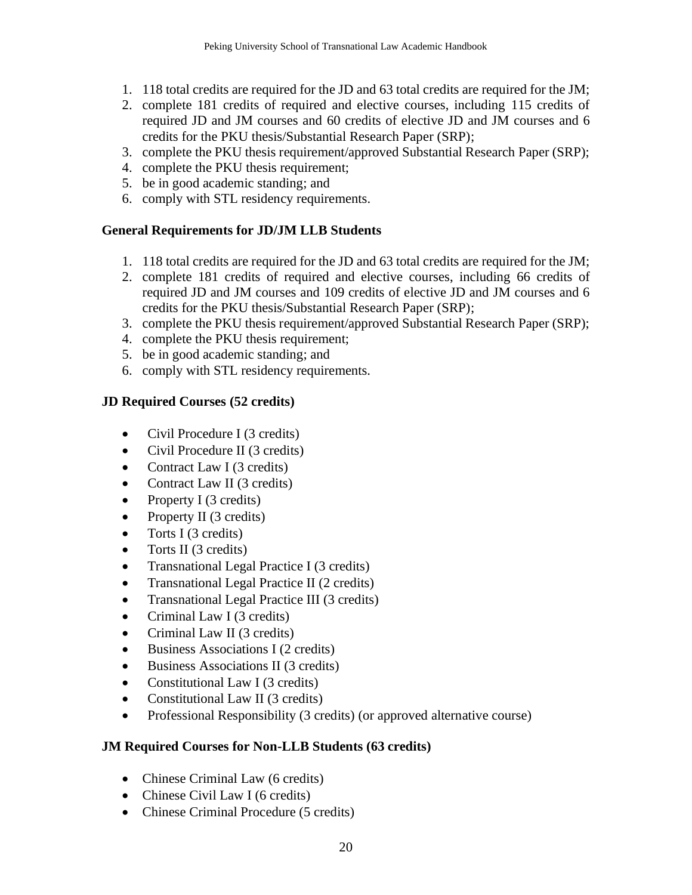- 1. 118 total credits are required for the JD and 63 total credits are required for the JM;
- 2. complete 181 credits of required and elective courses, including 115 credits of required JD and JM courses and 60 credits of elective JD and JM courses and 6 credits for the PKU thesis/Substantial Research Paper (SRP);
- 3. complete the PKU thesis requirement/approved Substantial Research Paper (SRP);
- 4. complete the PKU thesis requirement;
- 5. be in good academic standing; and
- 6. comply with STL residency requirements.

### **General Requirements for JD/JM LLB Students**

- 1. 118 total credits are required for the JD and 63 total credits are required for the JM;
- 2. complete 181 credits of required and elective courses, including 66 credits of required JD and JM courses and 109 credits of elective JD and JM courses and 6 credits for the PKU thesis/Substantial Research Paper (SRP);
- 3. complete the PKU thesis requirement/approved Substantial Research Paper (SRP);
- 4. complete the PKU thesis requirement;
- 5. be in good academic standing; and
- 6. comply with STL residency requirements.

### **JD Required Courses (52 credits)**

- Civil Procedure I (3 credits)
- Civil Procedure II (3 credits)
- Contract Law I (3 credits)
- Contract Law II (3 credits)
- Property I (3 credits)
- Property II (3 credits)
- Torts I (3 credits)
- Torts II (3 credits)
- Transnational Legal Practice I (3 credits)
- Transnational Legal Practice II (2 credits)
- Transnational Legal Practice III (3 credits)
- Criminal Law I (3 credits)
- Criminal Law II (3 credits)
- Business Associations I (2 credits)
- Business Associations II (3 credits)
- Constitutional Law I (3 credits)
- Constitutional Law II (3 credits)
- Professional Responsibility (3 credits) (or approved alternative course)

### **JM Required Courses for Non-LLB Students (63 credits)**

- Chinese Criminal Law (6 credits)
- Chinese Civil Law I (6 credits)
- Chinese Criminal Procedure (5 credits)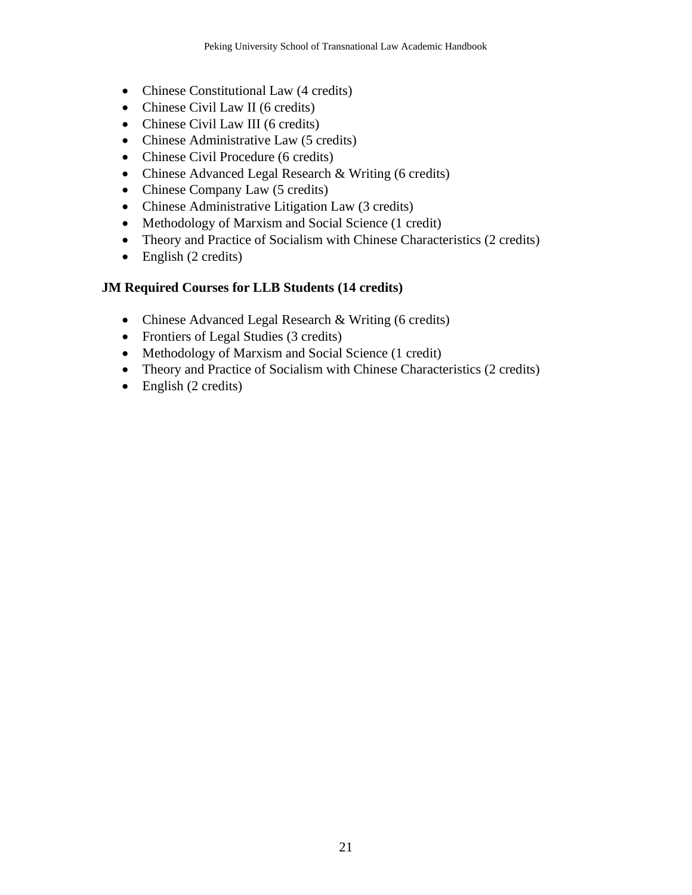- Chinese Constitutional Law (4 credits)
- Chinese Civil Law II (6 credits)
- Chinese Civil Law III (6 credits)
- Chinese Administrative Law (5 credits)
- Chinese Civil Procedure (6 credits)
- Chinese Advanced Legal Research & Writing (6 credits)
- Chinese Company Law (5 credits)
- Chinese Administrative Litigation Law (3 credits)
- Methodology of Marxism and Social Science (1 credit)
- Theory and Practice of Socialism with Chinese Characteristics (2 credits)
- English (2 credits)

### **JM Required Courses for LLB Students (14 credits)**

- Chinese Advanced Legal Research & Writing (6 credits)
- Frontiers of Legal Studies (3 credits)
- Methodology of Marxism and Social Science (1 credit)
- Theory and Practice of Socialism with Chinese Characteristics (2 credits)
- English  $(2 \text{ credits})$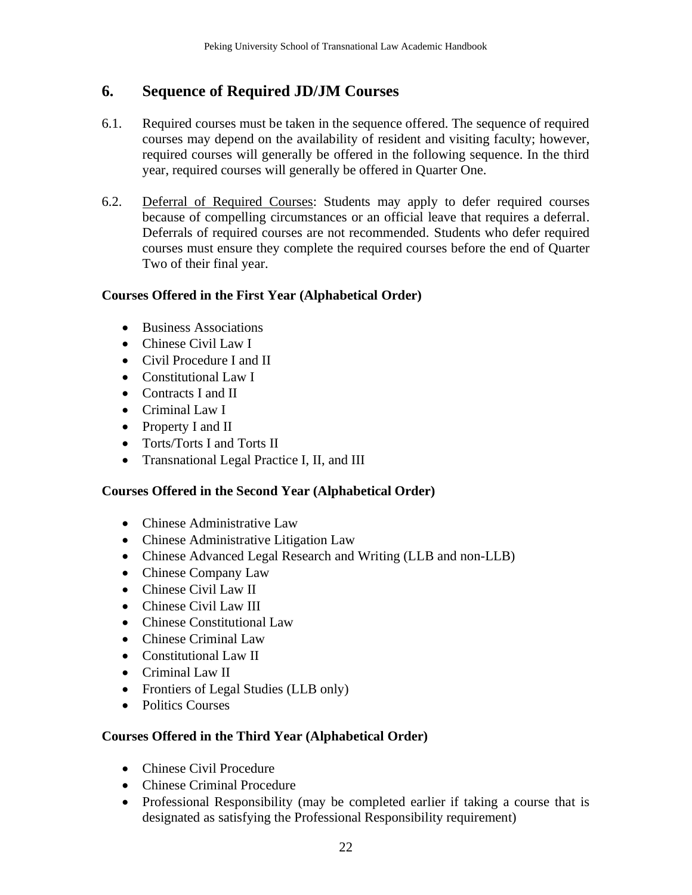# <span id="page-21-0"></span>**6. Sequence of Required JD/JM Courses**

- 6.1. Required courses must be taken in the sequence offered. The sequence of required courses may depend on the availability of resident and visiting faculty; however, required courses will generally be offered in the following sequence. In the third year, required courses will generally be offered in Quarter One.
- 6.2. Deferral of Required Courses: Students may apply to defer required courses because of compelling circumstances or an official leave that requires a deferral. Deferrals of required courses are not recommended. Students who defer required courses must ensure they complete the required courses before the end of Quarter Two of their final year.

### **Courses Offered in the First Year (Alphabetical Order)**

- Business Associations
- Chinese Civil Law I
- Civil Procedure I and II
- Constitutional Law I
- Contracts I and II
- Criminal Law I
- Property I and II
- Torts/Torts I and Torts II
- Transnational Legal Practice I, II, and III

### **Courses Offered in the Second Year (Alphabetical Order)**

- Chinese Administrative Law
- Chinese Administrative Litigation Law
- Chinese Advanced Legal Research and Writing (LLB and non-LLB)
- Chinese Company Law
- Chinese Civil Law II
- Chinese Civil Law III
- Chinese Constitutional Law
- Chinese Criminal Law
- Constitutional Law II
- Criminal Law II
- Frontiers of Legal Studies (LLB only)
- Politics Courses

### **Courses Offered in the Third Year (Alphabetical Order)**

- Chinese Civil Procedure
- Chinese Criminal Procedure
- Professional Responsibility (may be completed earlier if taking a course that is designated as satisfying the Professional Responsibility requirement)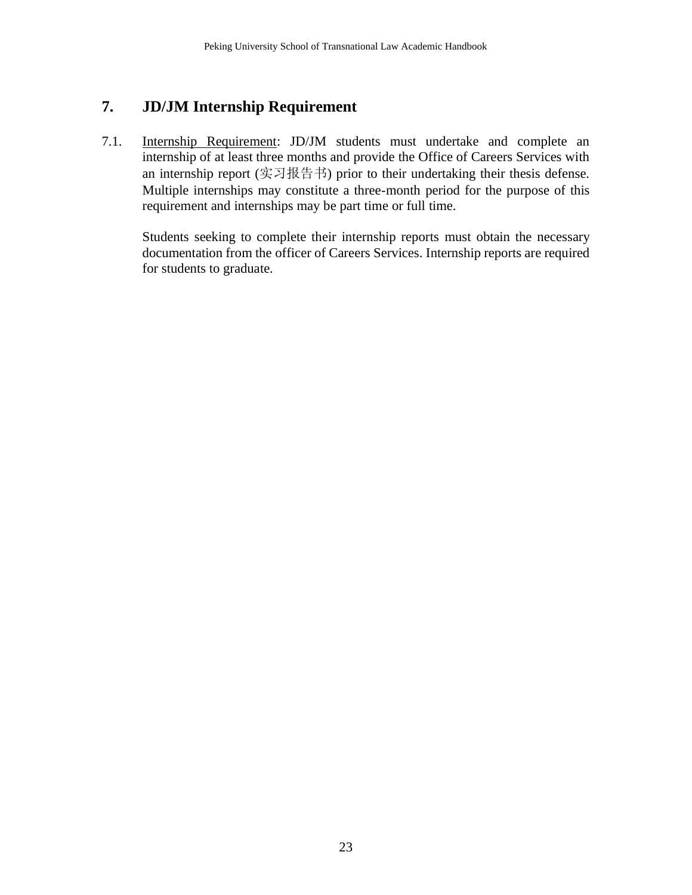# <span id="page-22-0"></span>**7. JD/JM Internship Requirement**

7.1. Internship Requirement: JD/JM students must undertake and complete an internship of at least three months and provide the Office of Careers Services with an internship report (实习报告书) prior to their undertaking their thesis defense. Multiple internships may constitute a three-month period for the purpose of this requirement and internships may be part time or full time.

Students seeking to complete their internship reports must obtain the necessary documentation from the officer of Careers Services. Internship reports are required for students to graduate.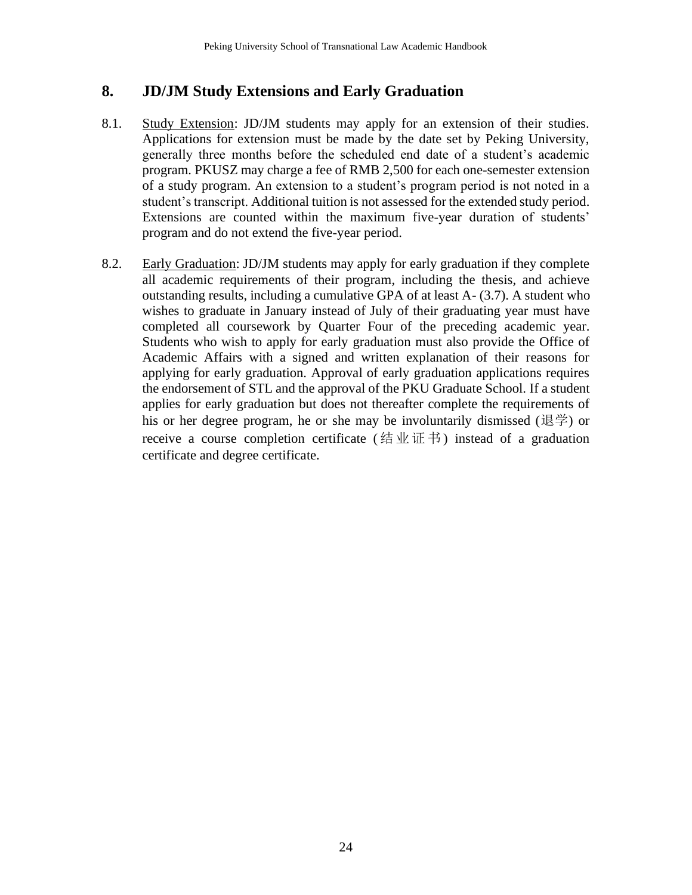# <span id="page-23-0"></span>**8. JD/JM Study Extensions and Early Graduation**

- 8.1. Study Extension: JD/JM students may apply for an extension of their studies. Applications for extension must be made by the date set by Peking University, generally three months before the scheduled end date of a student's academic program. PKUSZ may charge a fee of RMB 2,500 for each one-semester extension of a study program. An extension to a student's program period is not noted in a student's transcript. Additional tuition is not assessed for the extended study period. Extensions are counted within the maximum five-year duration of students' program and do not extend the five-year period.
- 8.2. Early Graduation: JD/JM students may apply for early graduation if they complete all academic requirements of their program, including the thesis, and achieve outstanding results, including a cumulative GPA of at least A- (3.7). A student who wishes to graduate in January instead of July of their graduating year must have completed all coursework by Quarter Four of the preceding academic year. Students who wish to apply for early graduation must also provide the Office of Academic Affairs with a signed and written explanation of their reasons for applying for early graduation. Approval of early graduation applications requires the endorsement of STL and the approval of the PKU Graduate School. If a student applies for early graduation but does not thereafter complete the requirements of his or her degree program, he or she may be involuntarily dismissed (退学) or receive a course completion certificate (结业证书) instead of a graduation certificate and degree certificate.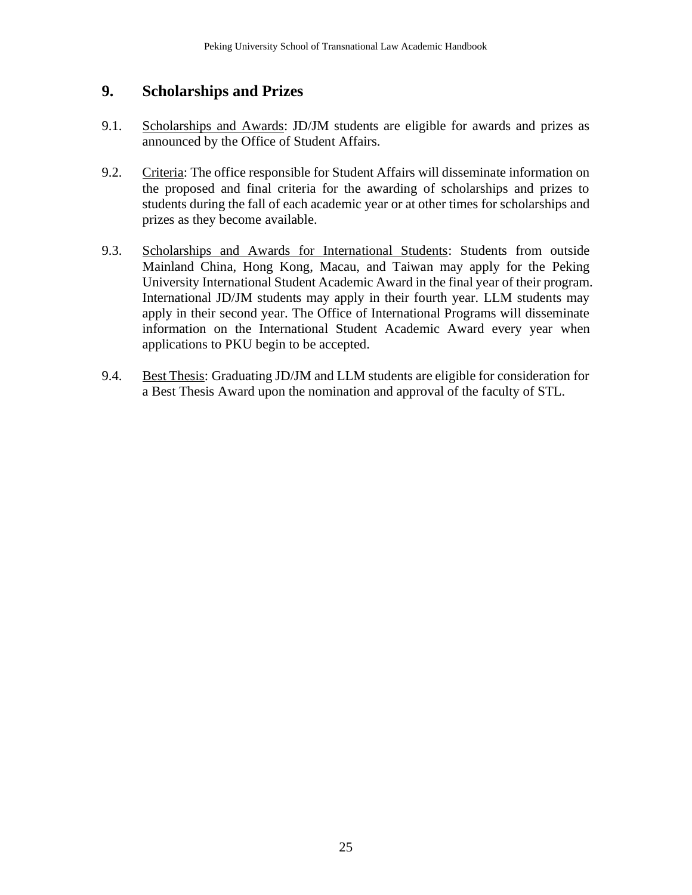# <span id="page-24-0"></span>**9. Scholarships and Prizes**

- 9.1. Scholarships and Awards: JD/JM students are eligible for awards and prizes as announced by the Office of Student Affairs.
- 9.2. Criteria: The office responsible for Student Affairs will disseminate information on the proposed and final criteria for the awarding of scholarships and prizes to students during the fall of each academic year or at other times for scholarships and prizes as they become available.
- 9.3. Scholarships and Awards for International Students: Students from outside Mainland China, Hong Kong, Macau, and Taiwan may apply for the Peking University International Student Academic Award in the final year of their program. International JD/JM students may apply in their fourth year. LLM students may apply in their second year. The Office of International Programs will disseminate information on the International Student Academic Award every year when applications to PKU begin to be accepted.
- 9.4. Best Thesis: Graduating JD/JM and LLM students are eligible for consideration for a Best Thesis Award upon the nomination and approval of the faculty of STL.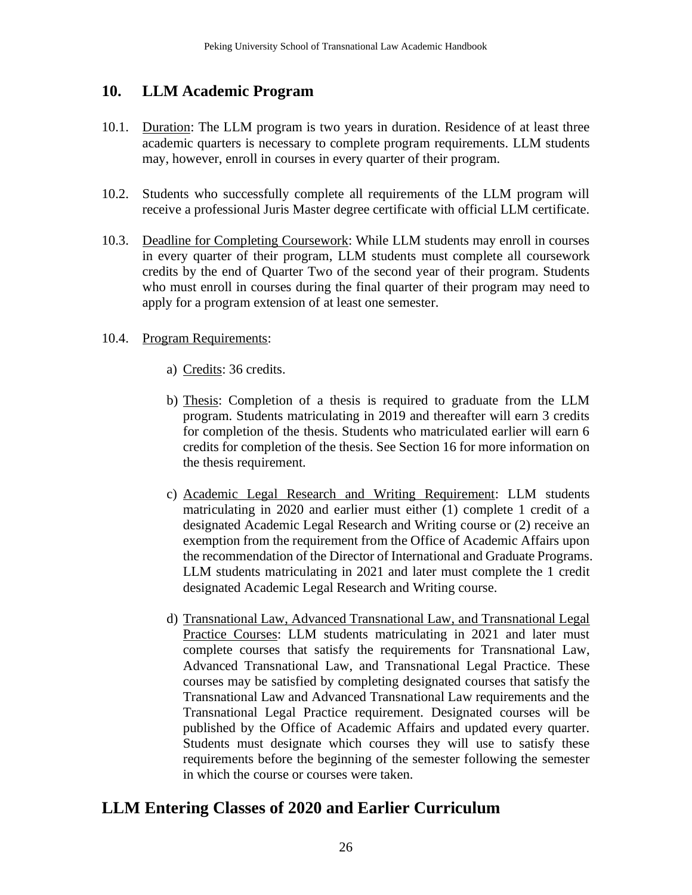## <span id="page-25-0"></span>**10. LLM Academic Program**

- 10.1. Duration: The LLM program is two years in duration. Residence of at least three academic quarters is necessary to complete program requirements. LLM students may, however, enroll in courses in every quarter of their program.
- 10.2. Students who successfully complete all requirements of the LLM program will receive a professional Juris Master degree certificate with official LLM certificate.
- 10.3. Deadline for Completing Coursework: While LLM students may enroll in courses in every quarter of their program, LLM students must complete all coursework credits by the end of Quarter Two of the second year of their program. Students who must enroll in courses during the final quarter of their program may need to apply for a program extension of at least one semester.

#### 10.4. Program Requirements:

- a) Credits: 36 credits.
- b) Thesis: Completion of a thesis is required to graduate from the LLM program. Students matriculating in 2019 and thereafter will earn 3 credits for completion of the thesis. Students who matriculated earlier will earn 6 credits for completion of the thesis. See Section 16 for more information on the thesis requirement.
- c) Academic Legal Research and Writing Requirement: LLM students matriculating in 2020 and earlier must either (1) complete 1 credit of a designated Academic Legal Research and Writing course or (2) receive an exemption from the requirement from the Office of Academic Affairs upon the recommendation of the Director of International and Graduate Programs. LLM students matriculating in 2021 and later must complete the 1 credit designated Academic Legal Research and Writing course.
- d) Transnational Law, Advanced Transnational Law, and Transnational Legal Practice Courses: LLM students matriculating in 2021 and later must complete courses that satisfy the requirements for Transnational Law, Advanced Transnational Law, and Transnational Legal Practice. These courses may be satisfied by completing designated courses that satisfy the Transnational Law and Advanced Transnational Law requirements and the Transnational Legal Practice requirement. Designated courses will be published by the Office of Academic Affairs and updated every quarter. Students must designate which courses they will use to satisfy these requirements before the beginning of the semester following the semester in which the course or courses were taken.

# **LLM Entering Classes of 2020 and Earlier Curriculum**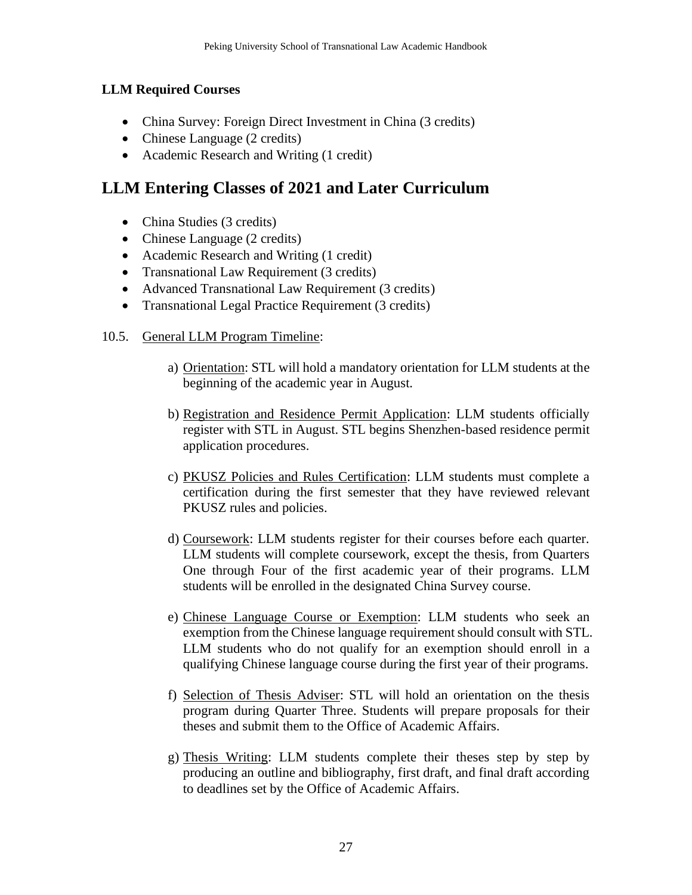### **LLM Required Courses**

- China Survey: Foreign Direct Investment in China (3 credits)
- Chinese Language (2 credits)
- Academic Research and Writing (1 credit)

# **LLM Entering Classes of 2021 and Later Curriculum**

- China Studies (3 credits)
- Chinese Language (2 credits)
- Academic Research and Writing (1 credit)
- Transnational Law Requirement (3 credits)
- Advanced Transnational Law Requirement (3 credits)
- Transnational Legal Practice Requirement (3 credits)
- 10.5. General LLM Program Timeline:
	- a) Orientation: STL will hold a mandatory orientation for LLM students at the beginning of the academic year in August.
	- b) Registration and Residence Permit Application: LLM students officially register with STL in August. STL begins Shenzhen-based residence permit application procedures.
	- c) PKUSZ Policies and Rules Certification: LLM students must complete a certification during the first semester that they have reviewed relevant PKUSZ rules and policies.
	- d) Coursework: LLM students register for their courses before each quarter. LLM students will complete coursework, except the thesis, from Quarters One through Four of the first academic year of their programs. LLM students will be enrolled in the designated China Survey course.
	- e) Chinese Language Course or Exemption: LLM students who seek an exemption from the Chinese language requirement should consult with STL. LLM students who do not qualify for an exemption should enroll in a qualifying Chinese language course during the first year of their programs.
	- f) Selection of Thesis Adviser: STL will hold an orientation on the thesis program during Quarter Three. Students will prepare proposals for their theses and submit them to the Office of Academic Affairs.
	- g) Thesis Writing: LLM students complete their theses step by step by producing an outline and bibliography, first draft, and final draft according to deadlines set by the Office of Academic Affairs.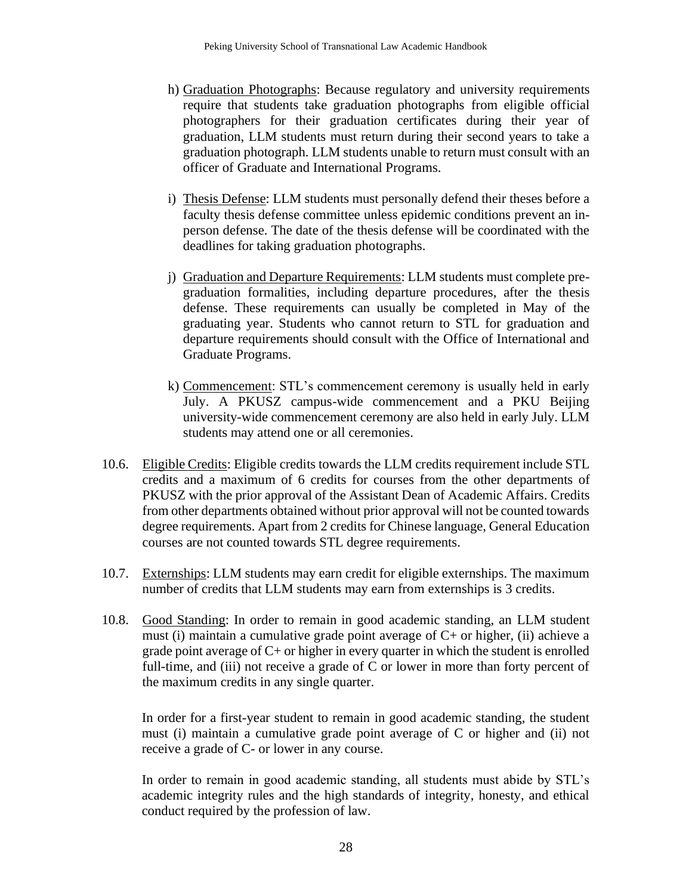- h) Graduation Photographs: Because regulatory and university requirements require that students take graduation photographs from eligible official photographers for their graduation certificates during their year of graduation, LLM students must return during their second years to take a graduation photograph. LLM students unable to return must consult with an officer of Graduate and International Programs.
- i) Thesis Defense: LLM students must personally defend their theses before a faculty thesis defense committee unless epidemic conditions prevent an inperson defense. The date of the thesis defense will be coordinated with the deadlines for taking graduation photographs.
- j) Graduation and Departure Requirements: LLM students must complete pregraduation formalities, including departure procedures, after the thesis defense. These requirements can usually be completed in May of the graduating year. Students who cannot return to STL for graduation and departure requirements should consult with the Office of International and Graduate Programs.
- k) Commencement: STL's commencement ceremony is usually held in early July. A PKUSZ campus-wide commencement and a PKU Beijing university-wide commencement ceremony are also held in early July. LLM students may attend one or all ceremonies.
- 10.6. Eligible Credits: Eligible credits towards the LLM credits requirement include STL credits and a maximum of 6 credits for courses from the other departments of PKUSZ with the prior approval of the Assistant Dean of Academic Affairs. Credits from other departments obtained without prior approval will not be counted towards degree requirements. Apart from 2 credits for Chinese language, General Education courses are not counted towards STL degree requirements.
- 10.7. Externships: LLM students may earn credit for eligible externships. The maximum number of credits that LLM students may earn from externships is 3 credits.
- 10.8. Good Standing: In order to remain in good academic standing, an LLM student must (i) maintain a cumulative grade point average of C+ or higher, (ii) achieve a grade point average of C+ or higher in every quarter in which the student is enrolled full-time, and (iii) not receive a grade of C or lower in more than forty percent of the maximum credits in any single quarter.

In order for a first-year student to remain in good academic standing, the student must (i) maintain a cumulative grade point average of C or higher and (ii) not receive a grade of C- or lower in any course.

In order to remain in good academic standing, all students must abide by STL's academic integrity rules and the high standards of integrity, honesty, and ethical conduct required by the profession of law.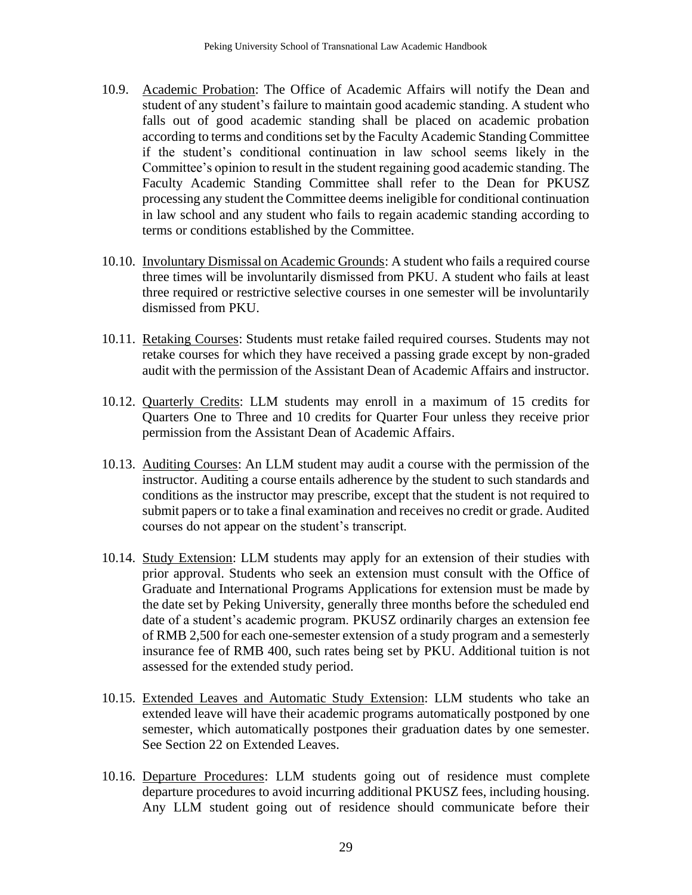- 10.9. Academic Probation: The Office of Academic Affairs will notify the Dean and student of any student's failure to maintain good academic standing. A student who falls out of good academic standing shall be placed on academic probation according to terms and conditions set by the Faculty Academic Standing Committee if the student's conditional continuation in law school seems likely in the Committee's opinion to result in the student regaining good academic standing. The Faculty Academic Standing Committee shall refer to the Dean for PKUSZ processing any student the Committee deems ineligible for conditional continuation in law school and any student who fails to regain academic standing according to terms or conditions established by the Committee.
- 10.10. Involuntary Dismissal on Academic Grounds: A student who fails a required course three times will be involuntarily dismissed from PKU. A student who fails at least three required or restrictive selective courses in one semester will be involuntarily dismissed from PKU.
- 10.11. Retaking Courses: Students must retake failed required courses. Students may not retake courses for which they have received a passing grade except by non-graded audit with the permission of the Assistant Dean of Academic Affairs and instructor.
- 10.12. Quarterly Credits: LLM students may enroll in a maximum of 15 credits for Quarters One to Three and 10 credits for Quarter Four unless they receive prior permission from the Assistant Dean of Academic Affairs.
- 10.13. Auditing Courses: An LLM student may audit a course with the permission of the instructor. Auditing a course entails adherence by the student to such standards and conditions as the instructor may prescribe, except that the student is not required to submit papers or to take a final examination and receives no credit or grade. Audited courses do not appear on the student's transcript.
- 10.14. Study Extension: LLM students may apply for an extension of their studies with prior approval. Students who seek an extension must consult with the Office of Graduate and International Programs Applications for extension must be made by the date set by Peking University, generally three months before the scheduled end date of a student's academic program. PKUSZ ordinarily charges an extension fee of RMB 2,500 for each one-semester extension of a study program and a semesterly insurance fee of RMB 400, such rates being set by PKU. Additional tuition is not assessed for the extended study period.
- 10.15. Extended Leaves and Automatic Study Extension: LLM students who take an extended leave will have their academic programs automatically postponed by one semester, which automatically postpones their graduation dates by one semester. See Section 22 on Extended Leaves.
- 10.16. Departure Procedures: LLM students going out of residence must complete departure procedures to avoid incurring additional PKUSZ fees, including housing. Any LLM student going out of residence should communicate before their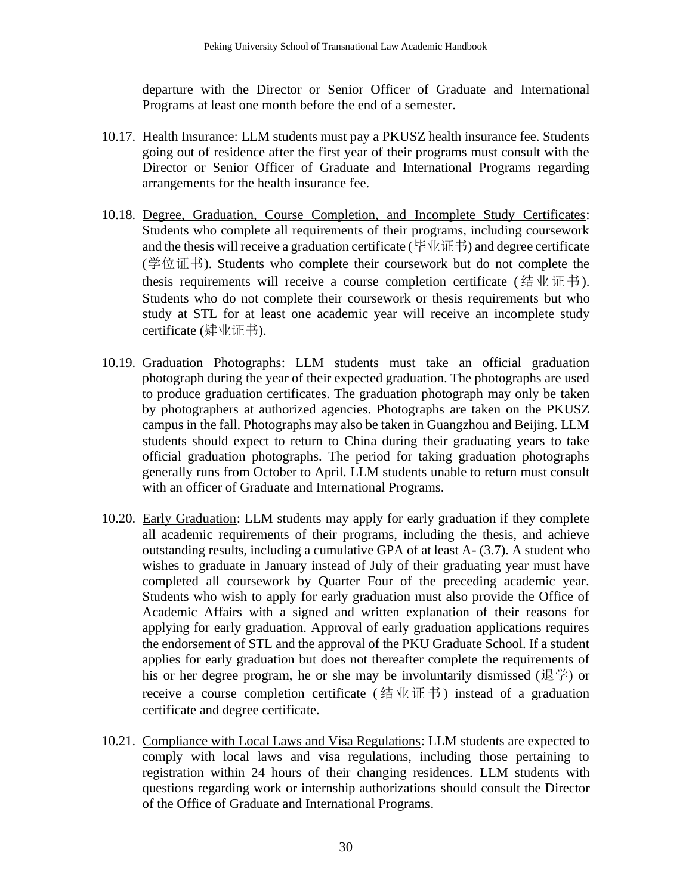departure with the Director or Senior Officer of Graduate and International Programs at least one month before the end of a semester.

- 10.17. Health Insurance: LLM students must pay a PKUSZ health insurance fee. Students going out of residence after the first year of their programs must consult with the Director or Senior Officer of Graduate and International Programs regarding arrangements for the health insurance fee.
- 10.18. Degree, Graduation, Course Completion, and Incomplete Study Certificates: Students who complete all requirements of their programs, including coursework and the thesis will receive a graduation certificate (毕业证书) and degree certificate (学位证书). Students who complete their coursework but do not complete the thesis requirements will receive a course completion certificate (结业证书). Students who do not complete their coursework or thesis requirements but who study at STL for at least one academic year will receive an incomplete study certificate (肄业证书).
- 10.19. Graduation Photographs: LLM students must take an official graduation photograph during the year of their expected graduation. The photographs are used to produce graduation certificates. The graduation photograph may only be taken by photographers at authorized agencies. Photographs are taken on the PKUSZ campus in the fall. Photographs may also be taken in Guangzhou and Beijing. LLM students should expect to return to China during their graduating years to take official graduation photographs. The period for taking graduation photographs generally runs from October to April. LLM students unable to return must consult with an officer of Graduate and International Programs.
- 10.20. Early Graduation: LLM students may apply for early graduation if they complete all academic requirements of their programs, including the thesis, and achieve outstanding results, including a cumulative GPA of at least A- (3.7). A student who wishes to graduate in January instead of July of their graduating year must have completed all coursework by Quarter Four of the preceding academic year. Students who wish to apply for early graduation must also provide the Office of Academic Affairs with a signed and written explanation of their reasons for applying for early graduation. Approval of early graduation applications requires the endorsement of STL and the approval of the PKU Graduate School. If a student applies for early graduation but does not thereafter complete the requirements of his or her degree program, he or she may be involuntarily dismissed (退学) or receive a course completion certificate (结业证书) instead of a graduation certificate and degree certificate.
- 10.21. Compliance with Local Laws and Visa Regulations: LLM students are expected to comply with local laws and visa regulations, including those pertaining to registration within 24 hours of their changing residences. LLM students with questions regarding work or internship authorizations should consult the Director of the Office of Graduate and International Programs.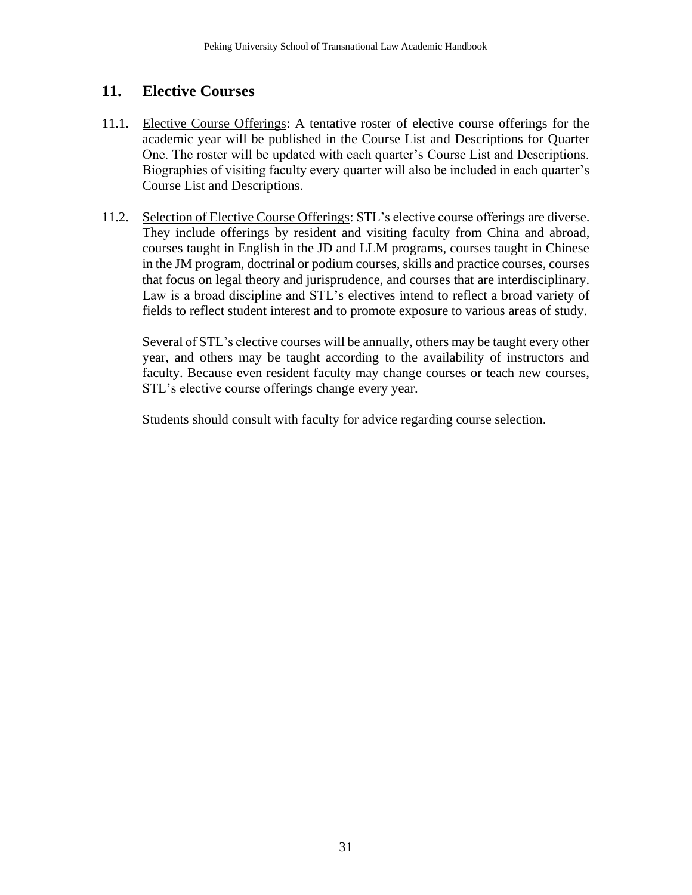# <span id="page-30-0"></span>**11. Elective Courses**

- 11.1. Elective Course Offerings: A tentative roster of elective course offerings for the academic year will be published in the Course List and Descriptions for Quarter One. The roster will be updated with each quarter's Course List and Descriptions. Biographies of visiting faculty every quarter will also be included in each quarter's Course List and Descriptions.
- 11.2. Selection of Elective Course Offerings: STL's elective course offerings are diverse. They include offerings by resident and visiting faculty from China and abroad, courses taught in English in the JD and LLM programs, courses taught in Chinese in the JM program, doctrinal or podium courses, skills and practice courses, courses that focus on legal theory and jurisprudence, and courses that are interdisciplinary. Law is a broad discipline and STL's electives intend to reflect a broad variety of fields to reflect student interest and to promote exposure to various areas of study.

Several of STL's elective courses will be annually, others may be taught every other year, and others may be taught according to the availability of instructors and faculty. Because even resident faculty may change courses or teach new courses, STL's elective course offerings change every year.

Students should consult with faculty for advice regarding course selection.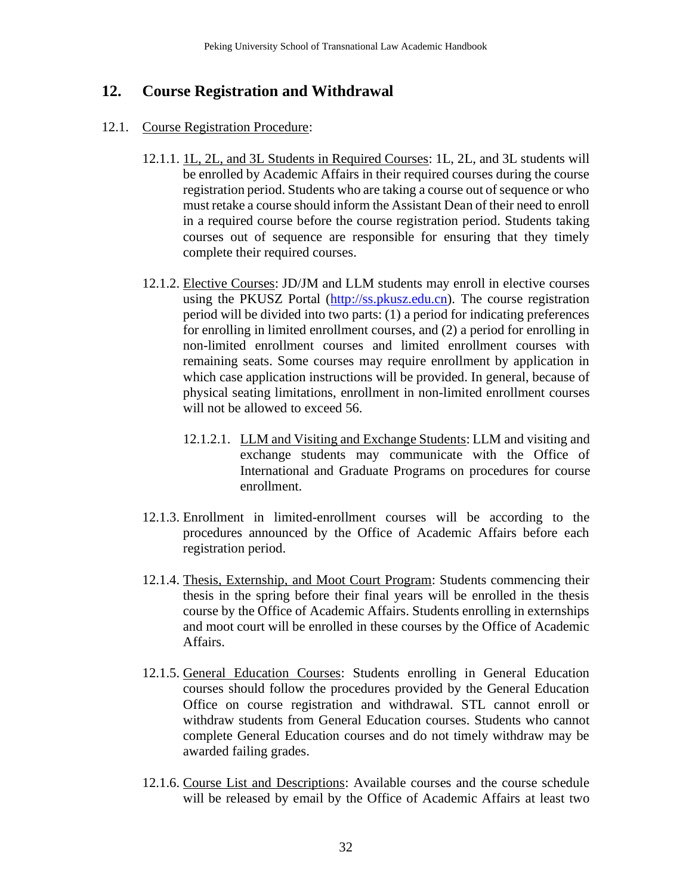# <span id="page-31-0"></span>**12. Course Registration and Withdrawal**

#### 12.1. Course Registration Procedure:

- 12.1.1. 1L, 2L, and 3L Students in Required Courses: 1L, 2L, and 3L students will be enrolled by Academic Affairs in their required courses during the course registration period. Students who are taking a course out of sequence or who must retake a course should inform the Assistant Dean of their need to enroll in a required course before the course registration period. Students taking courses out of sequence are responsible for ensuring that they timely complete their required courses.
- 12.1.2. Elective Courses: JD/JM and LLM students may enroll in elective courses using the PKUSZ Portal [\(http://ss.pkusz.edu.cn\)](http://ss.pkusz.edu.cn/). The course registration period will be divided into two parts: (1) a period for indicating preferences for enrolling in limited enrollment courses, and (2) a period for enrolling in non-limited enrollment courses and limited enrollment courses with remaining seats. Some courses may require enrollment by application in which case application instructions will be provided. In general, because of physical seating limitations, enrollment in non-limited enrollment courses will not be allowed to exceed 56.
	- 12.1.2.1. LLM and Visiting and Exchange Students: LLM and visiting and exchange students may communicate with the Office of International and Graduate Programs on procedures for course enrollment.
- 12.1.3. Enrollment in limited-enrollment courses will be according to the procedures announced by the Office of Academic Affairs before each registration period.
- 12.1.4. Thesis, Externship, and Moot Court Program: Students commencing their thesis in the spring before their final years will be enrolled in the thesis course by the Office of Academic Affairs. Students enrolling in externships and moot court will be enrolled in these courses by the Office of Academic Affairs.
- 12.1.5. General Education Courses: Students enrolling in General Education courses should follow the procedures provided by the General Education Office on course registration and withdrawal. STL cannot enroll or withdraw students from General Education courses. Students who cannot complete General Education courses and do not timely withdraw may be awarded failing grades.
- 12.1.6. Course List and Descriptions: Available courses and the course schedule will be released by email by the Office of Academic Affairs at least two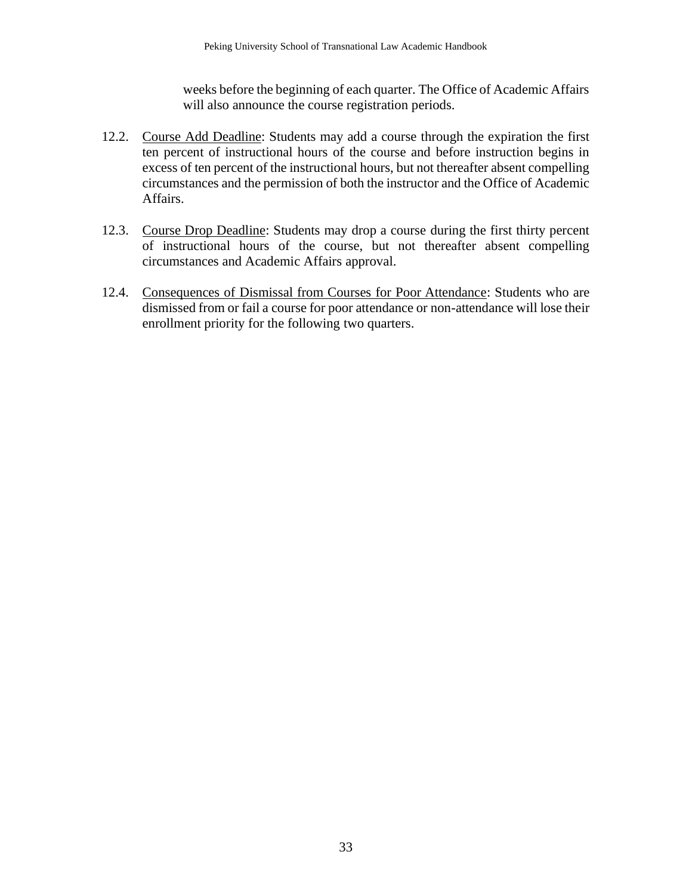weeks before the beginning of each quarter. The Office of Academic Affairs will also announce the course registration periods.

- 12.2. Course Add Deadline: Students may add a course through the expiration the first ten percent of instructional hours of the course and before instruction begins in excess of ten percent of the instructional hours, but not thereafter absent compelling circumstances and the permission of both the instructor and the Office of Academic Affairs.
- 12.3. Course Drop Deadline: Students may drop a course during the first thirty percent of instructional hours of the course, but not thereafter absent compelling circumstances and Academic Affairs approval.
- 12.4. Consequences of Dismissal from Courses for Poor Attendance: Students who are dismissed from or fail a course for poor attendance or non-attendance will lose their enrollment priority for the following two quarters.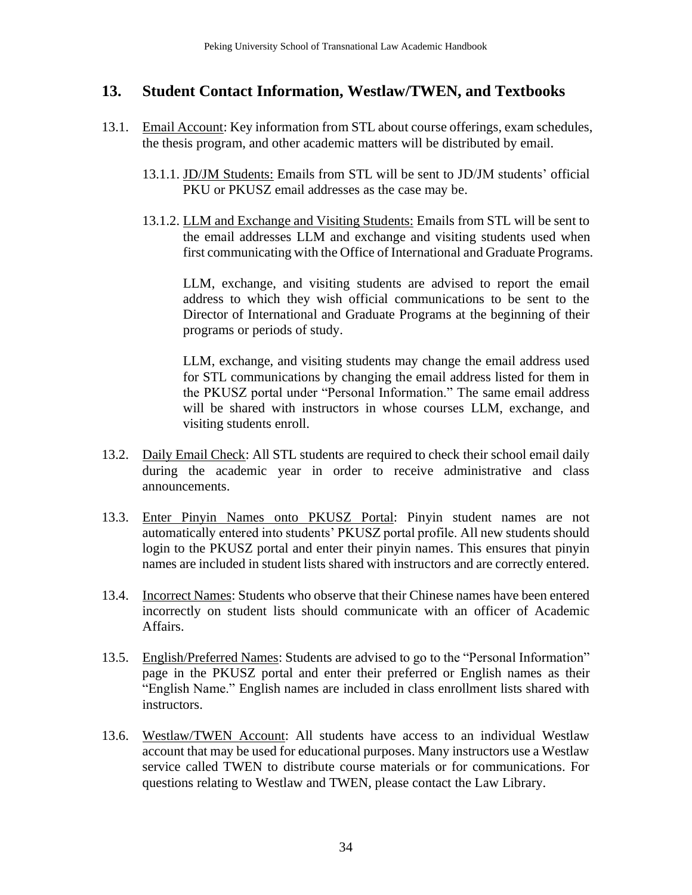# <span id="page-33-0"></span>**13. Student Contact Information, Westlaw/TWEN, and Textbooks**

- 13.1. Email Account: Key information from STL about course offerings, exam schedules, the thesis program, and other academic matters will be distributed by email.
	- 13.1.1. JD/JM Students: Emails from STL will be sent to JD/JM students' official PKU or PKUSZ email addresses as the case may be.
	- 13.1.2. LLM and Exchange and Visiting Students: Emails from STL will be sent to the email addresses LLM and exchange and visiting students used when first communicating with the Office of International and Graduate Programs.

LLM, exchange, and visiting students are advised to report the email address to which they wish official communications to be sent to the Director of International and Graduate Programs at the beginning of their programs or periods of study.

LLM, exchange, and visiting students may change the email address used for STL communications by changing the email address listed for them in the PKUSZ portal under "Personal Information." The same email address will be shared with instructors in whose courses LLM, exchange, and visiting students enroll.

- 13.2. Daily Email Check: All STL students are required to check their school email daily during the academic year in order to receive administrative and class announcements.
- 13.3. Enter Pinyin Names onto PKUSZ Portal: Pinyin student names are not automatically entered into students' PKUSZ portal profile. All new students should login to the PKUSZ portal and enter their pinyin names. This ensures that pinyin names are included in student lists shared with instructors and are correctly entered.
- 13.4. Incorrect Names: Students who observe that their Chinese names have been entered incorrectly on student lists should communicate with an officer of Academic Affairs.
- 13.5. English/Preferred Names: Students are advised to go to the "Personal Information" page in the PKUSZ portal and enter their preferred or English names as their "English Name." English names are included in class enrollment lists shared with instructors.
- 13.6. Westlaw/TWEN Account: All students have access to an individual Westlaw account that may be used for educational purposes. Many instructors use a Westlaw service called TWEN to distribute course materials or for communications. For questions relating to Westlaw and TWEN, please contact the Law Library.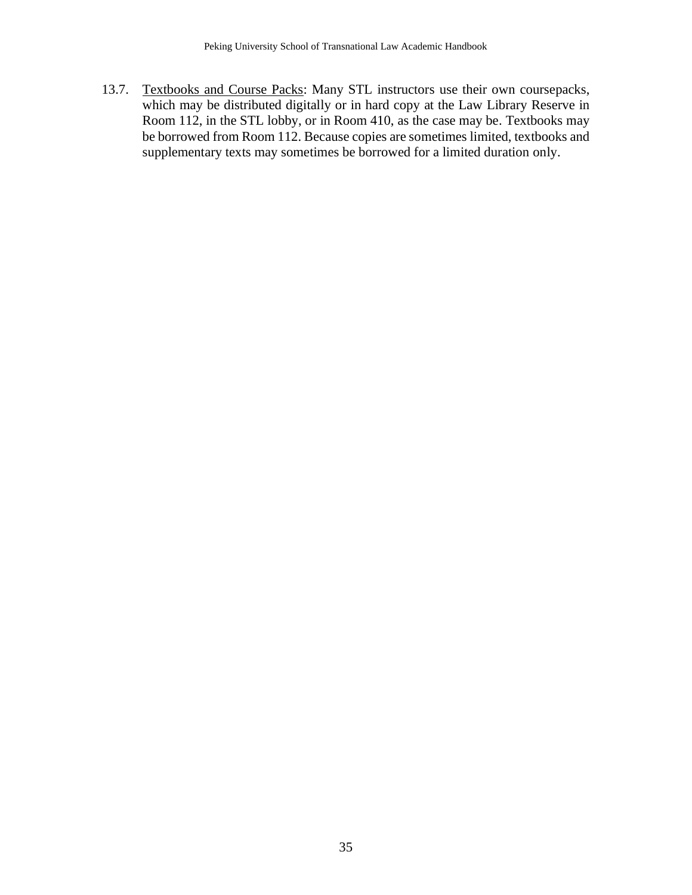13.7. Textbooks and Course Packs: Many STL instructors use their own coursepacks, which may be distributed digitally or in hard copy at the Law Library Reserve in Room 112, in the STL lobby, or in Room 410, as the case may be. Textbooks may be borrowed from Room 112. Because copies are sometimes limited, textbooks and supplementary texts may sometimes be borrowed for a limited duration only.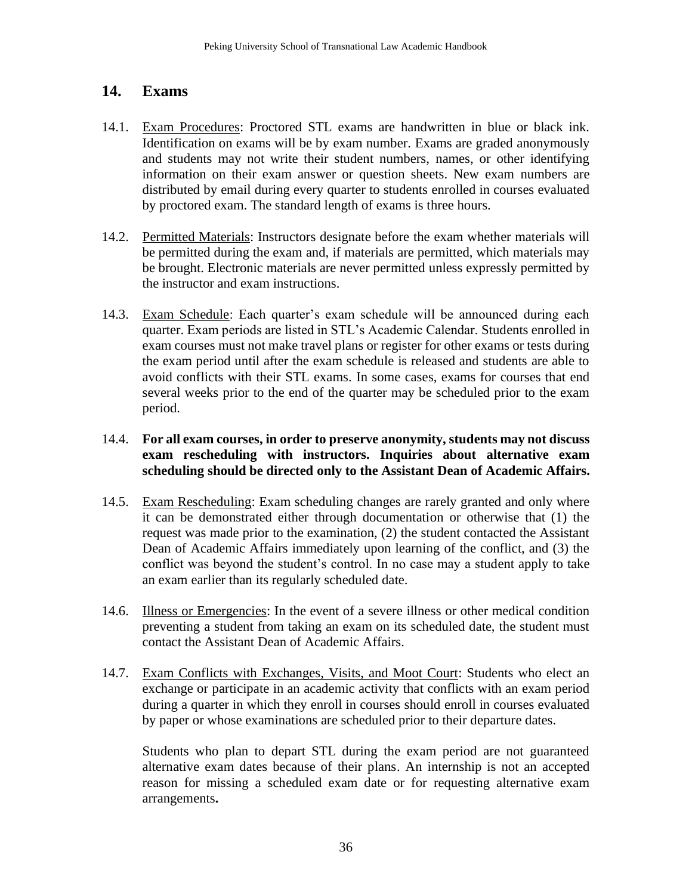### <span id="page-35-0"></span>**14. Exams**

- 14.1. Exam Procedures: Proctored STL exams are handwritten in blue or black ink. Identification on exams will be by exam number. Exams are graded anonymously and students may not write their student numbers, names, or other identifying information on their exam answer or question sheets. New exam numbers are distributed by email during every quarter to students enrolled in courses evaluated by proctored exam. The standard length of exams is three hours.
- 14.2. Permitted Materials: Instructors designate before the exam whether materials will be permitted during the exam and, if materials are permitted, which materials may be brought. Electronic materials are never permitted unless expressly permitted by the instructor and exam instructions.
- 14.3. Exam Schedule: Each quarter's exam schedule will be announced during each quarter. Exam periods are listed in STL's Academic Calendar. Students enrolled in exam courses must not make travel plans or register for other exams or tests during the exam period until after the exam schedule is released and students are able to avoid conflicts with their STL exams. In some cases, exams for courses that end several weeks prior to the end of the quarter may be scheduled prior to the exam period.

#### 14.4. **For all exam courses, in order to preserve anonymity, students may not discuss exam rescheduling with instructors. Inquiries about alternative exam scheduling should be directed only to the Assistant Dean of Academic Affairs.**

- 14.5. Exam Rescheduling: Exam scheduling changes are rarely granted and only where it can be demonstrated either through documentation or otherwise that (1) the request was made prior to the examination, (2) the student contacted the Assistant Dean of Academic Affairs immediately upon learning of the conflict, and (3) the conflict was beyond the student's control. In no case may a student apply to take an exam earlier than its regularly scheduled date.
- 14.6. Illness or Emergencies: In the event of a severe illness or other medical condition preventing a student from taking an exam on its scheduled date, the student must contact the Assistant Dean of Academic Affairs.
- 14.7. Exam Conflicts with Exchanges, Visits, and Moot Court: Students who elect an exchange or participate in an academic activity that conflicts with an exam period during a quarter in which they enroll in courses should enroll in courses evaluated by paper or whose examinations are scheduled prior to their departure dates.

Students who plan to depart STL during the exam period are not guaranteed alternative exam dates because of their plans. An internship is not an accepted reason for missing a scheduled exam date or for requesting alternative exam arrangements**.**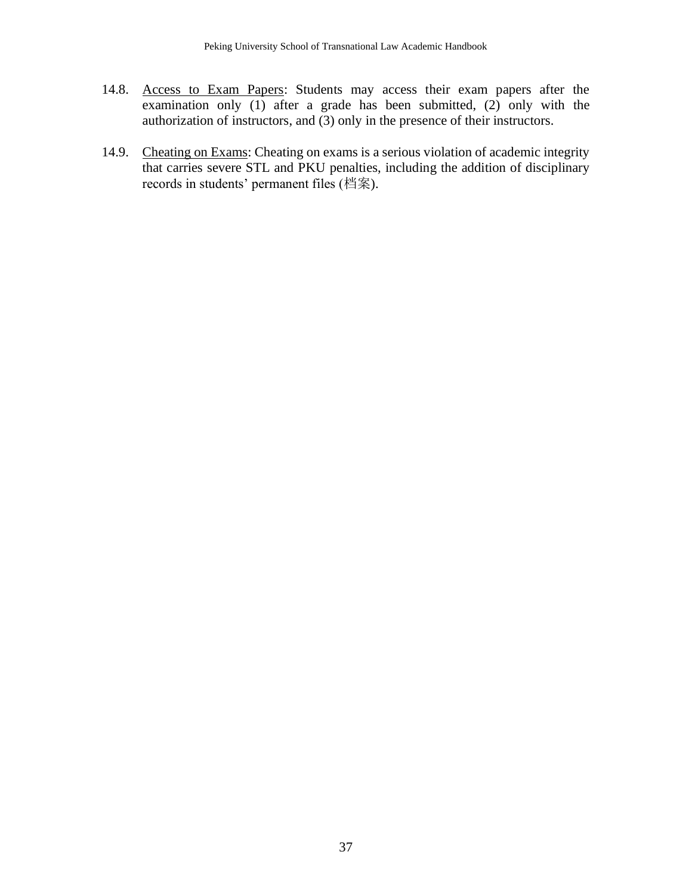- 14.8. Access to Exam Papers: Students may access their exam papers after the examination only  $(1)$  after a grade has been submitted,  $(2)$  only with the authorization of instructors, and (3) only in the presence of their instructors.
- 14.9. Cheating on Exams: Cheating on exams is a serious violation of academic integrity that carries severe STL and PKU penalties, including the addition of disciplinary records in students' permanent files (档案).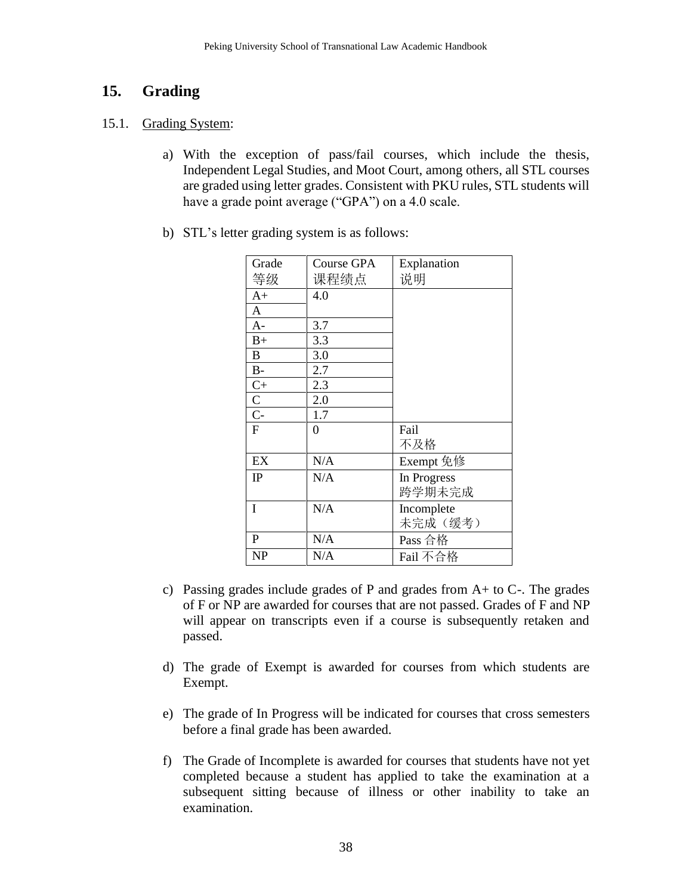# **15. Grading**

#### 15.1. Grading System:

- a) With the exception of pass/fail courses, which include the thesis, Independent Legal Studies, and Moot Court, among others, all STL courses are graded using letter grades. Consistent with PKU rules, STL students will have a grade point average ("GPA") on a 4.0 scale.
- b) STL's letter grading system is as follows:

| Grade          | <b>Course GPA</b> | Explanation |
|----------------|-------------------|-------------|
| 等级             | 课程绩点              | 说明          |
| $A+$           | 4.0               |             |
| A              |                   |             |
| $A -$          | 3.7               |             |
| $B+$           | 3.3               |             |
| $\bf{B}$       | 3.0               |             |
| $\rm B$ -      | 2.7               |             |
| $C+$           | 2.3               |             |
| $rac{C}{C}$    | 2.0               |             |
|                | 1.7               |             |
| $\overline{F}$ | 0                 | Fail        |
|                |                   | 不及格         |
| EX             | N/A               | Exempt 免修   |
| IP             | N/A               | In Progress |
|                |                   | 跨学期未完成      |
| I              | N/A               | Incomplete  |
|                |                   | 未完成(缓考)     |
| $\mathbf{P}$   | N/A               | Pass 合格     |
| <b>NP</b>      | N/A               | Fail 不合格    |

- c) Passing grades include grades of P and grades from A+ to C-. The grades of F or NP are awarded for courses that are not passed. Grades of F and NP will appear on transcripts even if a course is subsequently retaken and passed.
- d) The grade of Exempt is awarded for courses from which students are Exempt.
- e) The grade of In Progress will be indicated for courses that cross semesters before a final grade has been awarded.
- f) The Grade of Incomplete is awarded for courses that students have not yet completed because a student has applied to take the examination at a subsequent sitting because of illness or other inability to take an examination.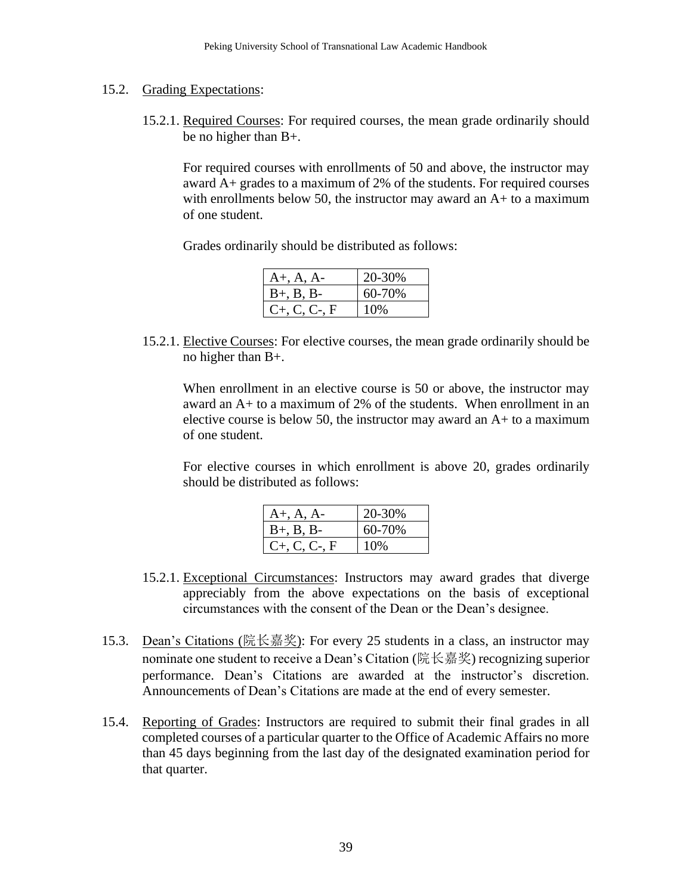#### 15.2. Grading Expectations:

15.2.1. Required Courses: For required courses, the mean grade ordinarily should be no higher than B+.

For required courses with enrollments of 50 and above, the instructor may award A+ grades to a maximum of 2% of the students. For required courses with enrollments below 50, the instructor may award an A+ to a maximum of one student.

Grades ordinarily should be distributed as follows:

| $A+, A, A-$        | 20-30% |
|--------------------|--------|
| $B+, B, B-$        | 60-70% |
| $C_{+}$ , C, C-, F | 10%    |

15.2.1. Elective Courses: For elective courses, the mean grade ordinarily should be no higher than B+.

When enrollment in an elective course is 50 or above, the instructor may award an A+ to a maximum of 2% of the students. When enrollment in an elective course is below 50, the instructor may award an A+ to a maximum of one student.

For elective courses in which enrollment is above 20, grades ordinarily should be distributed as follows:

| $A+, A, A-$        | 20-30% |
|--------------------|--------|
| $B+, B, B-$        | 60-70% |
| $C_{+}$ , C, C-, F | 10%    |

- 15.2.1. Exceptional Circumstances: Instructors may award grades that diverge appreciably from the above expectations on the basis of exceptional circumstances with the consent of the Dean or the Dean's designee.
- 15.3. Dean's Citations (院长嘉奖): For every 25 students in a class, an instructor may nominate one student to receive a Dean's Citation (院长嘉奖) recognizing superior performance. Dean's Citations are awarded at the instructor's discretion. Announcements of Dean's Citations are made at the end of every semester.
- 15.4. Reporting of Grades: Instructors are required to submit their final grades in all completed courses of a particular quarter to the Office of Academic Affairs no more than 45 days beginning from the last day of the designated examination period for that quarter.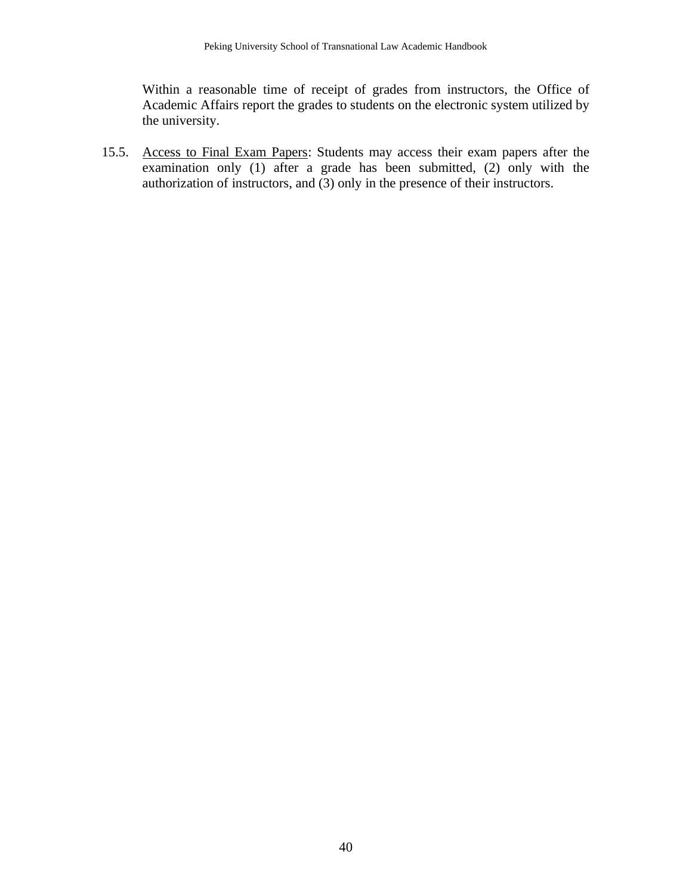Within a reasonable time of receipt of grades from instructors, the Office of Academic Affairs report the grades to students on the electronic system utilized by the university.

15.5. Access to Final Exam Papers: Students may access their exam papers after the examination only (1) after a grade has been submitted, (2) only with the authorization of instructors, and (3) only in the presence of their instructors.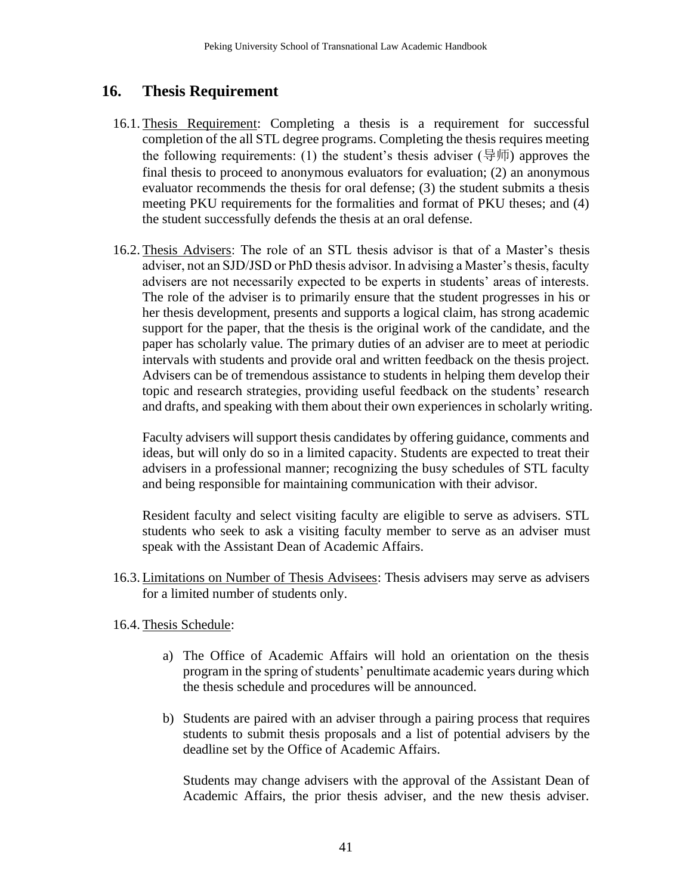## **16. Thesis Requirement**

- 16.1. Thesis Requirement: Completing a thesis is a requirement for successful completion of the all STL degree programs. Completing the thesis requires meeting the following requirements: (1) the student's thesis adviser (导师) approves the final thesis to proceed to anonymous evaluators for evaluation; (2) an anonymous evaluator recommends the thesis for oral defense; (3) the student submits a thesis meeting PKU requirements for the formalities and format of PKU theses; and (4) the student successfully defends the thesis at an oral defense.
- 16.2. Thesis Advisers: The role of an STL thesis advisor is that of a Master's thesis adviser, not an SJD/JSD or PhD thesis advisor. In advising a Master's thesis, faculty advisers are not necessarily expected to be experts in students' areas of interests. The role of the adviser is to primarily ensure that the student progresses in his or her thesis development, presents and supports a logical claim, has strong academic support for the paper, that the thesis is the original work of the candidate, and the paper has scholarly value. The primary duties of an adviser are to meet at periodic intervals with students and provide oral and written feedback on the thesis project. Advisers can be of tremendous assistance to students in helping them develop their topic and research strategies, providing useful feedback on the students' research and drafts, and speaking with them about their own experiences in scholarly writing.

Faculty advisers will support thesis candidates by offering guidance, comments and ideas, but will only do so in a limited capacity. Students are expected to treat their advisers in a professional manner; recognizing the busy schedules of STL faculty and being responsible for maintaining communication with their advisor.

Resident faculty and select visiting faculty are eligible to serve as advisers. STL students who seek to ask a visiting faculty member to serve as an adviser must speak with the Assistant Dean of Academic Affairs.

- 16.3. Limitations on Number of Thesis Advisees: Thesis advisers may serve as advisers for a limited number of students only.
- 16.4. Thesis Schedule:
	- a) The Office of Academic Affairs will hold an orientation on the thesis program in the spring of students' penultimate academic years during which the thesis schedule and procedures will be announced.
	- b) Students are paired with an adviser through a pairing process that requires students to submit thesis proposals and a list of potential advisers by the deadline set by the Office of Academic Affairs.

Students may change advisers with the approval of the Assistant Dean of Academic Affairs, the prior thesis adviser, and the new thesis adviser.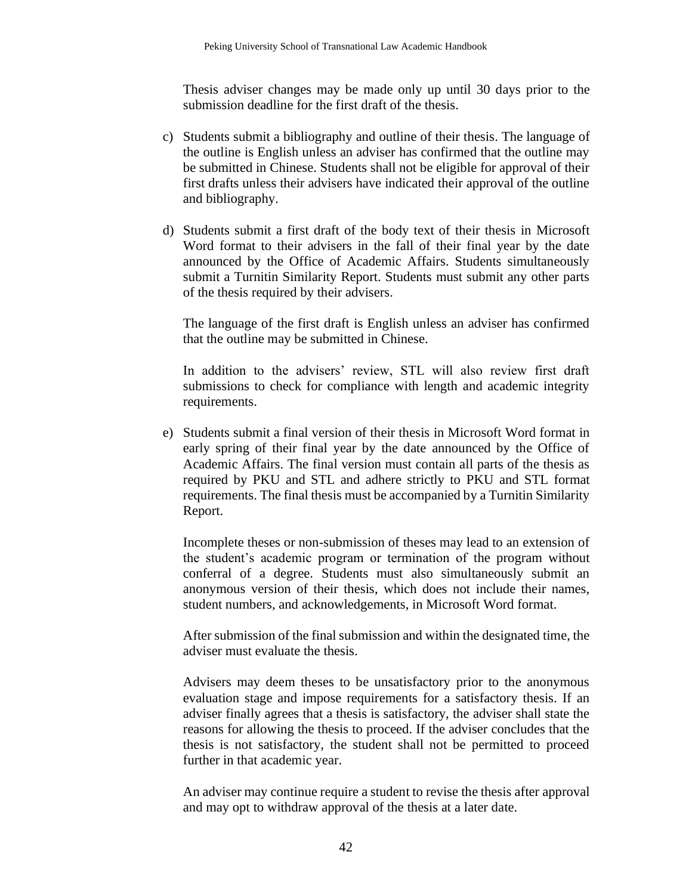Thesis adviser changes may be made only up until 30 days prior to the submission deadline for the first draft of the thesis.

- c) Students submit a bibliography and outline of their thesis. The language of the outline is English unless an adviser has confirmed that the outline may be submitted in Chinese. Students shall not be eligible for approval of their first drafts unless their advisers have indicated their approval of the outline and bibliography.
- d) Students submit a first draft of the body text of their thesis in Microsoft Word format to their advisers in the fall of their final year by the date announced by the Office of Academic Affairs. Students simultaneously submit a Turnitin Similarity Report. Students must submit any other parts of the thesis required by their advisers.

The language of the first draft is English unless an adviser has confirmed that the outline may be submitted in Chinese.

In addition to the advisers' review, STL will also review first draft submissions to check for compliance with length and academic integrity requirements.

e) Students submit a final version of their thesis in Microsoft Word format in early spring of their final year by the date announced by the Office of Academic Affairs. The final version must contain all parts of the thesis as required by PKU and STL and adhere strictly to PKU and STL format requirements. The final thesis must be accompanied by a Turnitin Similarity Report.

Incomplete theses or non-submission of theses may lead to an extension of the student's academic program or termination of the program without conferral of a degree. Students must also simultaneously submit an anonymous version of their thesis, which does not include their names, student numbers, and acknowledgements, in Microsoft Word format.

After submission of the final submission and within the designated time, the adviser must evaluate the thesis.

Advisers may deem theses to be unsatisfactory prior to the anonymous evaluation stage and impose requirements for a satisfactory thesis. If an adviser finally agrees that a thesis is satisfactory, the adviser shall state the reasons for allowing the thesis to proceed. If the adviser concludes that the thesis is not satisfactory, the student shall not be permitted to proceed further in that academic year.

An adviser may continue require a student to revise the thesis after approval and may opt to withdraw approval of the thesis at a later date.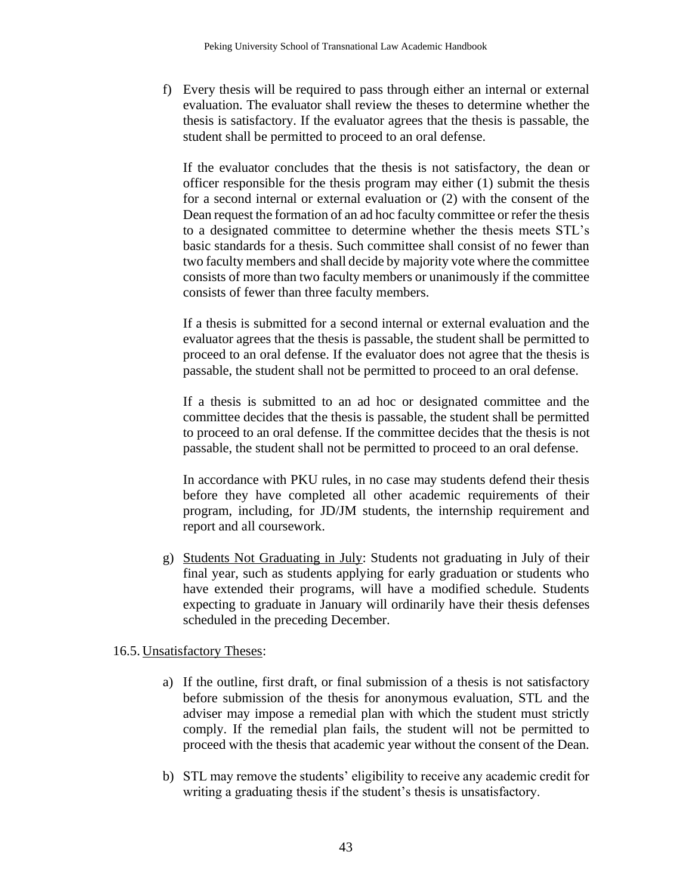f) Every thesis will be required to pass through either an internal or external evaluation. The evaluator shall review the theses to determine whether the thesis is satisfactory. If the evaluator agrees that the thesis is passable, the student shall be permitted to proceed to an oral defense.

If the evaluator concludes that the thesis is not satisfactory, the dean or officer responsible for the thesis program may either (1) submit the thesis for a second internal or external evaluation or (2) with the consent of the Dean request the formation of an ad hoc faculty committee or refer the thesis to a designated committee to determine whether the thesis meets STL's basic standards for a thesis. Such committee shall consist of no fewer than two faculty members and shall decide by majority vote where the committee consists of more than two faculty members or unanimously if the committee consists of fewer than three faculty members.

If a thesis is submitted for a second internal or external evaluation and the evaluator agrees that the thesis is passable, the student shall be permitted to proceed to an oral defense. If the evaluator does not agree that the thesis is passable, the student shall not be permitted to proceed to an oral defense.

If a thesis is submitted to an ad hoc or designated committee and the committee decides that the thesis is passable, the student shall be permitted to proceed to an oral defense. If the committee decides that the thesis is not passable, the student shall not be permitted to proceed to an oral defense.

In accordance with PKU rules, in no case may students defend their thesis before they have completed all other academic requirements of their program, including, for JD/JM students, the internship requirement and report and all coursework.

g) Students Not Graduating in July: Students not graduating in July of their final year, such as students applying for early graduation or students who have extended their programs, will have a modified schedule. Students expecting to graduate in January will ordinarily have their thesis defenses scheduled in the preceding December.

### 16.5. Unsatisfactory Theses:

- a) If the outline, first draft, or final submission of a thesis is not satisfactory before submission of the thesis for anonymous evaluation, STL and the adviser may impose a remedial plan with which the student must strictly comply. If the remedial plan fails, the student will not be permitted to proceed with the thesis that academic year without the consent of the Dean.
- b) STL may remove the students' eligibility to receive any academic credit for writing a graduating thesis if the student's thesis is unsatisfactory.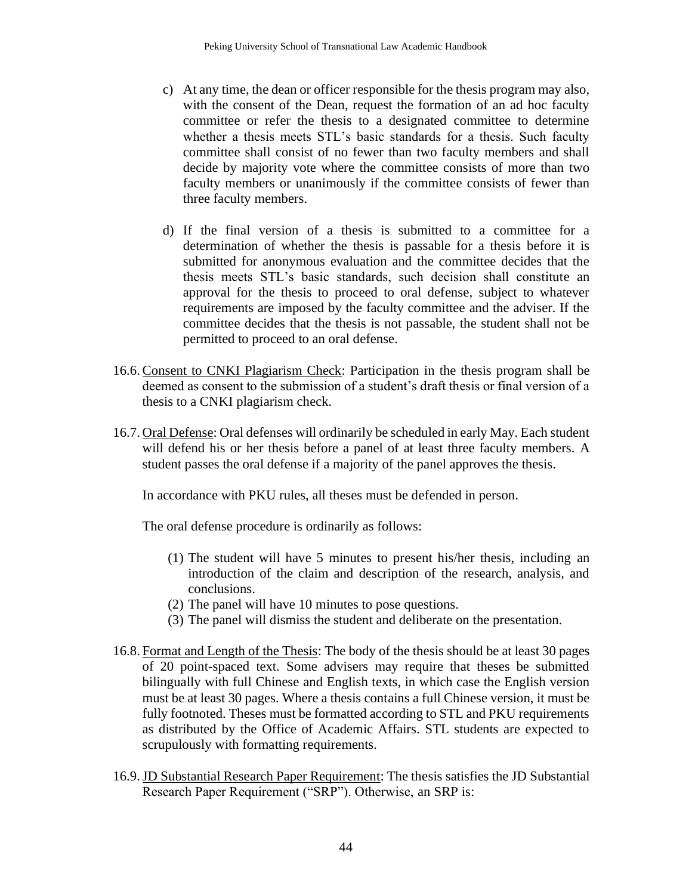- c) At any time, the dean or officer responsible for the thesis program may also, with the consent of the Dean, request the formation of an ad hoc faculty committee or refer the thesis to a designated committee to determine whether a thesis meets STL's basic standards for a thesis. Such faculty committee shall consist of no fewer than two faculty members and shall decide by majority vote where the committee consists of more than two faculty members or unanimously if the committee consists of fewer than three faculty members.
- d) If the final version of a thesis is submitted to a committee for a determination of whether the thesis is passable for a thesis before it is submitted for anonymous evaluation and the committee decides that the thesis meets STL's basic standards, such decision shall constitute an approval for the thesis to proceed to oral defense, subject to whatever requirements are imposed by the faculty committee and the adviser. If the committee decides that the thesis is not passable, the student shall not be permitted to proceed to an oral defense.
- 16.6.Consent to CNKI Plagiarism Check: Participation in the thesis program shall be deemed as consent to the submission of a student's draft thesis or final version of a thesis to a CNKI plagiarism check.
- 16.7. Oral Defense: Oral defenses will ordinarily be scheduled in early May. Each student will defend his or her thesis before a panel of at least three faculty members. A student passes the oral defense if a majority of the panel approves the thesis.

In accordance with PKU rules, all theses must be defended in person.

The oral defense procedure is ordinarily as follows:

- (1) The student will have 5 minutes to present his/her thesis, including an introduction of the claim and description of the research, analysis, and conclusions.
- (2) The panel will have 10 minutes to pose questions.
- (3) The panel will dismiss the student and deliberate on the presentation.
- 16.8. Format and Length of the Thesis: The body of the thesis should be at least 30 pages of 20 point-spaced text. Some advisers may require that theses be submitted bilingually with full Chinese and English texts, in which case the English version must be at least 30 pages. Where a thesis contains a full Chinese version, it must be fully footnoted. Theses must be formatted according to STL and PKU requirements as distributed by the Office of Academic Affairs. STL students are expected to scrupulously with formatting requirements.
- 16.9.JD Substantial Research Paper Requirement: The thesis satisfies the JD Substantial Research Paper Requirement ("SRP"). Otherwise, an SRP is: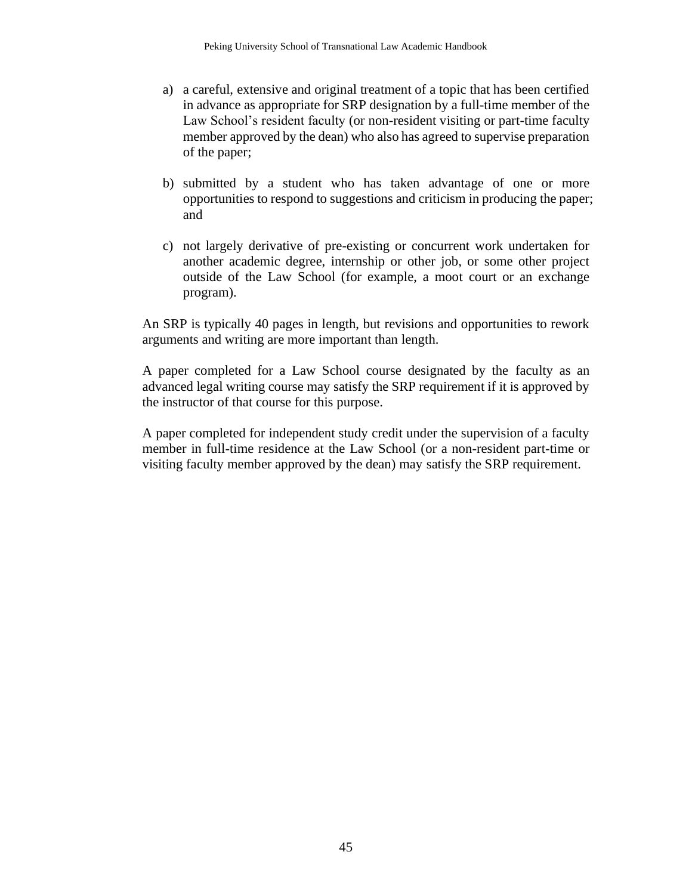- a) a careful, extensive and original treatment of a topic that has been certified in advance as appropriate for SRP designation by a full-time member of the Law School's resident faculty (or non-resident visiting or part-time faculty member approved by the dean) who also has agreed to supervise preparation of the paper;
- b) submitted by a student who has taken advantage of one or more opportunities to respond to suggestions and criticism in producing the paper; and
- c) not largely derivative of pre-existing or concurrent work undertaken for another academic degree, internship or other job, or some other project outside of the Law School (for example, a moot court or an exchange program).

An SRP is typically 40 pages in length, but revisions and opportunities to rework arguments and writing are more important than length.

A paper completed for a Law School course designated by the faculty as an advanced legal writing course may satisfy the SRP requirement if it is approved by the instructor of that course for this purpose.

A paper completed for independent study credit under the supervision of a faculty member in full-time residence at the Law School (or a non-resident part-time or visiting faculty member approved by the dean) may satisfy the SRP requirement.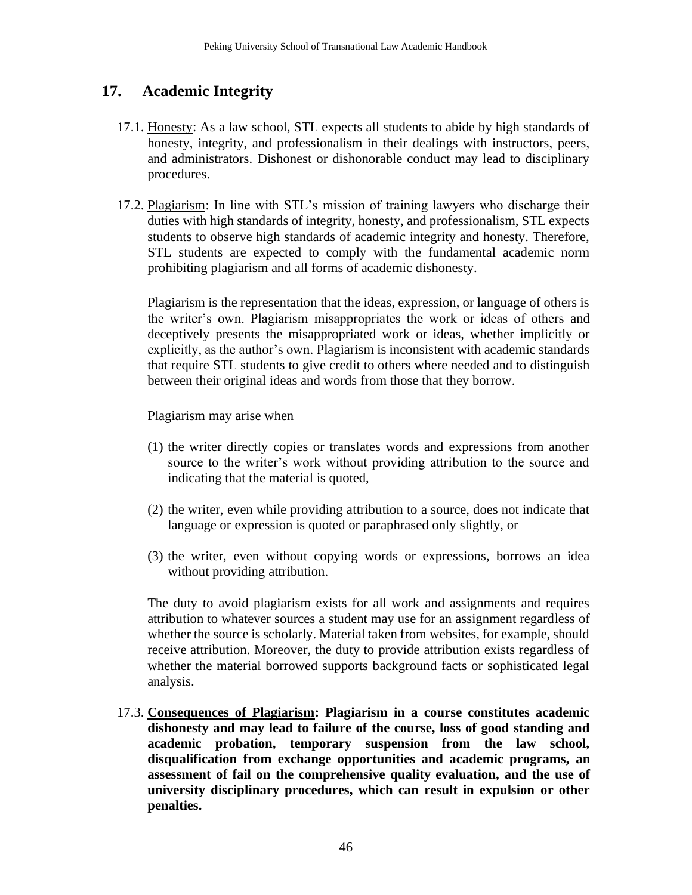# **17. Academic Integrity**

- 17.1. Honesty: As a law school, STL expects all students to abide by high standards of honesty, integrity, and professionalism in their dealings with instructors, peers, and administrators. Dishonest or dishonorable conduct may lead to disciplinary procedures.
- 17.2. Plagiarism: In line with STL's mission of training lawyers who discharge their duties with high standards of integrity, honesty, and professionalism, STL expects students to observe high standards of academic integrity and honesty. Therefore, STL students are expected to comply with the fundamental academic norm prohibiting plagiarism and all forms of academic dishonesty.

Plagiarism is the representation that the ideas, expression, or language of others is the writer's own. Plagiarism misappropriates the work or ideas of others and deceptively presents the misappropriated work or ideas, whether implicitly or explicitly, as the author's own. Plagiarism is inconsistent with academic standards that require STL students to give credit to others where needed and to distinguish between their original ideas and words from those that they borrow.

Plagiarism may arise when

- (1) the writer directly copies or translates words and expressions from another source to the writer's work without providing attribution to the source and indicating that the material is quoted,
- (2) the writer, even while providing attribution to a source, does not indicate that language or expression is quoted or paraphrased only slightly, or
- (3) the writer, even without copying words or expressions, borrows an idea without providing attribution.

The duty to avoid plagiarism exists for all work and assignments and requires attribution to whatever sources a student may use for an assignment regardless of whether the source is scholarly. Material taken from websites, for example, should receive attribution. Moreover, the duty to provide attribution exists regardless of whether the material borrowed supports background facts or sophisticated legal analysis.

17.3. **Consequences of Plagiarism: Plagiarism in a course constitutes academic dishonesty and may lead to failure of the course, loss of good standing and academic probation, temporary suspension from the law school, disqualification from exchange opportunities and academic programs, an assessment of fail on the comprehensive quality evaluation, and the use of university disciplinary procedures, which can result in expulsion or other penalties.**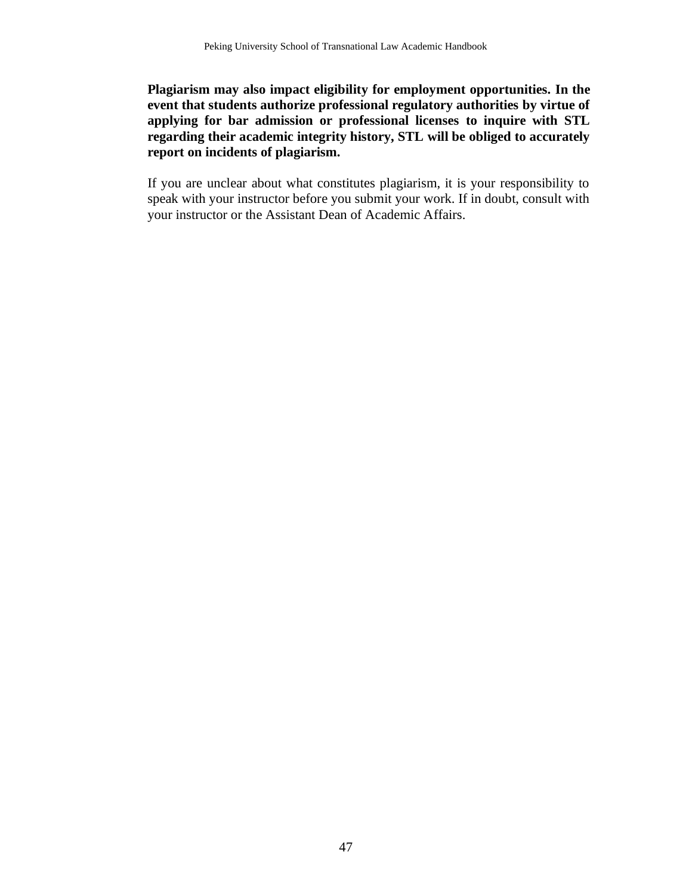**Plagiarism may also impact eligibility for employment opportunities. In the event that students authorize professional regulatory authorities by virtue of applying for bar admission or professional licenses to inquire with STL regarding their academic integrity history, STL will be obliged to accurately report on incidents of plagiarism.**

If you are unclear about what constitutes plagiarism, it is your responsibility to speak with your instructor before you submit your work. If in doubt, consult with your instructor or the Assistant Dean of Academic Affairs.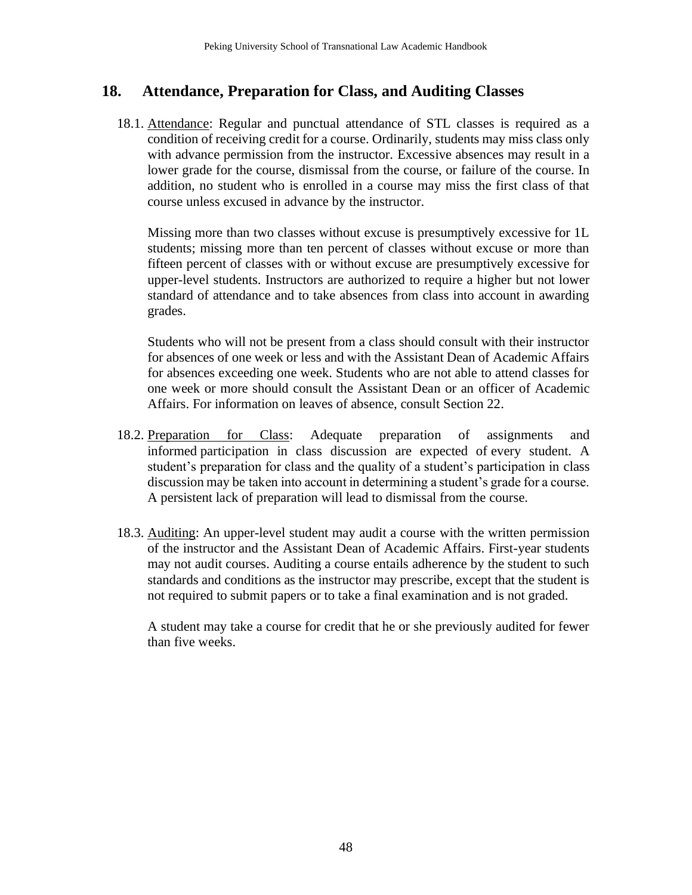## **18. Attendance, Preparation for Class, and Auditing Classes**

18.1. Attendance: Regular and punctual attendance of STL classes is required as a condition of receiving credit for a course. Ordinarily, students may miss class only with advance permission from the instructor. Excessive absences may result in a lower grade for the course, dismissal from the course, or failure of the course. In addition, no student who is enrolled in a course may miss the first class of that course unless excused in advance by the instructor.

Missing more than two classes without excuse is presumptively excessive for 1L students; missing more than ten percent of classes without excuse or more than fifteen percent of classes with or without excuse are presumptively excessive for upper-level students. Instructors are authorized to require a higher but not lower standard of attendance and to take absences from class into account in awarding grades.

Students who will not be present from a class should consult with their instructor for absences of one week or less and with the Assistant Dean of Academic Affairs for absences exceeding one week. Students who are not able to attend classes for one week or more should consult the Assistant Dean or an officer of Academic Affairs. For information on leaves of absence, consult Section 22.

- 18.2. Preparation for Class: Adequate preparation of assignments and informed participation in class discussion are expected of every student. A student's preparation for class and the quality of a student's participation in class discussion may be taken into account in determining a student's grade for a course. A persistent lack of preparation will lead to dismissal from the course.
- 18.3. Auditing: An upper-level student may audit a course with the written permission of the instructor and the Assistant Dean of Academic Affairs. First-year students may not audit courses. Auditing a course entails adherence by the student to such standards and conditions as the instructor may prescribe, except that the student is not required to submit papers or to take a final examination and is not graded.

A student may take a course for credit that he or she previously audited for fewer than five weeks.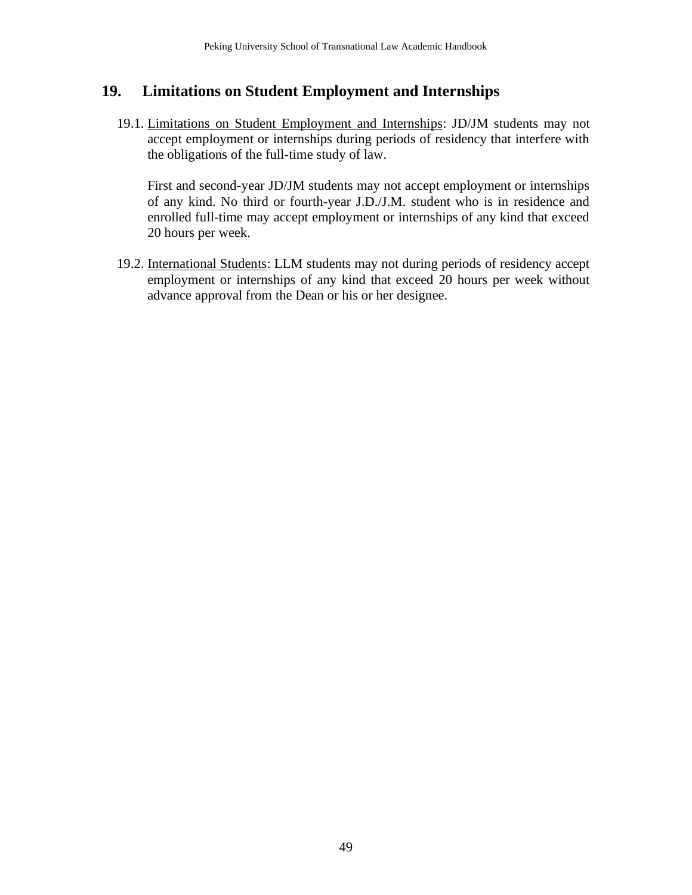## **19. Limitations on Student Employment and Internships**

19.1. Limitations on Student Employment and Internships: JD/JM students may not accept employment or internships during periods of residency that interfere with the obligations of the full-time study of law.

First and second-year JD/JM students may not accept employment or internships of any kind. No third or fourth-year J.D./J.M. student who is in residence and enrolled full-time may accept employment or internships of any kind that exceed 20 hours per week.

19.2. International Students: LLM students may not during periods of residency accept employment or internships of any kind that exceed 20 hours per week without advance approval from the Dean or his or her designee.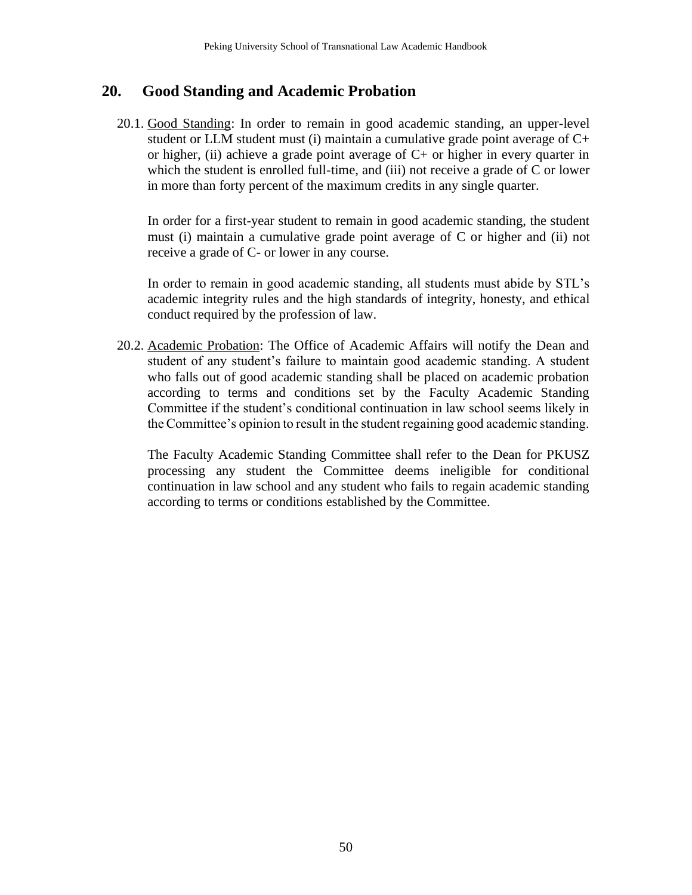## **20. Good Standing and Academic Probation**

20.1. Good Standing: In order to remain in good academic standing, an upper-level student or LLM student must (i) maintain a cumulative grade point average of  $C<sub>+</sub>$ or higher, (ii) achieve a grade point average of  $C<sub>+</sub>$  or higher in every quarter in which the student is enrolled full-time, and (iii) not receive a grade of C or lower in more than forty percent of the maximum credits in any single quarter.

In order for a first-year student to remain in good academic standing, the student must (i) maintain a cumulative grade point average of C or higher and (ii) not receive a grade of C- or lower in any course.

In order to remain in good academic standing, all students must abide by STL's academic integrity rules and the high standards of integrity, honesty, and ethical conduct required by the profession of law.

20.2. Academic Probation: The Office of Academic Affairs will notify the Dean and student of any student's failure to maintain good academic standing. A student who falls out of good academic standing shall be placed on academic probation according to terms and conditions set by the Faculty Academic Standing Committee if the student's conditional continuation in law school seems likely in the Committee's opinion to result in the student regaining good academic standing.

The Faculty Academic Standing Committee shall refer to the Dean for PKUSZ processing any student the Committee deems ineligible for conditional continuation in law school and any student who fails to regain academic standing according to terms or conditions established by the Committee.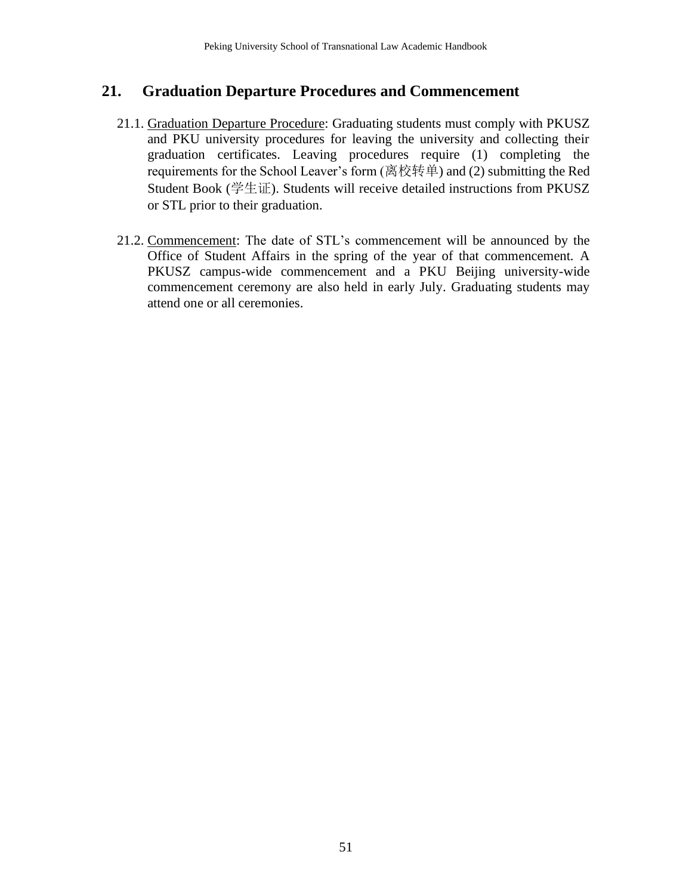## **21. Graduation Departure Procedures and Commencement**

- 21.1. Graduation Departure Procedure: Graduating students must comply with PKUSZ and PKU university procedures for leaving the university and collecting their graduation certificates. Leaving procedures require (1) completing the requirements for the School Leaver's form (离校转单) and (2) submitting the Red Student Book (学生证). Students will receive detailed instructions from PKUSZ or STL prior to their graduation.
- 21.2. Commencement: The date of STL's commencement will be announced by the Office of Student Affairs in the spring of the year of that commencement. A PKUSZ campus-wide commencement and a PKU Beijing university-wide commencement ceremony are also held in early July. Graduating students may attend one or all ceremonies.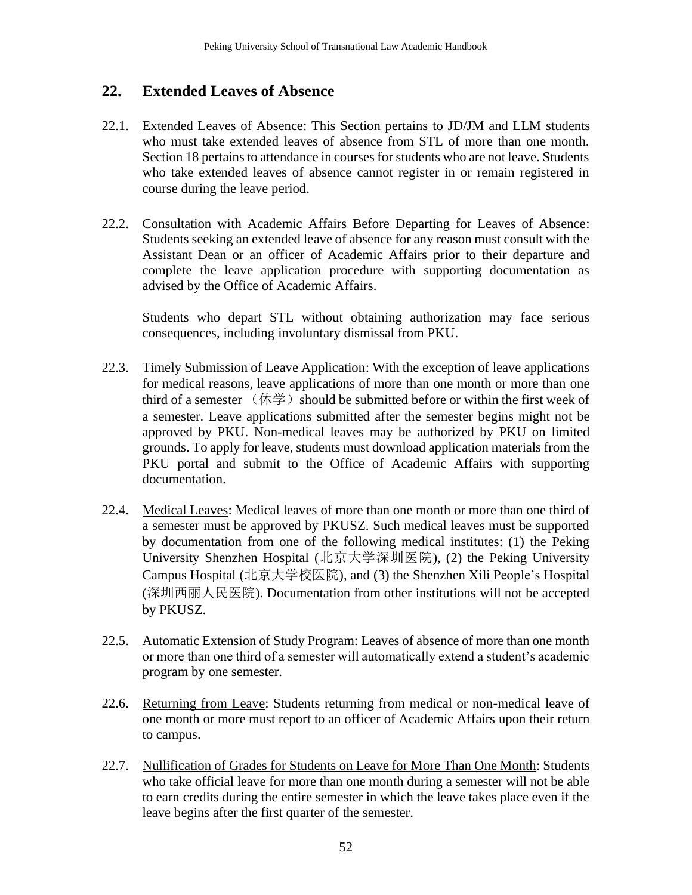# **22. Extended Leaves of Absence**

- 22.1. Extended Leaves of Absence: This Section pertains to JD/JM and LLM students who must take extended leaves of absence from STL of more than one month. Section 18 pertains to attendance in courses for students who are not leave. Students who take extended leaves of absence cannot register in or remain registered in course during the leave period.
- 22.2. Consultation with Academic Affairs Before Departing for Leaves of Absence: Students seeking an extended leave of absence for any reason must consult with the Assistant Dean or an officer of Academic Affairs prior to their departure and complete the leave application procedure with supporting documentation as advised by the Office of Academic Affairs.

Students who depart STL without obtaining authorization may face serious consequences, including involuntary dismissal from PKU.

- 22.3. Timely Submission of Leave Application: With the exception of leave applications for medical reasons, leave applications of more than one month or more than one third of a semester  $(\n \# \n 2)$  should be submitted before or within the first week of a semester. Leave applications submitted after the semester begins might not be approved by PKU. Non-medical leaves may be authorized by PKU on limited grounds. To apply for leave, students must download application materials from the PKU portal and submit to the Office of Academic Affairs with supporting documentation.
- 22.4. Medical Leaves: Medical leaves of more than one month or more than one third of a semester must be approved by PKUSZ. Such medical leaves must be supported by documentation from one of the following medical institutes: (1) the Peking University Shenzhen Hospital (北京大学深圳医院), (2) the Peking University Campus Hospital (北京大学校医院), and (3) the Shenzhen Xili People's Hospital (深圳西丽人民医院). Documentation from other institutions will not be accepted by PKUSZ.
- 22.5. Automatic Extension of Study Program: Leaves of absence of more than one month or more than one third of a semester will automatically extend a student's academic program by one semester.
- 22.6. Returning from Leave: Students returning from medical or non-medical leave of one month or more must report to an officer of Academic Affairs upon their return to campus.
- 22.7. Nullification of Grades for Students on Leave for More Than One Month: Students who take official leave for more than one month during a semester will not be able to earn credits during the entire semester in which the leave takes place even if the leave begins after the first quarter of the semester.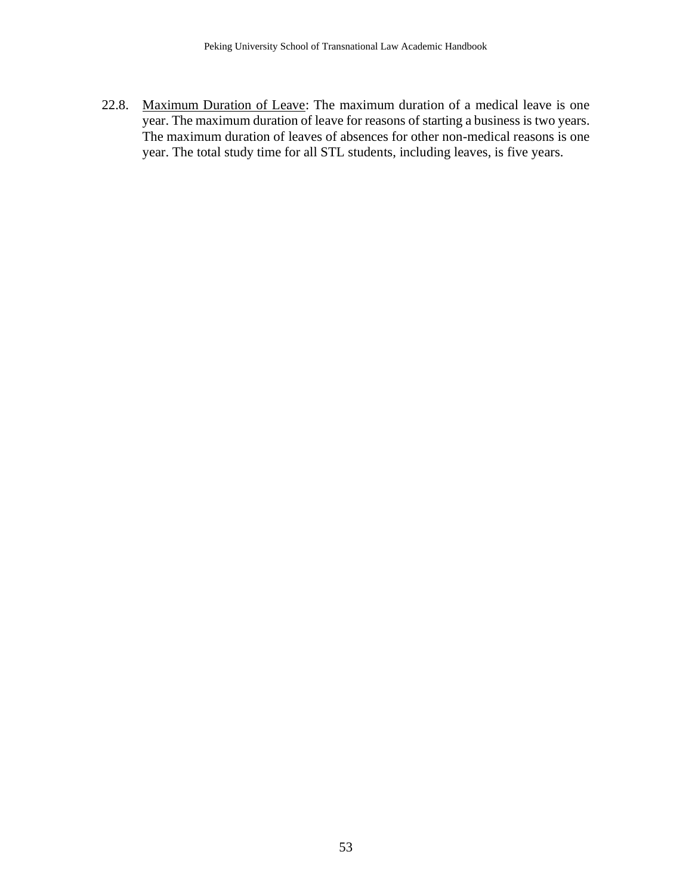22.8. Maximum Duration of Leave: The maximum duration of a medical leave is one year. The maximum duration of leave for reasons of starting a business is two years. The maximum duration of leaves of absences for other non-medical reasons is one year. The total study time for all STL students, including leaves, is five years.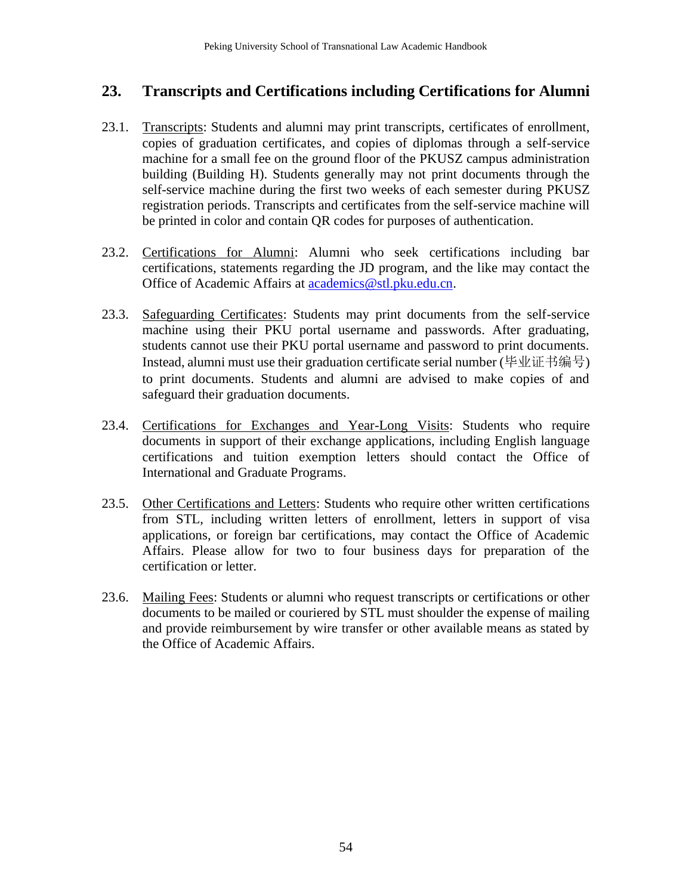# **23. Transcripts and Certifications including Certifications for Alumni**

- 23.1. Transcripts: Students and alumni may print transcripts, certificates of enrollment, copies of graduation certificates, and copies of diplomas through a self-service machine for a small fee on the ground floor of the PKUSZ campus administration building (Building H). Students generally may not print documents through the self-service machine during the first two weeks of each semester during PKUSZ registration periods. Transcripts and certificates from the self-service machine will be printed in color and contain QR codes for purposes of authentication.
- 23.2. Certifications for Alumni: Alumni who seek certifications including bar certifications, statements regarding the JD program, and the like may contact the Office of Academic Affairs at [academics@stl.pku.edu.cn.](mailto:academics@stl.pku.edu.cn)
- 23.3. Safeguarding Certificates: Students may print documents from the self-service machine using their PKU portal username and passwords. After graduating, students cannot use their PKU portal username and password to print documents. Instead, alumni must use their graduation certificate serial number (毕业证书编号) to print documents. Students and alumni are advised to make copies of and safeguard their graduation documents.
- 23.4. Certifications for Exchanges and Year-Long Visits: Students who require documents in support of their exchange applications, including English language certifications and tuition exemption letters should contact the Office of International and Graduate Programs.
- 23.5. Other Certifications and Letters: Students who require other written certifications from STL, including written letters of enrollment, letters in support of visa applications, or foreign bar certifications, may contact the Office of Academic Affairs. Please allow for two to four business days for preparation of the certification or letter.
- 23.6. Mailing Fees: Students or alumni who request transcripts or certifications or other documents to be mailed or couriered by STL must shoulder the expense of mailing and provide reimbursement by wire transfer or other available means as stated by the Office of Academic Affairs.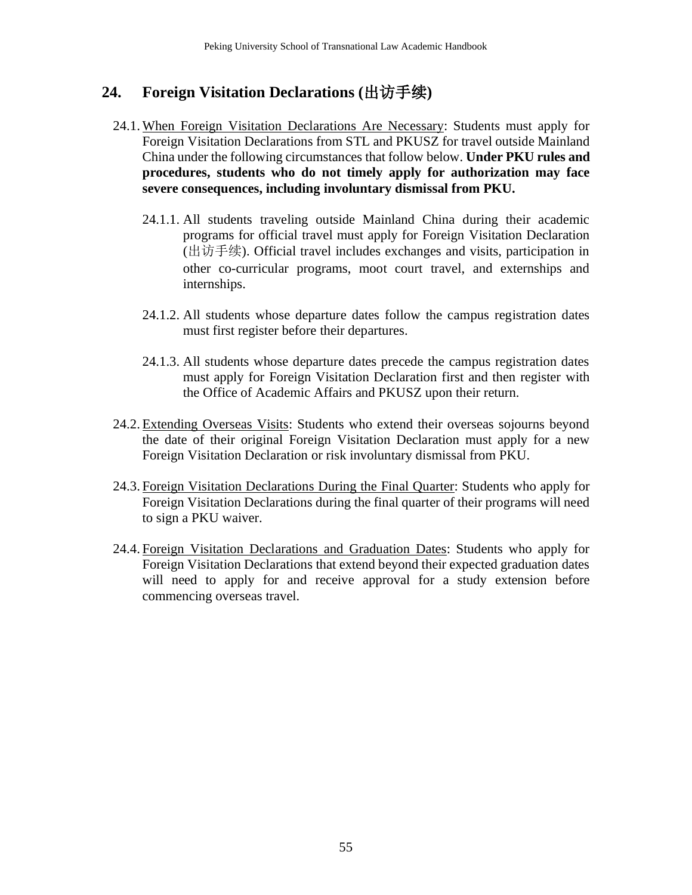# **24. Foreign Visitation Declarations (**出访手续**)**

- 24.1. When Foreign Visitation Declarations Are Necessary: Students must apply for Foreign Visitation Declarations from STL and PKUSZ for travel outside Mainland China under the following circumstances that follow below. **Under PKU rules and procedures, students who do not timely apply for authorization may face severe consequences, including involuntary dismissal from PKU.** 
	- 24.1.1. All students traveling outside Mainland China during their academic programs for official travel must apply for Foreign Visitation Declaration (出访手续). Official travel includes exchanges and visits, participation in other co-curricular programs, moot court travel, and externships and internships.
	- 24.1.2. All students whose departure dates follow the campus registration dates must first register before their departures.
	- 24.1.3. All students whose departure dates precede the campus registration dates must apply for Foreign Visitation Declaration first and then register with the Office of Academic Affairs and PKUSZ upon their return.
- 24.2. Extending Overseas Visits: Students who extend their overseas sojourns beyond the date of their original Foreign Visitation Declaration must apply for a new Foreign Visitation Declaration or risk involuntary dismissal from PKU.
- 24.3. Foreign Visitation Declarations During the Final Quarter: Students who apply for Foreign Visitation Declarations during the final quarter of their programs will need to sign a PKU waiver.
- 24.4. Foreign Visitation Declarations and Graduation Dates: Students who apply for Foreign Visitation Declarations that extend beyond their expected graduation dates will need to apply for and receive approval for a study extension before commencing overseas travel.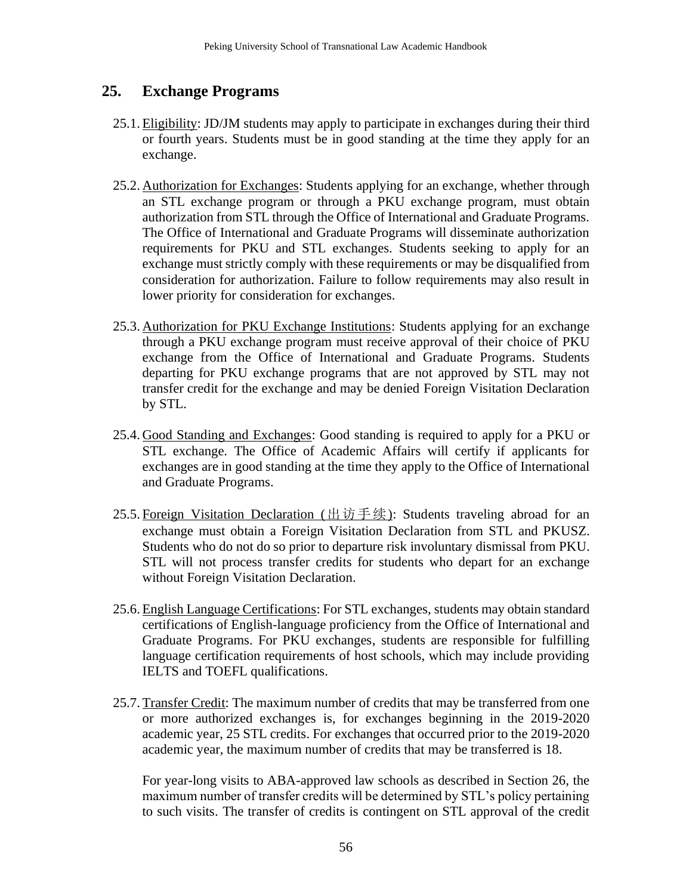## **25. Exchange Programs**

- 25.1. Eligibility: JD/JM students may apply to participate in exchanges during their third or fourth years. Students must be in good standing at the time they apply for an exchange.
- 25.2. Authorization for Exchanges: Students applying for an exchange, whether through an STL exchange program or through a PKU exchange program, must obtain authorization from STL through the Office of International and Graduate Programs. The Office of International and Graduate Programs will disseminate authorization requirements for PKU and STL exchanges. Students seeking to apply for an exchange must strictly comply with these requirements or may be disqualified from consideration for authorization. Failure to follow requirements may also result in lower priority for consideration for exchanges.
- 25.3. Authorization for PKU Exchange Institutions: Students applying for an exchange through a PKU exchange program must receive approval of their choice of PKU exchange from the Office of International and Graduate Programs. Students departing for PKU exchange programs that are not approved by STL may not transfer credit for the exchange and may be denied Foreign Visitation Declaration by STL.
- 25.4. Good Standing and Exchanges: Good standing is required to apply for a PKU or STL exchange. The Office of Academic Affairs will certify if applicants for exchanges are in good standing at the time they apply to the Office of International and Graduate Programs.
- 25.5. Foreign Visitation Declaration (出访手续): Students traveling abroad for an exchange must obtain a Foreign Visitation Declaration from STL and PKUSZ. Students who do not do so prior to departure risk involuntary dismissal from PKU. STL will not process transfer credits for students who depart for an exchange without Foreign Visitation Declaration.
- 25.6. English Language Certifications: For STL exchanges, students may obtain standard certifications of English-language proficiency from the Office of International and Graduate Programs. For PKU exchanges, students are responsible for fulfilling language certification requirements of host schools, which may include providing IELTS and TOEFL qualifications.
- 25.7. Transfer Credit: The maximum number of credits that may be transferred from one or more authorized exchanges is, for exchanges beginning in the 2019-2020 academic year, 25 STL credits. For exchanges that occurred prior to the 2019-2020 academic year, the maximum number of credits that may be transferred is 18.

For year-long visits to ABA-approved law schools as described in Section 26, the maximum number of transfer credits will be determined by STL's policy pertaining to such visits. The transfer of credits is contingent on STL approval of the credit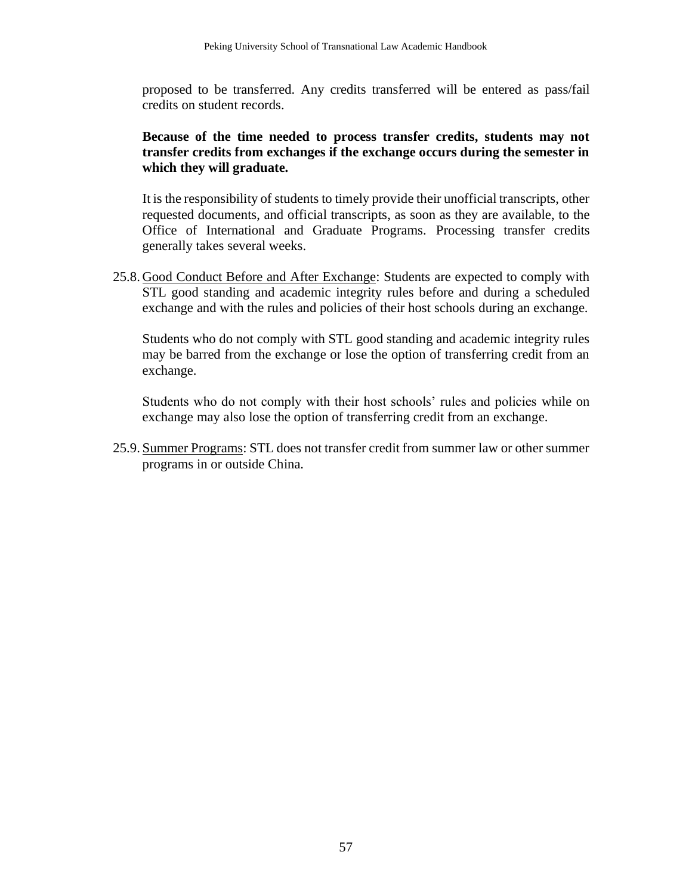proposed to be transferred. Any credits transferred will be entered as pass/fail credits on student records.

#### **Because of the time needed to process transfer credits, students may not transfer credits from exchanges if the exchange occurs during the semester in which they will graduate.**

It is the responsibility of students to timely provide their unofficial transcripts, other requested documents, and official transcripts, as soon as they are available, to the Office of International and Graduate Programs. Processing transfer credits generally takes several weeks.

25.8. Good Conduct Before and After Exchange: Students are expected to comply with STL good standing and academic integrity rules before and during a scheduled exchange and with the rules and policies of their host schools during an exchange.

Students who do not comply with STL good standing and academic integrity rules may be barred from the exchange or lose the option of transferring credit from an exchange.

Students who do not comply with their host schools' rules and policies while on exchange may also lose the option of transferring credit from an exchange.

25.9. Summer Programs: STL does not transfer credit from summer law or other summer programs in or outside China.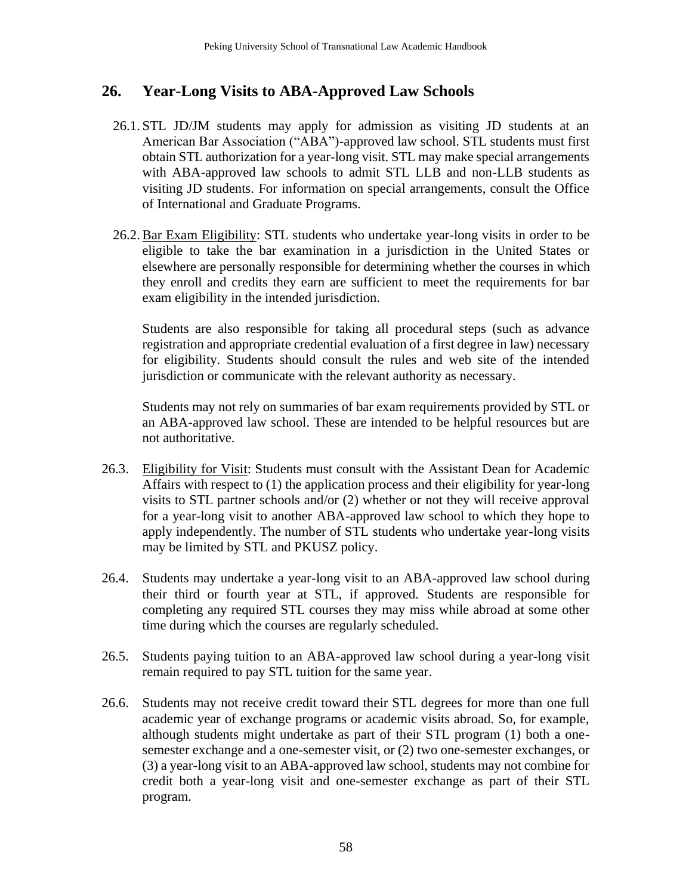# **26. Year-Long Visits to ABA-Approved Law Schools**

- 26.1. STL JD/JM students may apply for admission as visiting JD students at an American Bar Association ("ABA")-approved law school. STL students must first obtain STL authorization for a year-long visit. STL may make special arrangements with ABA-approved law schools to admit STL LLB and non-LLB students as visiting JD students. For information on special arrangements, consult the Office of International and Graduate Programs.
- 26.2.Bar Exam Eligibility: STL students who undertake year-long visits in order to be eligible to take the bar examination in a jurisdiction in the United States or elsewhere are personally responsible for determining whether the courses in which they enroll and credits they earn are sufficient to meet the requirements for bar exam eligibility in the intended jurisdiction.

Students are also responsible for taking all procedural steps (such as advance registration and appropriate credential evaluation of a first degree in law) necessary for eligibility. Students should consult the rules and web site of the intended jurisdiction or communicate with the relevant authority as necessary.

Students may not rely on summaries of bar exam requirements provided by STL or an ABA-approved law school. These are intended to be helpful resources but are not authoritative.

- 26.3. Eligibility for Visit: Students must consult with the Assistant Dean for Academic Affairs with respect to (1) the application process and their eligibility for year-long visits to STL partner schools and/or (2) whether or not they will receive approval for a year-long visit to another ABA-approved law school to which they hope to apply independently. The number of STL students who undertake year-long visits may be limited by STL and PKUSZ policy.
- 26.4. Students may undertake a year-long visit to an ABA-approved law school during their third or fourth year at STL, if approved. Students are responsible for completing any required STL courses they may miss while abroad at some other time during which the courses are regularly scheduled.
- 26.5. Students paying tuition to an ABA-approved law school during a year-long visit remain required to pay STL tuition for the same year.
- 26.6. Students may not receive credit toward their STL degrees for more than one full academic year of exchange programs or academic visits abroad. So, for example, although students might undertake as part of their STL program (1) both a onesemester exchange and a one-semester visit, or (2) two one-semester exchanges, or (3) a year-long visit to an ABA-approved law school, students may not combine for credit both a year-long visit and one-semester exchange as part of their STL program.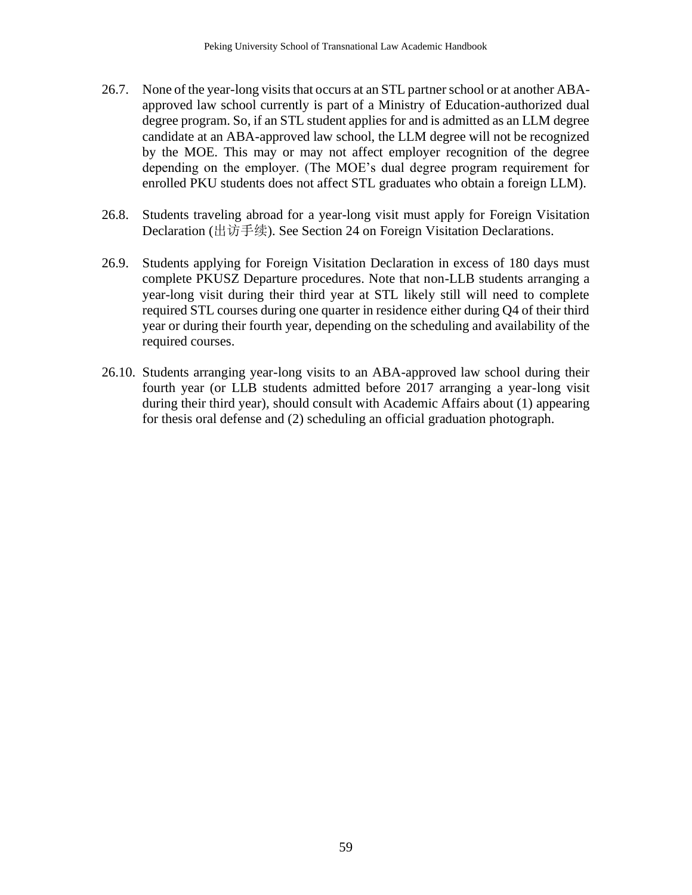- 26.7. None of the year-long visits that occurs at an STL partner school or at another ABAapproved law school currently is part of a Ministry of Education-authorized dual degree program. So, if an STL student applies for and is admitted as an LLM degree candidate at an ABA-approved law school, the LLM degree will not be recognized by the MOE. This may or may not affect employer recognition of the degree depending on the employer. (The MOE's dual degree program requirement for enrolled PKU students does not affect STL graduates who obtain a foreign LLM).
- 26.8. Students traveling abroad for a year-long visit must apply for Foreign Visitation Declaration (出访手续). See Section 24 on Foreign Visitation Declarations.
- 26.9. Students applying for Foreign Visitation Declaration in excess of 180 days must complete PKUSZ Departure procedures. Note that non-LLB students arranging a year-long visit during their third year at STL likely still will need to complete required STL courses during one quarter in residence either during Q4 of their third year or during their fourth year, depending on the scheduling and availability of the required courses.
- 26.10. Students arranging year-long visits to an ABA-approved law school during their fourth year (or LLB students admitted before 2017 arranging a year-long visit during their third year), should consult with Academic Affairs about (1) appearing for thesis oral defense and (2) scheduling an official graduation photograph.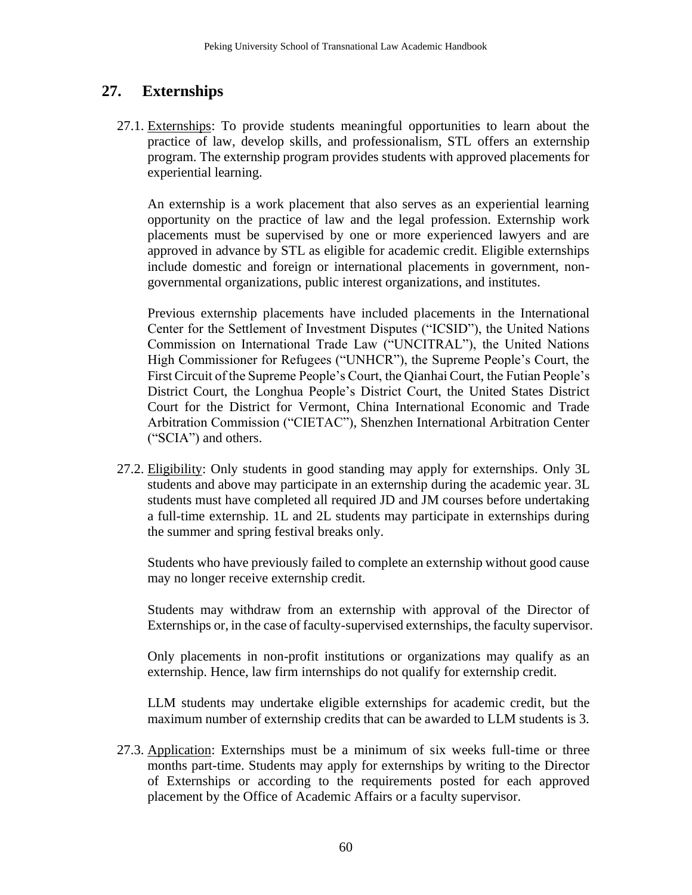# **27. Externships**

27.1. Externships: To provide students meaningful opportunities to learn about the practice of law, develop skills, and professionalism, STL offers an externship program. The externship program provides students with approved placements for experiential learning.

An externship is a work placement that also serves as an experiential learning opportunity on the practice of law and the legal profession. Externship work placements must be supervised by one or more experienced lawyers and are approved in advance by STL as eligible for academic credit. Eligible externships include domestic and foreign or international placements in government, nongovernmental organizations, public interest organizations, and institutes.

Previous externship placements have included placements in the International Center for the Settlement of Investment Disputes ("ICSID"), the United Nations Commission on International Trade Law ("UNCITRAL"), the United Nations High Commissioner for Refugees ("UNHCR"), the Supreme People's Court, the First Circuit of the Supreme People's Court, the Qianhai Court, the Futian People's District Court, the Longhua People's District Court, the United States District Court for the District for Vermont, China International Economic and Trade Arbitration Commission ("CIETAC"), Shenzhen International Arbitration Center ("SCIA") and others.

27.2. Eligibility: Only students in good standing may apply for externships. Only 3L students and above may participate in an externship during the academic year. 3L students must have completed all required JD and JM courses before undertaking a full-time externship. 1L and 2L students may participate in externships during the summer and spring festival breaks only.

Students who have previously failed to complete an externship without good cause may no longer receive externship credit.

Students may withdraw from an externship with approval of the Director of Externships or, in the case of faculty-supervised externships, the faculty supervisor.

Only placements in non-profit institutions or organizations may qualify as an externship. Hence, law firm internships do not qualify for externship credit.

LLM students may undertake eligible externships for academic credit, but the maximum number of externship credits that can be awarded to LLM students is 3.

27.3. Application: Externships must be a minimum of six weeks full-time or three months part-time. Students may apply for externships by writing to the Director of Externships or according to the requirements posted for each approved placement by the Office of Academic Affairs or a faculty supervisor.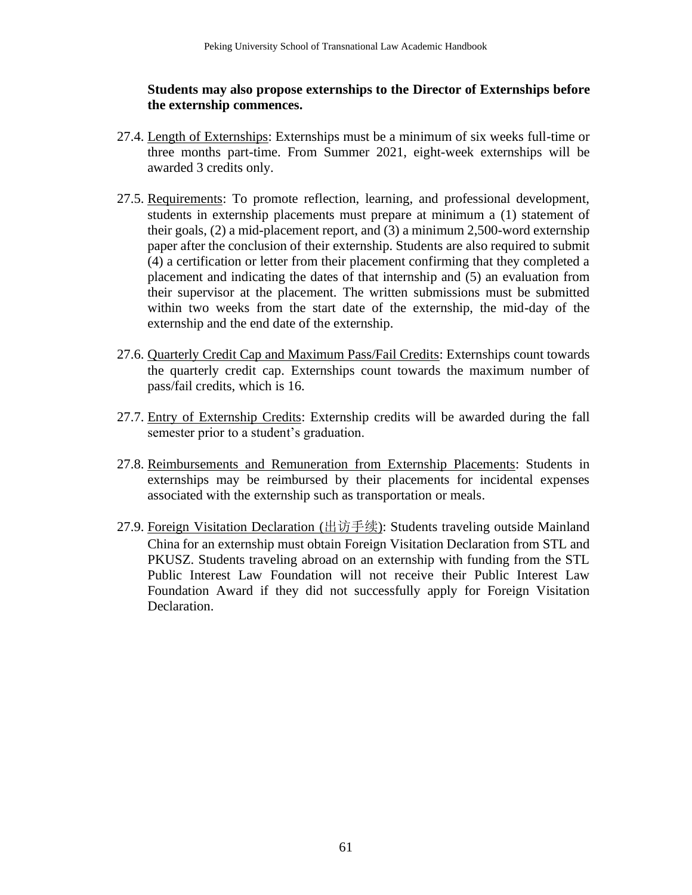#### **Students may also propose externships to the Director of Externships before the externship commences.**

- 27.4. Length of Externships: Externships must be a minimum of six weeks full-time or three months part-time. From Summer 2021, eight-week externships will be awarded 3 credits only.
- 27.5. Requirements: To promote reflection, learning, and professional development, students in externship placements must prepare at minimum a (1) statement of their goals, (2) a mid-placement report, and (3) a minimum 2,500-word externship paper after the conclusion of their externship. Students are also required to submit (4) a certification or letter from their placement confirming that they completed a placement and indicating the dates of that internship and (5) an evaluation from their supervisor at the placement. The written submissions must be submitted within two weeks from the start date of the externship, the mid-day of the externship and the end date of the externship.
- 27.6. Quarterly Credit Cap and Maximum Pass/Fail Credits: Externships count towards the quarterly credit cap. Externships count towards the maximum number of pass/fail credits, which is 16.
- 27.7. Entry of Externship Credits: Externship credits will be awarded during the fall semester prior to a student's graduation.
- 27.8. Reimbursements and Remuneration from Externship Placements: Students in externships may be reimbursed by their placements for incidental expenses associated with the externship such as transportation or meals.
- 27.9. Foreign Visitation Declaration (出访手续): Students traveling outside Mainland China for an externship must obtain Foreign Visitation Declaration from STL and PKUSZ. Students traveling abroad on an externship with funding from the STL Public Interest Law Foundation will not receive their Public Interest Law Foundation Award if they did not successfully apply for Foreign Visitation Declaration.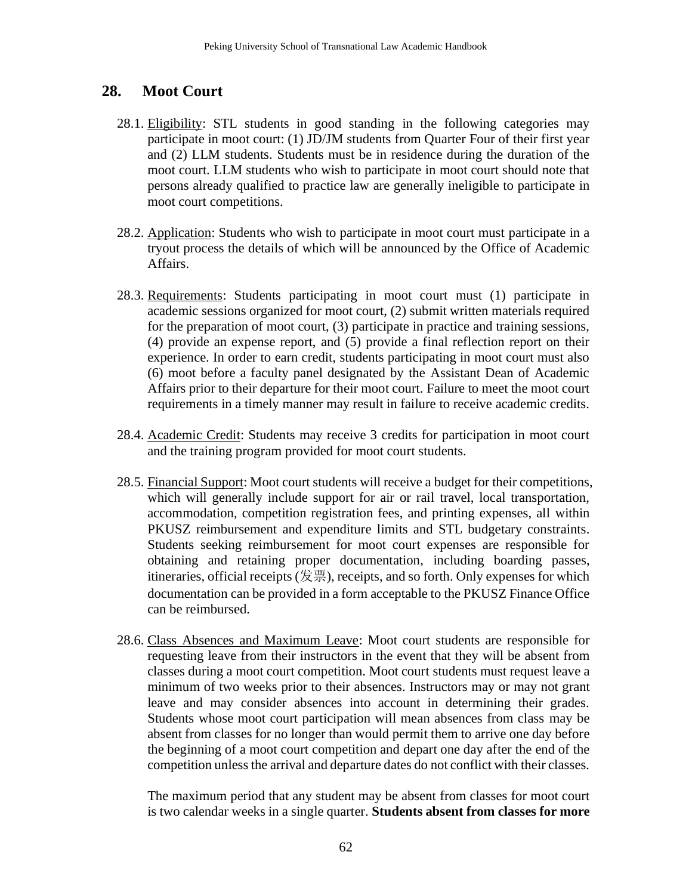# **28. Moot Court**

- 28.1. Eligibility: STL students in good standing in the following categories may participate in moot court: (1) JD/JM students from Quarter Four of their first year and (2) LLM students. Students must be in residence during the duration of the moot court. LLM students who wish to participate in moot court should note that persons already qualified to practice law are generally ineligible to participate in moot court competitions.
- 28.2. Application: Students who wish to participate in moot court must participate in a tryout process the details of which will be announced by the Office of Academic Affairs.
- 28.3. Requirements: Students participating in moot court must (1) participate in academic sessions organized for moot court, (2) submit written materials required for the preparation of moot court, (3) participate in practice and training sessions, (4) provide an expense report, and (5) provide a final reflection report on their experience. In order to earn credit, students participating in moot court must also (6) moot before a faculty panel designated by the Assistant Dean of Academic Affairs prior to their departure for their moot court. Failure to meet the moot court requirements in a timely manner may result in failure to receive academic credits.
- 28.4. Academic Credit: Students may receive 3 credits for participation in moot court and the training program provided for moot court students.
- 28.5. Financial Support: Moot court students will receive a budget for their competitions, which will generally include support for air or rail travel, local transportation, accommodation, competition registration fees, and printing expenses, all within PKUSZ reimbursement and expenditure limits and STL budgetary constraints. Students seeking reimbursement for moot court expenses are responsible for obtaining and retaining proper documentation, including boarding passes, itineraries, official receipts (发票), receipts, and so forth. Only expenses for which documentation can be provided in a form acceptable to the PKUSZ Finance Office can be reimbursed.
- 28.6. Class Absences and Maximum Leave: Moot court students are responsible for requesting leave from their instructors in the event that they will be absent from classes during a moot court competition. Moot court students must request leave a minimum of two weeks prior to their absences. Instructors may or may not grant leave and may consider absences into account in determining their grades. Students whose moot court participation will mean absences from class may be absent from classes for no longer than would permit them to arrive one day before the beginning of a moot court competition and depart one day after the end of the competition unless the arrival and departure dates do not conflict with their classes.

The maximum period that any student may be absent from classes for moot court is two calendar weeks in a single quarter. **Students absent from classes for more**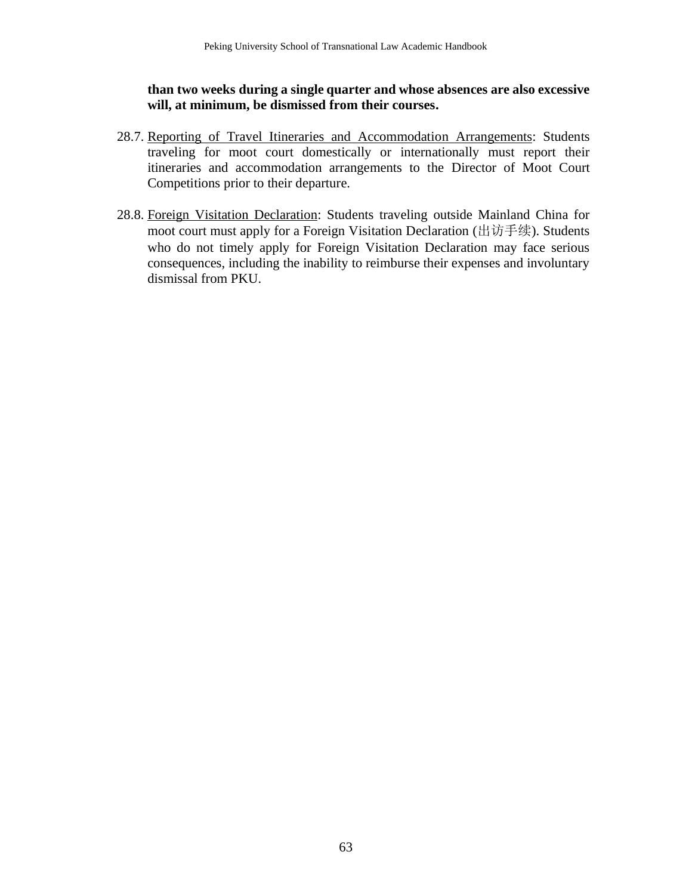**than two weeks during a single quarter and whose absences are also excessive will, at minimum, be dismissed from their courses.**

- 28.7. Reporting of Travel Itineraries and Accommodation Arrangements: Students traveling for moot court domestically or internationally must report their itineraries and accommodation arrangements to the Director of Moot Court Competitions prior to their departure.
- 28.8. Foreign Visitation Declaration: Students traveling outside Mainland China for moot court must apply for a Foreign Visitation Declaration (出访手续). Students who do not timely apply for Foreign Visitation Declaration may face serious consequences, including the inability to reimburse their expenses and involuntary dismissal from PKU.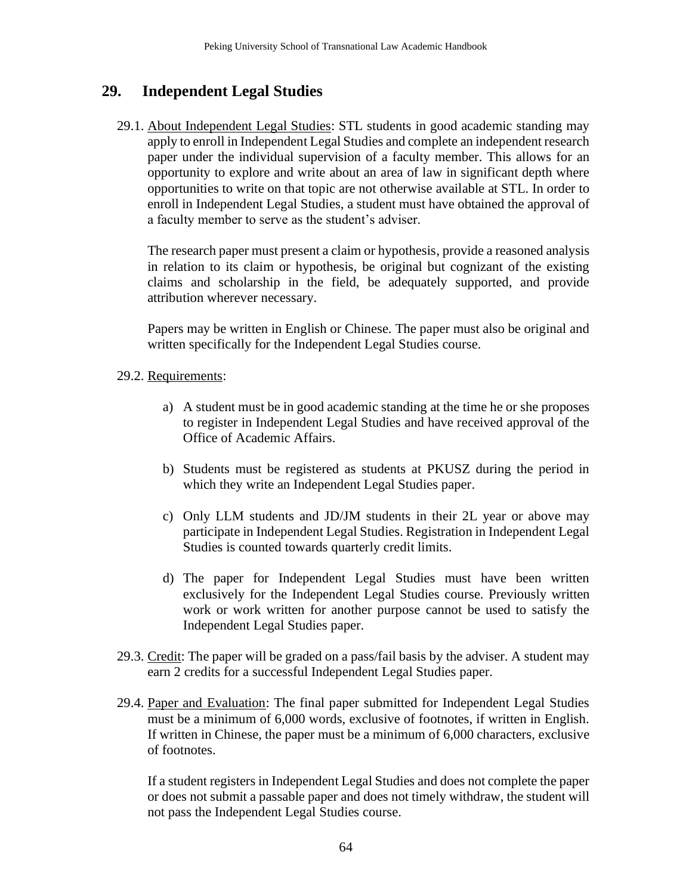# **29. Independent Legal Studies**

29.1. About Independent Legal Studies: STL students in good academic standing may apply to enroll in Independent Legal Studies and complete an independent research paper under the individual supervision of a faculty member. This allows for an opportunity to explore and write about an area of law in significant depth where opportunities to write on that topic are not otherwise available at STL. In order to enroll in Independent Legal Studies, a student must have obtained the approval of a faculty member to serve as the student's adviser.

The research paper must present a claim or hypothesis, provide a reasoned analysis in relation to its claim or hypothesis, be original but cognizant of the existing claims and scholarship in the field, be adequately supported, and provide attribution wherever necessary.

Papers may be written in English or Chinese. The paper must also be original and written specifically for the Independent Legal Studies course.

#### 29.2. Requirements:

- a) A student must be in good academic standing at the time he or she proposes to register in Independent Legal Studies and have received approval of the Office of Academic Affairs.
- b) Students must be registered as students at PKUSZ during the period in which they write an Independent Legal Studies paper.
- c) Only LLM students and JD/JM students in their 2L year or above may participate in Independent Legal Studies. Registration in Independent Legal Studies is counted towards quarterly credit limits.
- d) The paper for Independent Legal Studies must have been written exclusively for the Independent Legal Studies course. Previously written work or work written for another purpose cannot be used to satisfy the Independent Legal Studies paper.
- 29.3. Credit: The paper will be graded on a pass/fail basis by the adviser. A student may earn 2 credits for a successful Independent Legal Studies paper.
- 29.4. Paper and Evaluation: The final paper submitted for Independent Legal Studies must be a minimum of 6,000 words, exclusive of footnotes, if written in English. If written in Chinese, the paper must be a minimum of 6,000 characters, exclusive of footnotes.

If a student registers in Independent Legal Studies and does not complete the paper or does not submit a passable paper and does not timely withdraw, the student will not pass the Independent Legal Studies course.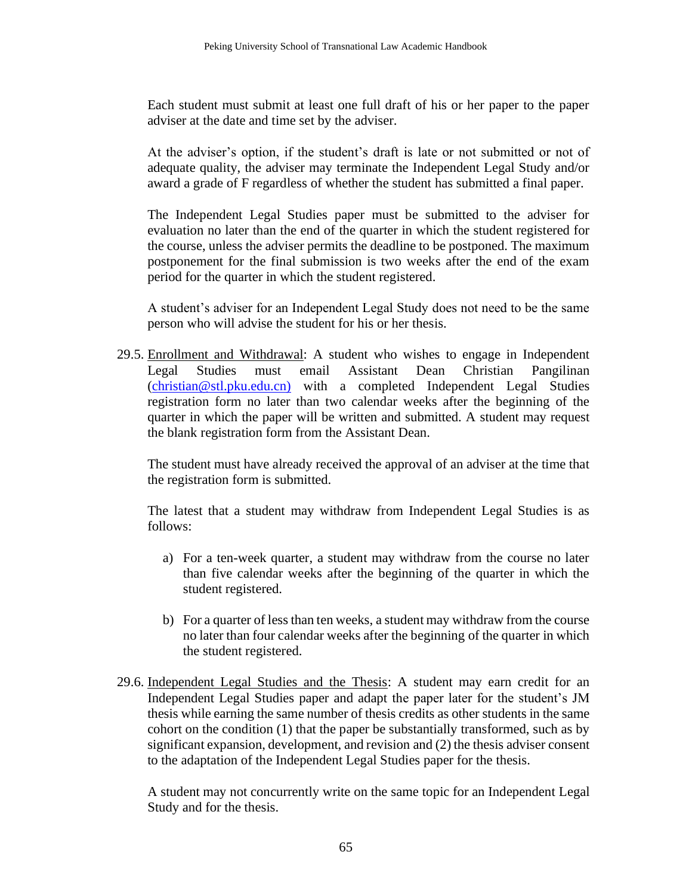Each student must submit at least one full draft of his or her paper to the paper adviser at the date and time set by the adviser.

At the adviser's option, if the student's draft is late or not submitted or not of adequate quality, the adviser may terminate the Independent Legal Study and/or award a grade of F regardless of whether the student has submitted a final paper.

The Independent Legal Studies paper must be submitted to the adviser for evaluation no later than the end of the quarter in which the student registered for the course, unless the adviser permits the deadline to be postponed. The maximum postponement for the final submission is two weeks after the end of the exam period for the quarter in which the student registered.

A student's adviser for an Independent Legal Study does not need to be the same person who will advise the student for his or her thesis.

29.5. Enrollment and Withdrawal: A student who wishes to engage in Independent Legal Studies must email Assistant Dean Christian Pangilinan [\(christian@stl.pku.edu.cn\)](mailto:christian@stl.pku.edu.cn)) with a completed Independent Legal Studies registration form no later than two calendar weeks after the beginning of the quarter in which the paper will be written and submitted. A student may request the blank registration form from the Assistant Dean.

The student must have already received the approval of an adviser at the time that the registration form is submitted.

The latest that a student may withdraw from Independent Legal Studies is as follows:

- a) For a ten-week quarter, a student may withdraw from the course no later than five calendar weeks after the beginning of the quarter in which the student registered.
- b) For a quarter of less than ten weeks, a student may withdraw from the course no later than four calendar weeks after the beginning of the quarter in which the student registered.
- 29.6. Independent Legal Studies and the Thesis: A student may earn credit for an Independent Legal Studies paper and adapt the paper later for the student's JM thesis while earning the same number of thesis credits as other students in the same cohort on the condition (1) that the paper be substantially transformed, such as by significant expansion, development, and revision and (2) the thesis adviser consent to the adaptation of the Independent Legal Studies paper for the thesis.

A student may not concurrently write on the same topic for an Independent Legal Study and for the thesis.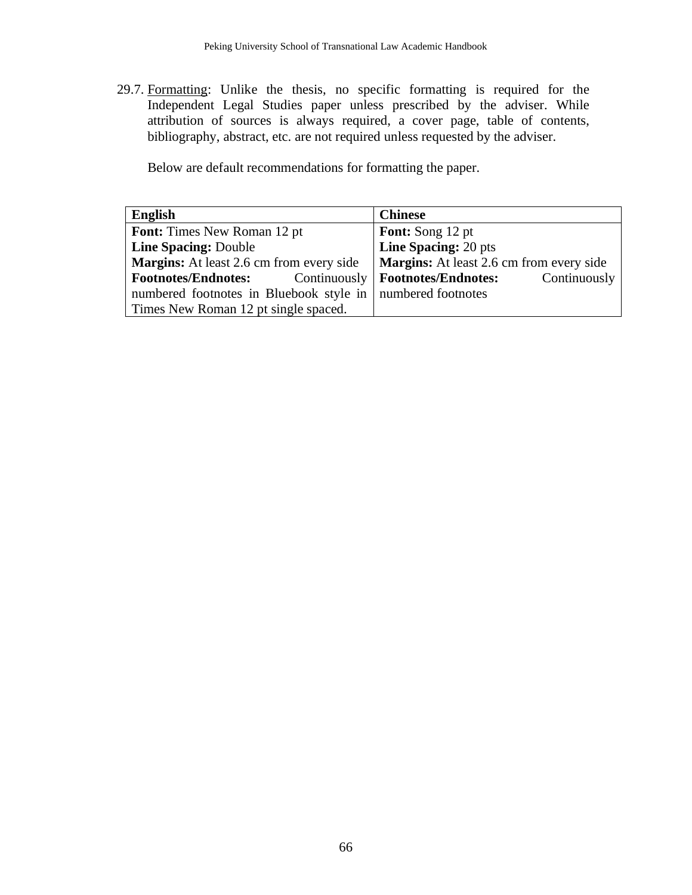29.7. Formatting: Unlike the thesis, no specific formatting is required for the Independent Legal Studies paper unless prescribed by the adviser. While attribution of sources is always required, a cover page, table of contents, bibliography, abstract, etc. are not required unless requested by the adviser.

Below are default recommendations for formatting the paper.

| English                                                      | <b>Chinese</b>                                  |  |
|--------------------------------------------------------------|-------------------------------------------------|--|
| <b>Font:</b> Times New Roman 12 pt                           | <b>Font:</b> Song 12 pt                         |  |
| <b>Line Spacing: Double</b>                                  | Line Spacing: 20 pts                            |  |
| <b>Margins:</b> At least 2.6 cm from every side              | <b>Margins:</b> At least 2.6 cm from every side |  |
| Continuously<br><b>Footnotes/Endnotes:</b>                   | Continuously<br><b>Footnotes/Endnotes:</b>      |  |
| numbered footnotes in Bluebook style in   numbered footnotes |                                                 |  |
| Times New Roman 12 pt single spaced.                         |                                                 |  |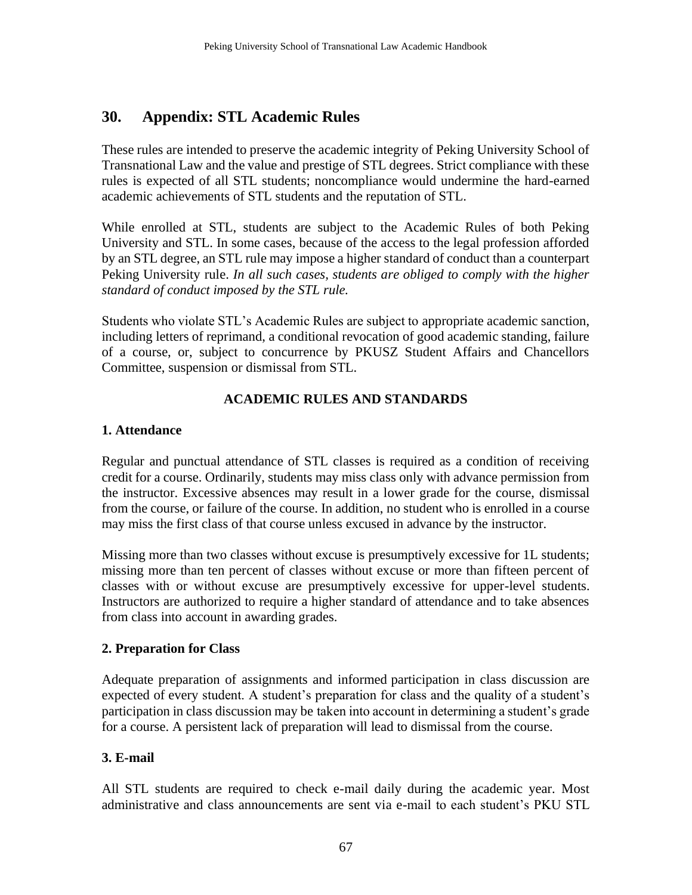# **30. Appendix: STL Academic Rules**

These rules are intended to preserve the academic integrity of Peking University School of Transnational Law and the value and prestige of STL degrees. Strict compliance with these rules is expected of all STL students; noncompliance would undermine the hard-earned academic achievements of STL students and the reputation of STL.

While enrolled at STL, students are subject to the Academic Rules of both Peking University and STL. In some cases, because of the access to the legal profession afforded by an STL degree, an STL rule may impose a higher standard of conduct than a counterpart Peking University rule. *In all such cases, students are obliged to comply with the higher standard of conduct imposed by the STL rule.*

Students who violate STL's Academic Rules are subject to appropriate academic sanction, including letters of reprimand, a conditional revocation of good academic standing, failure of a course, or, subject to concurrence by PKUSZ Student Affairs and Chancellors Committee, suspension or dismissal from STL.

### **ACADEMIC RULES AND STANDARDS**

#### **1. Attendance**

Regular and punctual attendance of STL classes is required as a condition of receiving credit for a course. Ordinarily, students may miss class only with advance permission from the instructor. Excessive absences may result in a lower grade for the course, dismissal from the course, or failure of the course. In addition, no student who is enrolled in a course may miss the first class of that course unless excused in advance by the instructor.

Missing more than two classes without excuse is presumptively excessive for 1L students; missing more than ten percent of classes without excuse or more than fifteen percent of classes with or without excuse are presumptively excessive for upper-level students. Instructors are authorized to require a higher standard of attendance and to take absences from class into account in awarding grades.

### **2. Preparation for Class**

Adequate preparation of assignments and informed participation in class discussion are expected of every student. A student's preparation for class and the quality of a student's participation in class discussion may be taken into account in determining a student's grade for a course. A persistent lack of preparation will lead to dismissal from the course.

### **3. E-mail**

All STL students are required to check e-mail daily during the academic year. Most administrative and class announcements are sent via e-mail to each student's PKU STL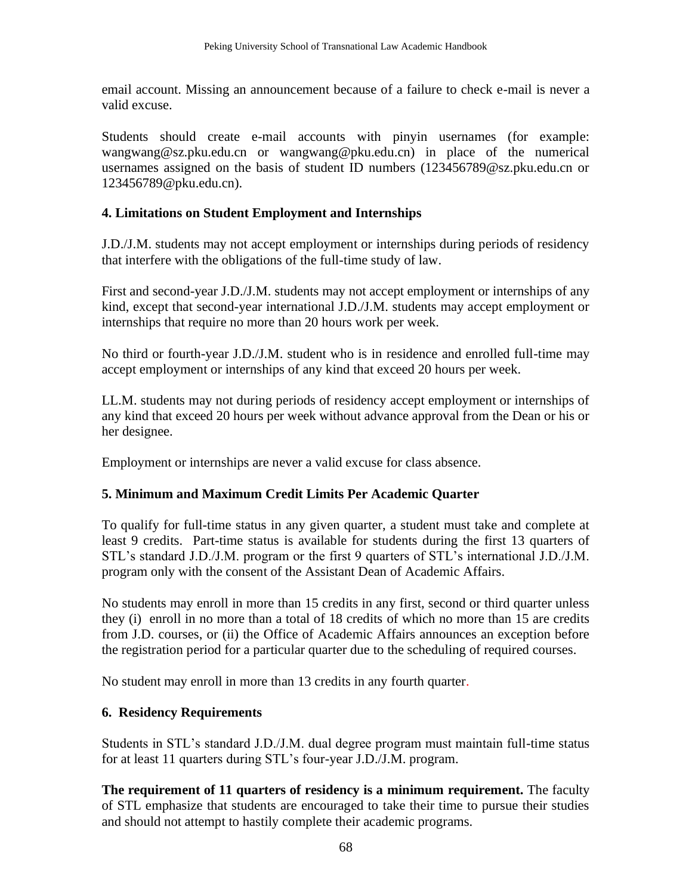email account. Missing an announcement because of a failure to check e-mail is never a valid excuse.

Students should create e-mail accounts with pinyin usernames (for example: wangwang@sz.pku.edu.cn or wangwang@pku.edu.cn) in place of the numerical usernames assigned on the basis of student ID numbers (123456789@sz.pku.edu.cn or 123456789@pku.edu.cn).

#### **4. Limitations on Student Employment and Internships**

J.D./J.M. students may not accept employment or internships during periods of residency that interfere with the obligations of the full-time study of law.

First and second-year J.D./J.M. students may not accept employment or internships of any kind, except that second-year international J.D./J.M. students may accept employment or internships that require no more than 20 hours work per week.

No third or fourth-year J.D./J.M. student who is in residence and enrolled full-time may accept employment or internships of any kind that exceed 20 hours per week.

LL.M. students may not during periods of residency accept employment or internships of any kind that exceed 20 hours per week without advance approval from the Dean or his or her designee.

Employment or internships are never a valid excuse for class absence.

#### **5. Minimum and Maximum Credit Limits Per Academic Quarter**

To qualify for full-time status in any given quarter, a student must take and complete at least 9 credits. Part-time status is available for students during the first 13 quarters of STL's standard J.D./J.M. program or the first 9 quarters of STL's international J.D./J.M. program only with the consent of the Assistant Dean of Academic Affairs.

No students may enroll in more than 15 credits in any first, second or third quarter unless they (i) enroll in no more than a total of 18 credits of which no more than 15 are credits from J.D. courses, or (ii) the Office of Academic Affairs announces an exception before the registration period for a particular quarter due to the scheduling of required courses.

No student may enroll in more than 13 credits in any fourth quarter.

#### **6. Residency Requirements**

Students in STL's standard J.D./J.M. dual degree program must maintain full-time status for at least 11 quarters during STL's four-year J.D./J.M. program.

**The requirement of 11 quarters of residency is a minimum requirement.** The faculty of STL emphasize that students are encouraged to take their time to pursue their studies and should not attempt to hastily complete their academic programs.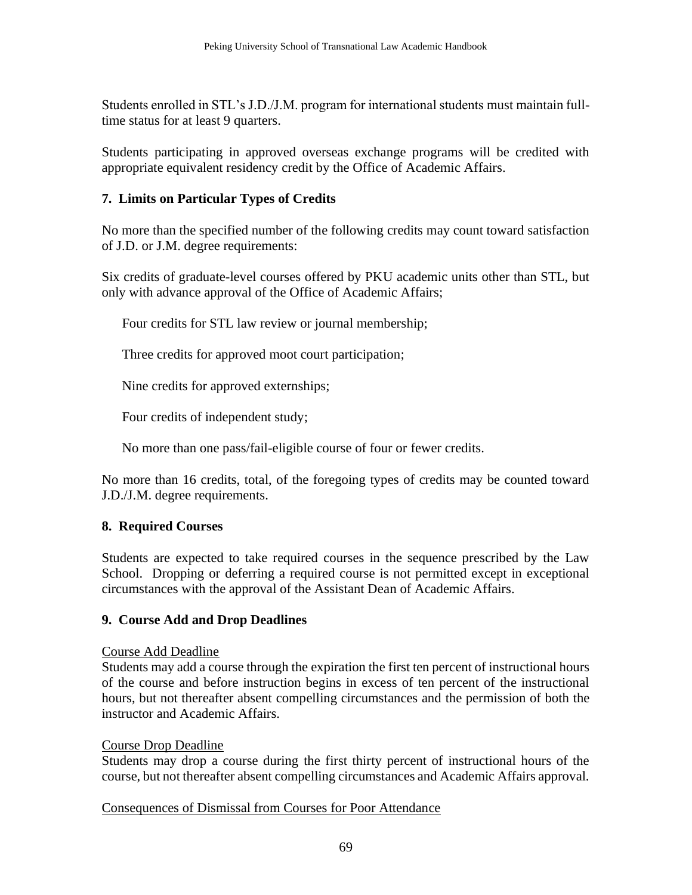Students enrolled in STL's J.D./J.M. program for international students must maintain fulltime status for at least 9 quarters.

Students participating in approved overseas exchange programs will be credited with appropriate equivalent residency credit by the Office of Academic Affairs.

## **7. Limits on Particular Types of Credits**

No more than the specified number of the following credits may count toward satisfaction of J.D. or J.M. degree requirements:

Six credits of graduate-level courses offered by PKU academic units other than STL, but only with advance approval of the Office of Academic Affairs;

Four credits for STL law review or journal membership;

Three credits for approved moot court participation;

Nine credits for approved externships;

Four credits of independent study;

No more than one pass/fail-eligible course of four or fewer credits.

No more than 16 credits, total, of the foregoing types of credits may be counted toward J.D./J.M. degree requirements.

### **8. Required Courses**

Students are expected to take required courses in the sequence prescribed by the Law School. Dropping or deferring a required course is not permitted except in exceptional circumstances with the approval of the Assistant Dean of Academic Affairs.

### **9. Course Add and Drop Deadlines**

### Course Add Deadline

Students may add a course through the expiration the first ten percent of instructional hours of the course and before instruction begins in excess of ten percent of the instructional hours, but not thereafter absent compelling circumstances and the permission of both the instructor and Academic Affairs.

### Course Drop Deadline

Students may drop a course during the first thirty percent of instructional hours of the course, but not thereafter absent compelling circumstances and Academic Affairs approval.

### Consequences of Dismissal from Courses for Poor Attendance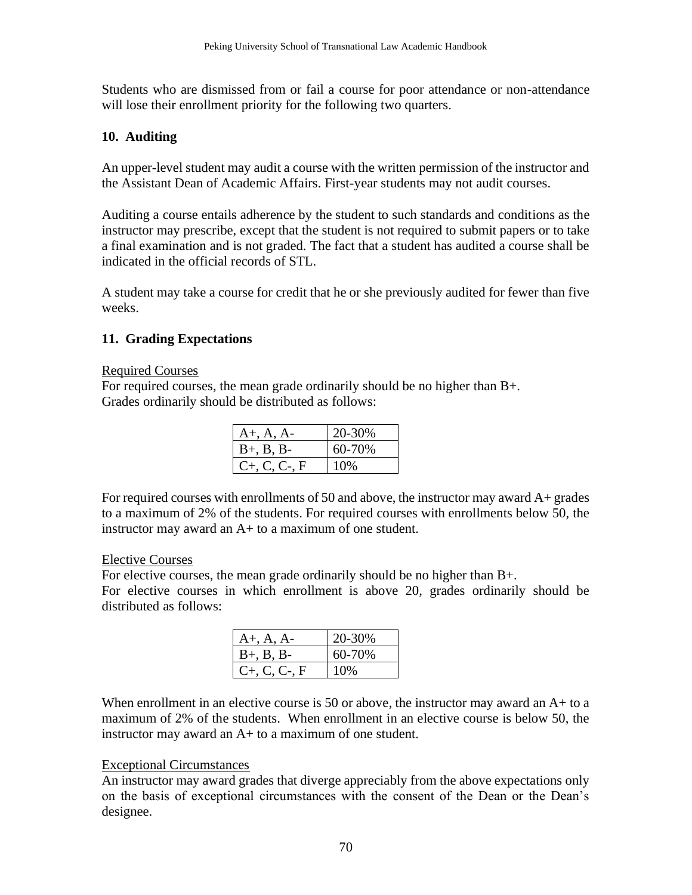Students who are dismissed from or fail a course for poor attendance or non-attendance will lose their enrollment priority for the following two quarters.

#### **10. Auditing**

An upper-level student may audit a course with the written permission of the instructor and the Assistant Dean of Academic Affairs. First-year students may not audit courses.

Auditing a course entails adherence by the student to such standards and conditions as the instructor may prescribe, except that the student is not required to submit papers or to take a final examination and is not graded. The fact that a student has audited a course shall be indicated in the official records of STL.

A student may take a course for credit that he or she previously audited for fewer than five weeks.

#### **11. Grading Expectations**

#### Required Courses

For required courses, the mean grade ordinarily should be no higher than B+. Grades ordinarily should be distributed as follows:

| $A+, A, A-$        | 20-30% |
|--------------------|--------|
| $B+, B, B-$        | 60-70% |
| $C_{+}$ , C, C-, F | 10%    |

For required courses with enrollments of 50 and above, the instructor may award A+ grades to a maximum of 2% of the students. For required courses with enrollments below 50, the instructor may award an A+ to a maximum of one student.

#### Elective Courses

For elective courses, the mean grade ordinarily should be no higher than B+. For elective courses in which enrollment is above 20, grades ordinarily should be distributed as follows:

| $A+, A, A-$        | 20-30% |
|--------------------|--------|
| $B+, B, B-$        | 60-70% |
| $C_{+}$ , C, C-, F | 10%    |

When enrollment in an elective course is 50 or above, the instructor may award an A+ to a maximum of 2% of the students. When enrollment in an elective course is below 50, the instructor may award an A+ to a maximum of one student.

#### Exceptional Circumstances

An instructor may award grades that diverge appreciably from the above expectations only on the basis of exceptional circumstances with the consent of the Dean or the Dean's designee.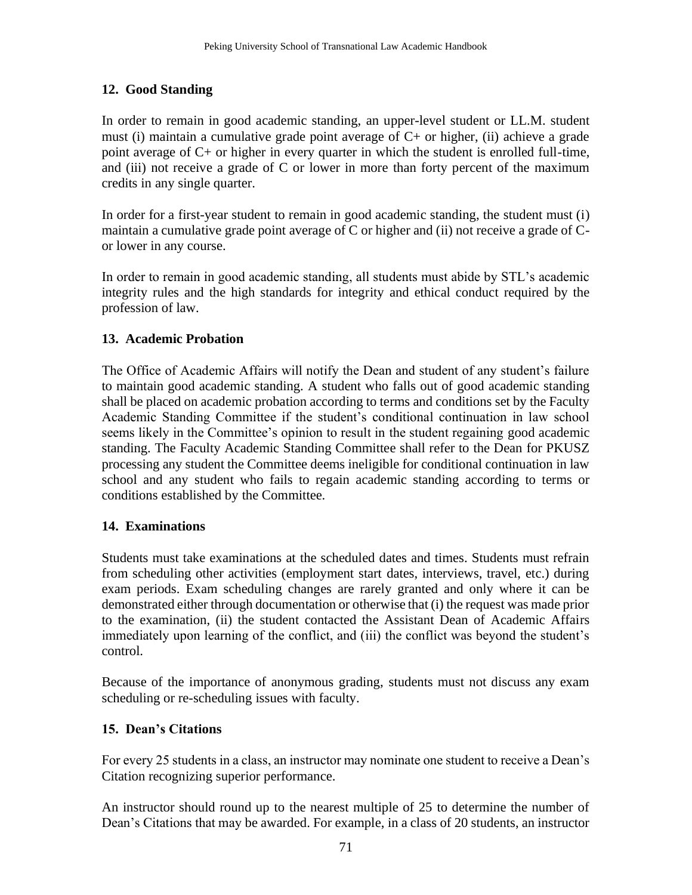## **12. Good Standing**

In order to remain in good academic standing, an upper-level student or LL.M. student must (i) maintain a cumulative grade point average of C+ or higher, (ii) achieve a grade point average of C+ or higher in every quarter in which the student is enrolled full-time, and (iii) not receive a grade of  $C$  or lower in more than forty percent of the maximum credits in any single quarter.

In order for a first-year student to remain in good academic standing, the student must (i) maintain a cumulative grade point average of C or higher and (ii) not receive a grade of Cor lower in any course.

In order to remain in good academic standing, all students must abide by STL's academic integrity rules and the high standards for integrity and ethical conduct required by the profession of law.

### **13. Academic Probation**

The Office of Academic Affairs will notify the Dean and student of any student's failure to maintain good academic standing. A student who falls out of good academic standing shall be placed on academic probation according to terms and conditions set by the Faculty Academic Standing Committee if the student's conditional continuation in law school seems likely in the Committee's opinion to result in the student regaining good academic standing. The Faculty Academic Standing Committee shall refer to the Dean for PKUSZ processing any student the Committee deems ineligible for conditional continuation in law school and any student who fails to regain academic standing according to terms or conditions established by the Committee.

### **14. Examinations**

Students must take examinations at the scheduled dates and times. Students must refrain from scheduling other activities (employment start dates, interviews, travel, etc.) during exam periods. Exam scheduling changes are rarely granted and only where it can be demonstrated either through documentation or otherwise that (i) the request was made prior to the examination, (ii) the student contacted the Assistant Dean of Academic Affairs immediately upon learning of the conflict, and (iii) the conflict was beyond the student's control.

Because of the importance of anonymous grading, students must not discuss any exam scheduling or re-scheduling issues with faculty.

## **15. Dean's Citations**

For every 25 students in a class, an instructor may nominate one student to receive a Dean's Citation recognizing superior performance.

An instructor should round up to the nearest multiple of 25 to determine the number of Dean's Citations that may be awarded. For example, in a class of 20 students, an instructor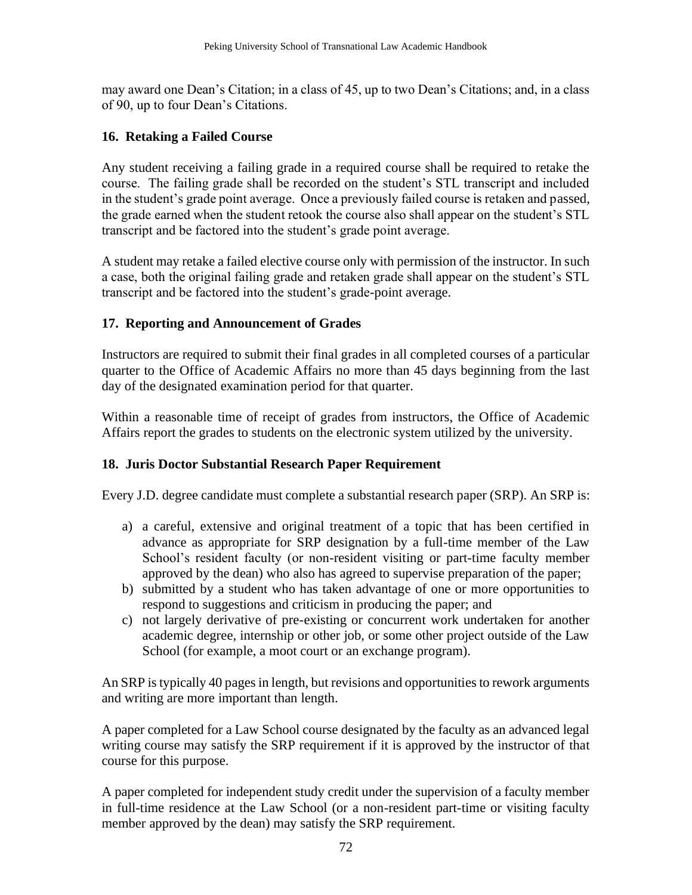may award one Dean's Citation; in a class of 45, up to two Dean's Citations; and, in a class of 90, up to four Dean's Citations.

### **16. Retaking a Failed Course**

Any student receiving a failing grade in a required course shall be required to retake the course. The failing grade shall be recorded on the student's STL transcript and included in the student's grade point average. Once a previously failed course is retaken and passed, the grade earned when the student retook the course also shall appear on the student's STL transcript and be factored into the student's grade point average.

A student may retake a failed elective course only with permission of the instructor. In such a case, both the original failing grade and retaken grade shall appear on the student's STL transcript and be factored into the student's grade-point average.

### **17. Reporting and Announcement of Grades**

Instructors are required to submit their final grades in all completed courses of a particular quarter to the Office of Academic Affairs no more than 45 days beginning from the last day of the designated examination period for that quarter.

Within a reasonable time of receipt of grades from instructors, the Office of Academic Affairs report the grades to students on the electronic system utilized by the university.

## **18. Juris Doctor Substantial Research Paper Requirement**

Every J.D. degree candidate must complete a substantial research paper (SRP). An SRP is:

- a) a careful, extensive and original treatment of a topic that has been certified in advance as appropriate for SRP designation by a full-time member of the Law School's resident faculty (or non-resident visiting or part-time faculty member approved by the dean) who also has agreed to supervise preparation of the paper;
- b) submitted by a student who has taken advantage of one or more opportunities to respond to suggestions and criticism in producing the paper; and
- c) not largely derivative of pre-existing or concurrent work undertaken for another academic degree, internship or other job, or some other project outside of the Law School (for example, a moot court or an exchange program).

An SRP is typically 40 pages in length, but revisions and opportunities to rework arguments and writing are more important than length.

A paper completed for a Law School course designated by the faculty as an advanced legal writing course may satisfy the SRP requirement if it is approved by the instructor of that course for this purpose.

A paper completed for independent study credit under the supervision of a faculty member in full-time residence at the Law School (or a non-resident part-time or visiting faculty member approved by the dean) may satisfy the SRP requirement.